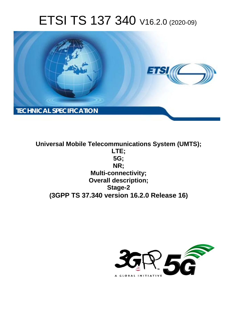# ETSI TS 137 340 V16.2.0 (2020-09)



**Universal Mobile Telecommunications System (UMTS); LTE; 5G; NR; Multi-connectivity; Overall description; Stage-2 (3GPP TS 37.340 version 16.2.0 Release 16)**

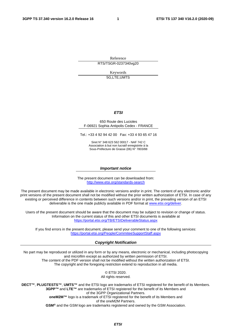Reference RTS/TSGR-0237340vg20

Keywords

5G,LTE,UMTS

#### *ETSI*

#### 650 Route des Lucioles F-06921 Sophia Antipolis Cedex - FRANCE

Tel.: +33 4 92 94 42 00 Fax: +33 4 93 65 47 16

Siret N° 348 623 562 00017 - NAF 742 C Association à but non lucratif enregistrée à la Sous-Préfecture de Grasse (06) N° 7803/88

#### *Important notice*

The present document can be downloaded from: <http://www.etsi.org/standards-search>

The present document may be made available in electronic versions and/or in print. The content of any electronic and/or print versions of the present document shall not be modified without the prior written authorization of ETSI. In case of any existing or perceived difference in contents between such versions and/or in print, the prevailing version of an ETSI deliverable is the one made publicly available in PDF format at [www.etsi.org/deliver](http://www.etsi.org/deliver).

Users of the present document should be aware that the document may be subject to revision or change of status. Information on the current status of this and other ETSI documents is available at <https://portal.etsi.org/TB/ETSIDeliverableStatus.aspx>

If you find errors in the present document, please send your comment to one of the following services: <https://portal.etsi.org/People/CommiteeSupportStaff.aspx>

#### *Copyright Notification*

No part may be reproduced or utilized in any form or by any means, electronic or mechanical, including photocopying and microfilm except as authorized by written permission of ETSI. The content of the PDF version shall not be modified without the written authorization of ETSI. The copyright and the foregoing restriction extend to reproduction in all media.

> © ETSI 2020. All rights reserved.

**DECT™**, **PLUGTESTS™**, **UMTS™** and the ETSI logo are trademarks of ETSI registered for the benefit of its Members. **3GPP™** and **LTE™** are trademarks of ETSI registered for the benefit of its Members and of the 3GPP Organizational Partners. **oneM2M™** logo is a trademark of ETSI registered for the benefit of its Members and of the oneM2M Partners. **GSM®** and the GSM logo are trademarks registered and owned by the GSM Association.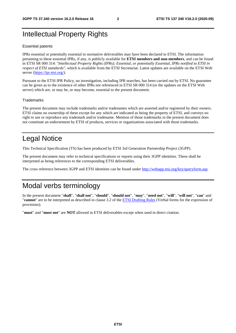### Intellectual Property Rights

#### Essential patents

IPRs essential or potentially essential to normative deliverables may have been declared to ETSI. The information pertaining to these essential IPRs, if any, is publicly available for **ETSI members and non-members**, and can be found in ETSI SR 000 314: *"Intellectual Property Rights (IPRs); Essential, or potentially Essential, IPRs notified to ETSI in respect of ETSI standards"*, which is available from the ETSI Secretariat. Latest updates are available on the ETSI Web server [\(https://ipr.etsi.org/](https://ipr.etsi.org/)).

Pursuant to the ETSI IPR Policy, no investigation, including IPR searches, has been carried out by ETSI. No guarantee can be given as to the existence of other IPRs not referenced in ETSI SR 000 314 (or the updates on the ETSI Web server) which are, or may be, or may become, essential to the present document.

#### **Trademarks**

The present document may include trademarks and/or tradenames which are asserted and/or registered by their owners. ETSI claims no ownership of these except for any which are indicated as being the property of ETSI, and conveys no right to use or reproduce any trademark and/or tradename. Mention of those trademarks in the present document does not constitute an endorsement by ETSI of products, services or organizations associated with those trademarks.

### Legal Notice

This Technical Specification (TS) has been produced by ETSI 3rd Generation Partnership Project (3GPP).

The present document may refer to technical specifications or reports using their 3GPP identities. These shall be interpreted as being references to the corresponding ETSI deliverables.

The cross reference between 3GPP and ETSI identities can be found under<http://webapp.etsi.org/key/queryform.asp>.

### Modal verbs terminology

In the present document "**shall**", "**shall not**", "**should**", "**should not**", "**may**", "**need not**", "**will**", "**will not**", "**can**" and "**cannot**" are to be interpreted as described in clause 3.2 of the [ETSI Drafting Rules](https://portal.etsi.org/Services/editHelp!/Howtostart/ETSIDraftingRules.aspx) (Verbal forms for the expression of provisions).

"**must**" and "**must not**" are **NOT** allowed in ETSI deliverables except when used in direct citation.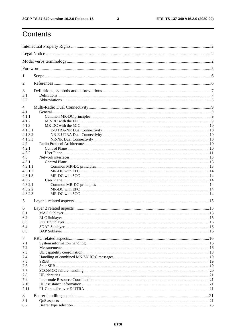$\mathbf{3}$ 

## Contents

| 1          |  |  |  |  |
|------------|--|--|--|--|
| 2          |  |  |  |  |
| 3          |  |  |  |  |
| 3.1        |  |  |  |  |
| 3.2        |  |  |  |  |
| 4<br>4.1   |  |  |  |  |
| 4.1.1      |  |  |  |  |
| 4.1.2      |  |  |  |  |
| 4.1.3      |  |  |  |  |
| 4.1.3.1    |  |  |  |  |
| 4.1.3.2    |  |  |  |  |
| 4.1.3.3    |  |  |  |  |
| 4.2        |  |  |  |  |
| 4.2.1      |  |  |  |  |
| 4.2.2      |  |  |  |  |
| 4.3        |  |  |  |  |
| 4.3.1      |  |  |  |  |
| 4.3.1.1    |  |  |  |  |
| 4.3.1.2    |  |  |  |  |
| 4.3.1.3    |  |  |  |  |
| 4.3.2      |  |  |  |  |
| 4.3.2.1    |  |  |  |  |
| 4.3.2.2    |  |  |  |  |
| 4.3.2.3    |  |  |  |  |
| 5          |  |  |  |  |
| 6          |  |  |  |  |
| 6.1        |  |  |  |  |
| 6.2        |  |  |  |  |
| 6.3        |  |  |  |  |
| 6.4<br>6.5 |  |  |  |  |
|            |  |  |  |  |
| 7          |  |  |  |  |
| 7.1        |  |  |  |  |
| 7.2        |  |  |  |  |
| 7.3        |  |  |  |  |
| 7.4        |  |  |  |  |
| 7.5        |  |  |  |  |
| 7.6        |  |  |  |  |
| 7.7        |  |  |  |  |
| 7.8        |  |  |  |  |
| 7.9        |  |  |  |  |
| 7.10       |  |  |  |  |
| 7.11       |  |  |  |  |
| 8          |  |  |  |  |
| 8.1        |  |  |  |  |
| 8.2        |  |  |  |  |
|            |  |  |  |  |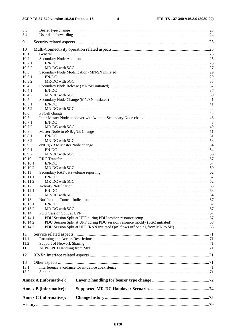#### 3GPP TS 37.340 version 16.2.0 Release 16

 $\overline{\mathbf{4}}$ 

| 8.3<br>8.4     |                               |  |
|----------------|-------------------------------|--|
| 9              |                               |  |
|                |                               |  |
| 10             |                               |  |
| 10.1           |                               |  |
| 10.2<br>10.2.1 |                               |  |
| 10.2.2         |                               |  |
| 10.3           |                               |  |
| 10.3.1         |                               |  |
| 10.3.2         |                               |  |
| 10.4           |                               |  |
| 10.4.1         |                               |  |
| 10.4.2         |                               |  |
| 10.5           |                               |  |
| 10.5.1         |                               |  |
| 10.5.2         |                               |  |
| 10.6           |                               |  |
| 10.7           |                               |  |
| 10.7.1         |                               |  |
| 10.7.2         |                               |  |
| 10.8           |                               |  |
| 10.8.1         |                               |  |
| 10.8.2         |                               |  |
| 10.9           |                               |  |
| 10.9.1         |                               |  |
| 10.9.2         |                               |  |
| 10.10          |                               |  |
| 10.10.1        |                               |  |
| 10.10.2        |                               |  |
| 10.11          |                               |  |
| 10.11.1        |                               |  |
| 10.11.2        |                               |  |
| 10.12          |                               |  |
| 10.12.1        |                               |  |
| 10.12.2        |                               |  |
| 10.13          |                               |  |
| 10.13.1        |                               |  |
| 10.13.2        |                               |  |
| 10.14          |                               |  |
| 10.14.1        |                               |  |
| 10.14.2        |                               |  |
| 10.14.3        |                               |  |
| 11             |                               |  |
| 11.1           |                               |  |
| 11.2           |                               |  |
| 11.3           |                               |  |
| 12             |                               |  |
|                |                               |  |
| 13             |                               |  |
| 13.1<br>13.2   |                               |  |
|                |                               |  |
|                | <b>Annex A (informative):</b> |  |
|                | <b>Annex B</b> (informative): |  |
|                | <b>Annex C</b> (informative): |  |
|                |                               |  |
|                |                               |  |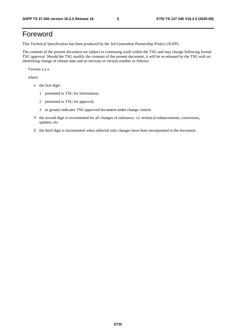## Foreword

This Technical Specification has been produced by the 3rd Generation Partnership Project (3GPP).

The contents of the present document are subject to continuing work within the TSG and may change following formal TSG approval. Should the TSG modify the contents of the present document, it will be re-released by the TSG with an identifying change of release date and an increase in version number as follows:

Version x.y.z

where:

- x the first digit:
	- 1 presented to TSG for information;
	- 2 presented to TSG for approval;
	- 3 or greater indicates TSG approved document under change control.
- Y the second digit is incremented for all changes of substance, i.e. technical enhancements, corrections, updates, etc.
- Z the third digit is incremented when editorial only changes have been incorporated in the document.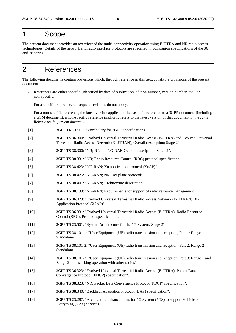### 1 Scope

The present document provides an overview of the multi-connectivity operation using E-UTRA and NR radio access technologies. Details of the network and radio interface protocols are specified in companion specifications of the 36 and 38 series.

### 2 References

The following documents contain provisions which, through reference in this text, constitute provisions of the present document.

- References are either specific (identified by date of publication, edition number, version number, etc.) or non-specific.
- For a specific reference, subsequent revisions do not apply.
- For a non-specific reference, the latest version applies. In the case of a reference to a 3GPP document (including a GSM document), a non-specific reference implicitly refers to the latest version of that document *in the same Release as the present document*.
- [1] 3GPP TR 21.905: "Vocabulary for 3GPP Specifications".
- [2] 3GPP TS 36.300: "Evolved Universal Terrestrial Radio Access (E-UTRA) and Evolved Universal Terrestrial Radio Access Network (E-UTRAN); Overall description; Stage 2".
- [3] 3GPP TS 38.300: "NR; NR and NG-RAN Overall description; Stage 2".
- [4] 3GPP TS 38.331: "NR; Radio Resource Control (RRC) protocol specification".
- [5] 3GPP TS 38.423: "NG-RAN; Xn application protocol (XnAP)".
- [6] 3GPP TS 38.425: "NG-RAN; NR user plane protocol".
- [7] 3GPP TS 38.401: "NG-RAN; Architecture description".
- [8] 3GPP TS 38.133: "NG-RAN; Requirements for support of radio resource management".
- [9] 3GPP TS 36.423: "Evolved Universal Terrestrial Radio Access Network (E-UTRAN); X2 Application Protocol (X2AP)".
- [10] 3GPP TS 36.331: "Evolved Universal Terrestrial Radio Access (E-UTRA); Radio Resource Control (RRC); Protocol specification".
- [11] 3GPP TS 23.501: "System Architecture for the 5G System; Stage 2".
- [12] 3GPP TS 38.101-1: "User Equipment (UE) radio transmission and reception; Part 1: Range 1 Standalone".
- [13] 3GPP TS 38.101-2: "User Equipment (UE) radio transmission and reception; Part 2: Range 2 Standalone".
- [14] 3GPP TS 38.101-3: "User Equipment (UE) radio transmission and reception; Part 3: Range 1 and Range 2 Interworking operation with other radios".
- [15] 3GPP TS 36.323: "Evolved Universal Terrestrial Radio Access (E-UTRA); Packet Data Convergence Protocol (PDCP) specification".
- [16] 3GPP TS 38.323: "NR; Packet Data Convergence Protocol (PDCP) specification".
- [17] 3GPP TS 38.340: "Backhaul Adaptation Protocol (BAP) specification".
- [18] 3GPP TS 23.287: "Architecture enhancements for 5G System (5GS) to support Vehicle-to-Everything (V2X) services ".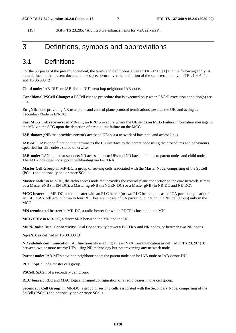[19] 3GPP TS 23.285: "Architecture enhancements for V2X services".

### 3 Definitions, symbols and abbreviations

#### 3.1 Definitions

For the purposes of the present document, the terms and definitions given in TR 21.905 [1] and the following apply. A term defined in the present document takes precedence over the definition of the same term, if any, in TR 21.905 [1] and TS 36.300 [2].

**Child node**: IAB-DU's or IAB-donor-DU's next hop neighbour IAB-node.

**Conditional PSCell Change:** a PSCell change procedure that is executed only when PSCell execution condition(s) are met.

**En-gNB:** node providing NR user plane and control plane protocol terminations towards the UE, and acting as Secondary Node in EN-DC.

**Fast MCG link recovery:** in MR-DC, an RRC procedure where the UE sends an MCG Failure Information message to the MN via the SCG upon the detection of a radio link failure on the MCG.

**IAB-donor:** gNB that provides network access to UEs via a network of backhaul and access links.

**IAB-MT:** IAB-node function that terminates the Uu interface to the parent node using the procedures and behaviours specified for UEs unless stated otherwise.

**IAB-node:** RAN node that supports NR access links to UEs and NR backhaul links to parent nodes and child nodes. The IAB-node does not support backhauling via E-UTRA.

**Master Cell Group**: in MR-DC, a group of serving cells associated with the Master Node, comprising of the SpCell (PCell) and optionally one or more SCells.

**Master node**: in MR-DC, the radio access node that provides the control plane connection to the core network. It may be a Master eNB (in EN-DC), a Master ng-eNB (in NGEN-DC) or a Master gNB (in NR-DC and NE-DC).

**MCG bearer**: in MR-DC, a radio bearer with an RLC bearer (or two RLC bearers, in case of CA packet duplication in an E-UTRAN cell group, or up to four RLC bearers in case of CA packet duplication in a NR cell group) only in the MCG.

**MN terminated bearer:** in MR-DC, a radio bearer for which PDCP is located in the MN.

**MCG SRB**: in MR-DC, a direct SRB between the MN and the UE.

**Multi-Radio Dual Connectivity:** Dual Connectivity between E-UTRA and NR nodes, or between two NR nodes.

**Ng-eNB**: as defined in TS 38.300 [3].

**NR sidelink communication**: AS functionality enabling at least V2X Communication as defined in TS 23.287 [18], between two or more nearby UEs, using NR technology but not traversing any network node.

**Parent node:** IAB-MT's next hop neighbour node; the parent node can be IAB-node or IAB-donor-DU.

**PCell**: SpCell of a master cell group.

**PSCell**: SpCell of a secondary cell group.

**RLC bearer:** RLC and MAC logical channel configuration of a radio bearer in one cell group.

**Secondary Cell Group**: in MR-DC, a group of serving cells associated with the Secondary Node, comprising of the SpCell (PSCell) and optionally one or more SCells.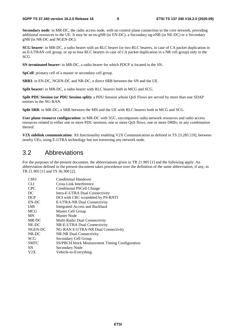**Secondary node**: in MR-DC, the radio access node, with no control plane connection to the core network, providing additional resources to the UE. It may be an en-gNB (in EN-DC), a Secondary ng-eNB (in NE-DC) or a Secondary gNB (in NR-DC and NGEN-DC).

**SCG bearer**: in MR-DC, a radio bearer with an RLC bearer (or two RLC bearers, in case of CA packet duplication in an E-UTRAN cell group, or up to four RLC bearers in case of CA packet duplication in a NR cell group) only in the SCG.

**SN terminated bearer:** in MR-DC, a radio bearer for which PDCP is located in the SN.

**SpCell**: primary cell of a master or secondary cell group.

**SRB3**: in EN-DC, NGEN-DC and NR-DC, a direct SRB between the SN and the UE.

**Split bearer:** in MR-DC, a radio bearer with RLC bearers both in MCG and SCG.

**Split PDU Session (or PDU Session split):** a PDU Session whose QoS Flows are served by more than one SDAP entities in the NG-RAN.

**Split SRB**: in MR-DC, a SRB between the MN and the UE with RLC bearers both in MCG and SCG.

**User plane resource configuration:** in MR-DC with 5GC, encompasses radio network resources and radio access resources related to either one or more PDU sessions, one or more QoS flows, one or more DRBs, or any combination thereof.

**V2X sidelink communication**: AS functionality enabling V2X Communication as defined in TS 23.285 [19], between nearby UEs, using E-UTRA technology but not traversing any network node.

#### 3.2 Abbreviations

For the purposes of the present document, the abbreviations given in TR 21.905 [1] and the following apply. An abbreviation defined in the present document takes precedence over the definition of the same abbreviation, if any, in TR 21.905 [1] and TS 36.300 [2].

| <b>CHO</b>  | Conditional Handover                           |
|-------------|------------------------------------------------|
| <b>CLI</b>  | Cross Link Interference                        |
| <b>CPC</b>  | Conditional PSCell Change                      |
| DC          | Intra-E-UTRA Dual Connectivity                 |
| <b>DCP</b>  | DCI with CRC scrambled by PS-RNTI              |
| EN-DC       | E-UTRA-NR Dual Connectivity                    |
| <b>IAB</b>  | <b>Integrated Access and Backhaul</b>          |
| <b>MCG</b>  | Master Cell Group                              |
| <b>MN</b>   | Master Node                                    |
| MR-DC       | Multi-Radio Dual Connectivity                  |
| NE-DC       | NR-E-UTRA Dual Connectivity                    |
| NGEN-DC     | NG-RAN E-UTRA-NR Dual Connectivity             |
| NR-DC       | NR-NR Dual Connectivity                        |
| <b>SCG</b>  | Secondary Cell Group                           |
| <b>SMTC</b> | SS/PBCH block Measurement Timing Configuration |
| <b>SN</b>   | Secondary Node                                 |
| V2X         | Vehicle-to-Everything                          |
|             |                                                |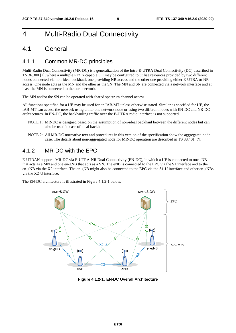### 4 Multi-Radio Dual Connectivity

#### 4.1 General

#### 4.1.1 Common MR-DC principles

Multi-Radio Dual Connectivity (MR-DC) is a generalization of the Intra-E-UTRA Dual Connectivity (DC) described in TS 36.300 [2], where a multiple Rx/Tx capable UE may be configured to utilise resources provided by two different nodes connected via non-ideal backhaul, one providing NR access and the other one providing either E-UTRA or NR access. One node acts as the MN and the other as the SN. The MN and SN are connected via a network interface and at least the MN is connected to the core network.

The MN and/or the SN can be operated with shared spectrum channel access.

All functions specified for a UE may be used for an IAB-MT unless otherwise stated. Similar as specified for UE, the IAB-MT can access the network using either one network node or using two different nodes with EN-DC and NR-DC architectures. In EN-DC, the backhauling traffic over the E-UTRA radio interface is not supported.

- NOTE 1: MR-DC is designed based on the assumption of non-ideal backhaul between the different nodes but can also be used in case of ideal backhaul.
- NOTE 2: All MR-DC normative text and procedures in this version of the specification show the aggregated node case. The details about non-aggregated node for MR-DC operation are described in TS 38.401 [7].

#### 4.1.2 MR-DC with the EPC

E-UTRAN supports MR-DC via E-UTRA-NR Dual Connectivity (EN-DC), in which a UE is connected to one eNB that acts as a MN and one en-gNB that acts as a SN. The eNB is connected to the EPC via the S1 interface and to the en-gNB via the X2 interface. The en-gNB might also be connected to the EPC via the S1-U interface and other en-gNBs via the X2-U interface.

The EN-DC architecture is illustrated in Figure 4.1.2-1 below.



**Figure 4.1.2-1: EN-DC Overall Architecture**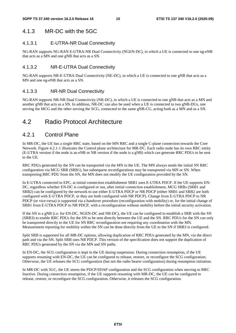#### 4.1.3 MR-DC with the 5GC

#### 4.1.3.1 E-UTRA-NR Dual Connectivity

NG-RAN supports NG-RAN E-UTRA-NR Dual Connectivity (NGEN-DC), in which a UE is connected to one ng-eNB that acts as a MN and one gNB that acts as a SN.

#### 4.1.3.2 NR-E-UTRA Dual Connectivity

NG-RAN supports NR-E-UTRA Dual Connectivity (NE-DC), in which a UE is connected to one gNB that acts as a MN and one ng-eNB that acts as a SN.

#### 4.1.3.3 NR-NR Dual Connectivity

NG-RAN supports NR-NR Dual Connectivity (NR-DC), in which a UE is connected to one gNB that acts as a MN and another gNB that acts as a SN. In addition, NR-DC can also be used when a UE is connected to two gNB-DUs, one serving the MCG and the other serving the SCG, connected to the same gNB-CU, acting both as a MN and as a SN.

### 4.2 Radio Protocol Architecture

#### 4.2.1 Control Plane

In MR-DC, the UE has a single RRC state, based on the MN RRC and a single C-plane connection towards the Core Network. Figure 4.2.1-1 illustrates the Control plane architecture for MR-DC. Each radio node has its own RRC entity (E-UTRA version if the node is an eNB or NR version if the node is a gNB) which can generate RRC PDUs to be sent to the UE.

RRC PDUs generated by the SN can be transported via the MN to the UE. The MN always sends the initial SN RRC configuration via MCG SRB (SRB1), but subsequent reconfigurations may be transported via MN or SN. When transporting RRC PDU from the SN, the MN does not modify the UE configuration provided by the SN.

In E-UTRA connected to EPC, at initial connection establishment SRB1 uses E-UTRA PDCP. If the UE supports EN-DC, regardless whether EN-DC is configured or not, after initial connection establishment, MCG SRBs (SRB1 and SRB2) can be configured by the network to use either E-UTRA PDCP or NR PDCP (either SRB1 and SRB2 are both configured with E-UTRA PDCP, or they are both configured with NR PDCP). Change from E-UTRA PDCP to NR PDCP (or vice-versa) is supported via a handover procedure (reconfiguration with mobility) or, for the initial change of SRB1 from E-UTRA PDCP to NR PDCP, with a reconfiguration without mobility before the initial security activation.

If the SN is a gNB (i.e. for EN-DC, NGEN-DC and NR-DC), the UE can be configured to establish a SRB with the SN (SRB3) to enable RRC PDUs for the SN to be sent directly between the UE and the SN. RRC PDUs for the SN can only be transported directly to the UE for SN RRC reconfiguration not requiring any coordination with the MN. Measurement reporting for mobility within the SN can be done directly from the UE to the SN if SRB3 is configured.

Split SRB is supported for all MR-DC options, allowing duplication of RRC PDUs generated by the MN, via the direct path and via the SN. Split SRB uses NR PDCP. This version of the specification does not support the duplication of RRC PDUs generated by the SN via the MN and SN paths.

In EN-DC, the SCG configuration is kept in the UE during suspension. During connection resumption, if the UE supports resuming with EN-DC, the UE can be configured to release, restore, or reconfigure the SCG configuration. Otherwise, the UE releases the SCG configuration (but not the radio bearer configuration) during resumption initiation.

In MR-DC with 5GC, the UE stores the PDCP/SDAP configuration and the SCG configuration when moving to RRC Inactive. During connection resumption, if the UE supports resuming with MR-DC, the UE can be configured to release, restore, or reconfigure the SCG configuration. Otherwise, it releases the SCG configuration.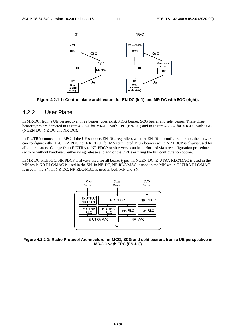

**Figure 4.2.1-1: Control plane architecture for EN-DC (left) and MR-DC with 5GC (right).** 

#### 4.2.2 User Plane

In MR-DC, from a UE perspective, three bearer types exist: MCG bearer, SCG bearer and split bearer. These three bearer types are depicted in Figure 4.2.2-1 for MR-DC with EPC (EN-DC) and in Figure 4.2.2-2 for MR-DC with 5GC (NGEN-DC, NE-DC and NR-DC).

In E-UTRA connected to EPC, if the UE supports EN-DC, regardless whether EN-DC is configured or not, the network can configure either E-UTRA PDCP or NR PDCP for MN terminated MCG bearers while NR PDCP is always used for all other bearers. Change from E-UTRA to NR PDCP or vice-versa can be performed via a reconfiguration procedure (with or without handover), either using release and add of the DRBs or using the full configuration option.

In MR-DC with 5GC, NR PDCP is always used for all bearer types. In NGEN-DC, E-UTRA RLC/MAC is used in the MN while NR RLC/MAC is used in the SN. In NE-DC, NR RLC/MAC is used in the MN while E-UTRA RLC/MAC is used in the SN. In NR-DC, NR RLC/MAC is used in both MN and SN.



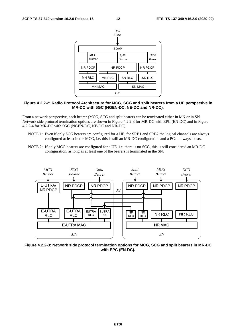

#### **Figure 4.2.2-2: Radio Protocol Architecture for MCG, SCG and split bearers from a UE perspective in MR-DC with 5GC (NGEN-DC, NE-DC and NR-DC).**

From a network perspective, each bearer (MCG, SCG and split bearer) can be terminated either in MN or in SN. Network side protocol termination options are shown in Figure 4.2.2-3 for MR-DC with EPC (EN-DC) and in Figure 4.2.2-4 for MR-DC with 5GC (NGEN-DC, NE-DC and NR-DC).

- NOTE 1: Even if only SCG bearers are configured for a UE, for SRB1 and SRB2 the logical channels are always configured at least in the MCG, i.e. this is still an MR-DC configuration and a PCell always exists.
- NOTE 2: If only MCG bearers are configured for a UE, i.e. there is no SCG, this is still considered an MR-DC configuration, as long as at least one of the bearers is terminated in the SN.



**Figure 4.2.2-3: Network side protocol termination options for MCG, SCG and split bearers in MR-DC with EPC (EN-DC).**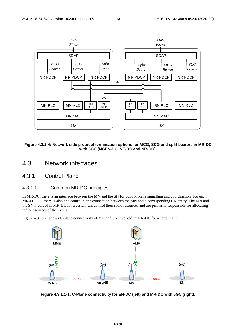

**Figure 4.2.2-4: Network side protocol termination options for MCG, SCG and split bearers in MR-DC with 5GC (NGEN-DC, NE-DC and NR-DC).** 

- 4.3 Network interfaces
- 4.3.1 Control Plane

#### 4.3.1.1 Common MR-DC principles

In MR-DC, there is an interface between the MN and the SN for control plane signalling and coordination. For each MR-DC UE, there is also one control plane connection between the MN and a corresponding CN entity. The MN and the SN involved in MR-DC for a certain UE control their radio resources and are primarily responsible for allocating radio resources of their cells.

Figure 4.3.1.1-1 shows C-plane connectivity of MN and SN involved in MR-DC for a certain UE.



**Figure 4.3.1.1-1: C-Plane connectivity for EN-DC (left) and MR-DC with 5GC (right).**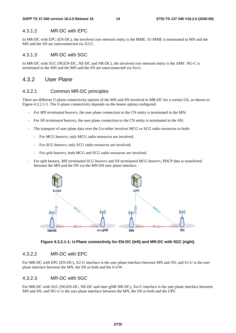#### 4.3.1.2 MR-DC with EPC

In MR-DC with EPC (EN-DC), the involved core network entity is the MME. S1-MME is terminated in MN and the MN and the SN are interconnected via X2-C.

#### 4.3.1.3 MR-DC with 5GC

In MR-DC with 5GC (NGEN-DC, NE-DC and NR-DC), the involved core network entity is the AMF. NG-C is terminated in the MN and the MN and the SN are interconnected via Xn-C.

#### 4.3.2 User Plane

#### 4.3.2.1 Common MR-DC principles

There are different U-plane connectivity options of the MN and SN involved in MR-DC for a certain UE, as shown in Figure 4.3.2.1-1. The U-plane connectivity depends on the bearer option configured:

- For *MN terminated bearers*, the user plane connection to the CN entity is terminated in the MN;
- For *SN terminated bearers*, the user plane connection to the CN entity is terminated in the SN;
- The transport of user plane data over the Uu either involves MCG or SCG radio resources or both:
	- For *MCG bearers*, only MCG radio resources are involved;
	- For *SCG bearers*, only SCG radio resources are involved;
	- For *split bearers*, both MCG and SCG radio resources are involved.
- For split bearers, *MN terminated SCG bearers* and *SN terminated MCG bearers*, PDCP data is transferred between the MN and the SN via the MN-SN user plane interface.



**Figure 4.3.2.1-1: U-Plane connectivity for EN-DC (left) and MR-DC with 5GC (right).** 

#### 4.3.2.2 MR-DC with EPC

For MR-DC with EPC (EN-DC), X2-U interface is the user plane interface between MN and SN, and S1-U is the user plane interface between the MN, the SN or both and the S-GW.

#### 4.3.2.3 MR-DC with 5GC

For MR-DC with 5GC (NGEN-DC, NE-DC and inter-gNB NR-DC), Xn-U interface is the user plane interface between MN and SN, and NG-U is the user plane interface between the MN, the SN or both and the UPF.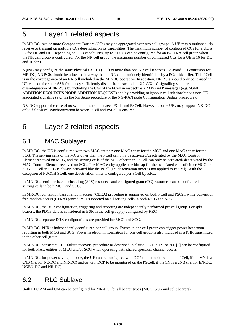### 5 Layer 1 related aspects

In MR-DC, two or more Component Carriers (CCs) may be aggregated over two cell groups. A UE may simultaneously receive or transmit on multiple CCs depending on its capabilities. The maximum number of configured CCs for a UE is 32 for DL and UL. Depending on UE's capabilities, up to 31 CCs can be configured for an E-UTRA cell group when the NR cell group is configured. For the NR cell group, the maximum number of configured CCs for a UE is 16 for DL and 16 for UL.

A gNB may configure the same Physical Cell ID (PCI) to more than one NR cell it serves. To avoid PCI confusion for MR-DC, NR PCIs should be allocated in a way that an NR cell is uniquely identifiable by a PCell identifier. This PCell is in the coverage area of an NR cell included in the MR-DC operation. In addition, NR PCIs should only be re-used in NR cells on the same SSB frequency sufficiently distant from each other. X2-C/Xn-C signalling supports disambiguation of NR PCIs by including the CGI of the PCell in respective X2AP/XnAP messages (e.g. SGNB ADDITION REQUEST/S-NODE ADDITION REQUEST) and by providing neighbour cell relationship via non-UE associated signaling (e.g. via the Xn Setup procedure or the NG-RAN node Configuration Update procedure).

NR-DC supports the case of no synchronization between PCell and PSCell. However, some UEs may support NR-DC only if slot-level synchronization between PCell and PSCell is ensured.

### 6 Layer 2 related aspects

### 6.1 MAC Sublayer

In MR-DC, the UE is configured with two MAC entities: one MAC entity for the MCG and one MAC entity for the SCG. The serving cells of the MCG other than the PCell can only be activated/deactivated by the MAC Control Element received on MCG, and the serving cells of the SCG other than PSCell can only be activated/ deactivated by the MAC Control Element received on SCG. The MAC entity applies the bitmap for the associated cells of either MCG or SCG. PSCell in SCG is always activated like the PCell (i.e. deactivation timer is not applied to PSCell). With the exception of PUCCH SCell, one deactivation timer is configured per SCell by RRC.

In MR-DC, semi-persistent scheduling (SPS) resources and configured grant (CG) resources can be configured on serving cells in both MCG and SCG.

In MR-DC, contention based random access (CBRA) procedure is supported on both PCell and PSCell while contention free random access (CFRA) procedure is supported on all serving cells in both MCG and SCG.

In MR-DC, the BSR configuration, triggering and reporting are independently performed per cell group. For split bearers, the PDCP data is considered in BSR in the cell group(s) configured by RRC.

In MR-DC, separate DRX configurations are provided for MCG and SCG.

In MR-DC, PHR is independently configured per cell group. Events in one cell group can trigger power headroom reporting in both MCG and SCG. Power headroom information for one cell group is also included in a PHR transmitted in the other cell group.

In MR-DC, consistent LBT failure recovery procedure as described in clause 5.6.1 in TS 38.300 [3] can be configured for both MAC entities of MCG and/or SCG when operating with shared spectrum channel access.

In MR-DC, for power saving purpose, the UE can be configured with DCP to be monitored on the PCell, if the MN is a gNB (i.e. for NE-DC and NR-DC) and/or with DCP to be monitored on the PSCell, if the SN is a gNB (i.e. for EN-DC, NGEN-DC and NR-DC).

### 6.2 RLC Sublayer

Both RLC AM and UM can be configured for MR-DC, for all bearer types (MCG, SCG and split bearers).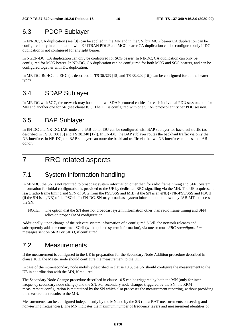### 6.3 PDCP Sublayer

In EN-DC, CA duplication (see [3]) can be applied in the MN and in the SN, but MCG bearer CA duplication can be configured only in combination with E-UTRAN PDCP and MCG bearer CA duplication can be configured only if DC duplication is not configured for any split bearer.

In NGEN-DC, CA duplication can only be configured for SCG bearer. In NE-DC, CA duplication can only be configured for MCG bearer. In NR-DC, CA duplication can be configured for both MCG and SCG bearers, and can be configured together with DC duplication.

In MR-DC, RoHC and EHC (as described in TS 36.323 [15] and TS 38.323 [16]) can be configured for all the bearer types.

### 6.4 SDAP Sublayer

In MR-DC with 5GC, the network may host up to two SDAP protocol entities for each individual PDU session, one for MN and another one for SN (see clause 8.1). The UE is configured with one SDAP protocol entity per PDU session.

### 6.5 BAP Sublayer

In EN-DC and NR-DC, IAB-node and IAB-donor-DU can be configured with BAP sublayer for backhaul traffic (as described in TS 38.300 [3] and TS 38.340 [17]). In EN-DC, the BAP sublayer routes the backhaul traffic via only the NR interface. In NR-DC, the BAP sublayer can route the backhaul traffic via the two NR interfaces to the same IABdonor.

7 RRC related aspects

### 7.1 System information handling

In MR-DC, the SN is not required to broadcast system information other than for radio frame timing and SFN. System information for initial configuration is provided to the UE by dedicated RRC signalling via the MN. The UE acquires, at least, radio frame timing and SFN of SCG from the PSS/SSS and MIB (if the SN is an eNB) / NR-PSS/SSS and PBCH (if the SN is a gNB) of the PSCell. In EN-DC, SN may broadcast system information to allow only IAB-MT to access the SN.

NOTE: The option that the SN does not broadcast system information other than radio frame timing and SFN relies on proper OAM configuration.

Additionally, upon change of the relevant system information of a configured SCell, the network releases and subsequently adds the concerned SCell (with updated system information), via one or more *RRC reconfiguration* messages sent on SRB1 or SRB3, if configured.

### 7.2 Measurements

If the measurement is configured to the UE in preparation for the Secondary Node Addition procedure described in clause 10.2, the Master node should configure the measurement to the UE.

In case of the intra-secondary node mobility described in clause 10.3, the SN should configure the measurement to the UE in coordination with the MN, if required.

The Secondary Node Change procedure described in clause 10.5 can be triggered by both the MN (only for interfrequency secondary node change) and the SN. For secondary node changes triggered by the SN, the RRM measurement configuration is maintained by the SN which also processes the measurement reporting, without providing the measurement results to the MN.

Measurements can be configured independently by the MN and by the SN (intra-RAT measurements on serving and non-serving frequencies). The MN indicates the maximum number of frequency layers and measurement identities of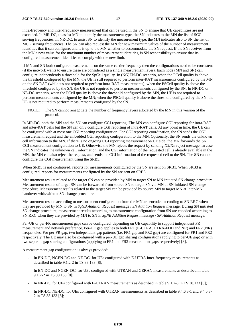intra-frequency and inter-frequency measurement that can be used in the SN to ensure that UE capabilities are not exceeded. In MR-DC, to assist MN to identify the measurement type, the SN indicates to the MN the list of SCG serving frequencies. In NR-DC, to assist SN to identify the measurement type, the MN indicates also to SN the list of MCG serving frequencies. The SN can also request the MN for new maximum values of the number of measurement identities that it can configure, and it is up to the MN whether to accommodate the SN request. If the SN receives from the MN a new value for the maximum number of measurement identities, is SN responsibility to ensure that its configured measurement identities to comply with the new limit.

If MN and SN both configure measurements on the same carrier frequency then the configurations need to be consistent (if the network wants to ensure these are considered as a single measurement layer). Each node (MN and SN) can configure independently a threshold for the SpCell quality. In (NG)EN-DC scenario, when the PCell quality is above the threshold configured by the MN, the UE is still required to perform inter-RAT measurements configured by the MN on the SN RAT (while it's not required to perform intra-RAT measurements); when the PSCell quality is above the threshold configured by the SN, the UE is not required to perform measurements configured by the SN. In NR-DC or NE-DC scenario, when the PCell quality is above the threshold configured by the MN, the UE is not required to perform measurements configured by the MN; when the PSCell quality is above the threshold configured by the SN, the UE is not required to perform measurements configured by the SN.

NOTE: The SN cannot renegotiate the number of frequency layers allocated by the MN in this version of the protocol.

In MR-DC, both the MN and the SN can configure CGI reporting. The MN can configure CGI reporting for intra-RAT and inter-RAT cells but the SN can only configure CGI reporting of intra-RAT cells. At any point in time, the UE can be configured with at most one CGI reporting configuration. For CGI reporting coordination, the SN sends the CGI measurement request and the embedded CGI reporting configuration to the MN. Optionally, the SN sends the unknown cell information to the MN. If there is no ongoing CGI reporting measurement on UE side, the MN forwards the SN CGI measurement configuration to UE. Otherwise the MN rejects the request by sending  $X2/Xn$  reject message. In case the SN indicates the unknown cell information, and the CGI information of the requested cell is already available in the MN, the MN can also reject the request, and sends the CGI information of the requested cell to the SN. The SN cannot configure the CGI measurement using the SRB3.

When SRB3 is not configured, reports for measurements configured by the SN are sent on SRB1. When SRB3 is configured, reports for measurements configured by the SN are sent on SRB3.

Measurement results related to the target SN can be provided by MN to target SN at MN initiated SN change procedure. Measurement results of target SN can be forwarded from source SN to target SN via MN at SN initiated SN change procedure. Measurement results related to the target SN can be provided by source MN to target MN at Inter-MN handover with/without SN change procedure.

Measurement results according to measurement configuration from the MN are encoded according to SN RRC when they are provided by MN to SN in *SgNB Addition Request* message / *SN Addition Request* message. During SN initiated SN change procedure, measurement results according to measurement configuration from SN are encoded according to SN RRC when they are provided by MN to SN in *SgNB Addition Request* message / *SN Addition Request* message.

Per-UE or per-FR measurement gaps can be configured, depending on UE capability to support independent FR measurement and network preference. Per-UE gap applies to both FR1 (E-UTRA, UTRA-FDD and NR) and FR2 (NR) frequencies. For per-FR gap, two independent gap patterns (i.e. FR1 gap and FR2 gap) are configured for FR1 and FR2 respectively. The UE may also be configured with a per-UE gap sharing configuration (applying to per-UE gap) or with two separate gap sharing configurations (applying to FR1 and FR2 measurement gaps respectively) [8].

A measurement gap configuration is always provided:

- In EN-DC, NGEN-DC and NE-DC, for UEs configured with E-UTRA inter-frequency measurements as described in table 9.1.2-2 in TS 38.133 [8];
- In EN-DC and NGEN-DC, for UEs configured with UTRAN and GERAN measurements as described in table 9.1.2-2 in TS 38.133 [8];
- In NR-DC, for UEs configured with E-UTRAN measurements as described in table 9.1.2-3 in TS 38.133 [8];
- In NR-DC, NE-DC, for UEs configured with UTRAN measurements as described in table 9.4.6.3-1 and 9.4.6.3-2 in TS 38.133 [8];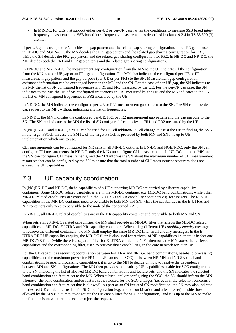In MR-DC, for UEs that support either per-UE or per-FR gaps, when the conditions to measure SSB based interfrequency measurement or SSB based intra-frequency measurement as described in clause 9.2.4 in TS 38.300 [3] are met;

If per-UE gap is used, the MN decides the gap pattern and the related gap sharing configuration. If per-FR gap is used, in EN-DC and NGEN-DC, the MN decides the FR1 gap pattern and the related gap sharing configuration for FR1, while the SN decides the FR2 gap pattern and the related gap sharing configuration for FR2; in NE-DC and NR-DC, the MN decides both the FR1 and FR2 gap patterns and the related gap sharing configurations.

In EN-DC and NGEN-DC, the measurement gap configuration from the MN to the UE indicates if the configuration from the MN is a per-UE gap or an FR1 gap configuration. The MN also indicates the configured per-UE or FR1 measurement gap pattern and the gap purpose (per-UE or per-FR1) to the SN. Measurement gap configuration assistance information can be exchanged between the MN and the SN. For the case of per-UE gap, the SN indicates to the MN the list of SN configured frequencies in FR1 and FR2 measured by the UE. For the per-FR gap case, the SN indicates to the MN the list of SN configured frequencies in FR1 measured by the UE and the MN indicates to the SN the list of MN configured frequencies in FR2 measured by the UE.

In NE-DC, the MN indicates the configured per-UE or FR1 measurement gap pattern to the SN. The SN can provide a gap request to the MN, without indicating any list of frequencies.

In NR-DC, the MN indicates the configured per-UE, FR1 or FR2 measurement gap pattern and the gap purpose to the SN. The SN can indicate to the MN the list of SN configured frequencies in FR1 and FR2 measured by the UE.

In (NG)EN-DC and NR-DC, SMTC can be used for PSCell addition/PSCell change to assist the UE in finding the SSB in the target PSCell. In case the SMTC of the target PSCell is provided by both MN and SN it is up to UE implementation which one to use.

CLI measurements can be configured for NR cells in all MR-DC options. In EN-DC and NGEN-DC, only the SN can configure CLI measurements. In NE-DC, only the MN can configure CLI measurements. In NR-DC, both the MN and the SN can configure CLI measurements, and the MN informs the SN about the maximum number of CLI measurement resources that can be configured by the SN to ensure that the total number of CLI measurement resources does not exceed the UE capabilities.

### 7.3 UE capability coordination

In (NG)EN-DC and NE-DC, thehe capabilities of a UE supporting MR-DC are carried by different capability containers. Some MR-DC related capabilities are in the MR-DC container e.g. MR-DC band combinations, while other MR-DC related capabilities are contained in the E-UTRA and NR capability containers e.g. feature sets. The MR-DC capabilities in the MR-DC container need to be visible to both MN and SN, while the capabilities in the E-UTRA and NR containers only need to be visible to the node of the concerned RAT.

In NR-DC, all NR-DC related capabilities are in the NR capability container and are visible to both MN and SN.

When retrieving MR-DC related capabilities, the MN shall provide an MR-DC filter that affects the MR-DC related capabilities in MR-DC, E-UTRA and NR capability containers. When using different *UE capability enquiry* messages to retrieve the different containers, the MN shall employ the same MR-DC filter in all enquiry messages. In the E-UTRA RRC UE capability enquiry, the MR-DC filter is also used for retrieval of NR capabilities i.e. there is in fact one MR-DC/NR filter (while there is a separate filter for E-UTRA capabilities). Furthermore, the MN stores the retrieved capabilities and the corresponding filter, used to retrieve those capabilities, in the core network for later use.

For the UE capabilities requiring coordination between E-UTRA and NR (i.e. band combinations, baseband processing capabilities and the maximum power for FR1 the UE can use in SCG) or between NR MN and NR SN (i.e. band combinations, baseband processing capabilities), it is up to the MN to decide on how to resolve the dependency between MN and SN configurations. The MN then provides the resulting UE capabilities usable for SCG configuration to the SN, including the list of allowed MR-DC band combinations and feature sets, and the SN indicates the selected band combination and feature set to the MN. When subsequently reconfiguring the SCG, the SN should inform the MN whenever the band combination and/or feature set it selected for the SCG changes (i.e. even if the selection concerns a band combination and feature set that is allowed). As part of an SN initiated SN modification, the SN may also indicate the desired UE capabilities usable for SCG configuration (e.g. a band combination and a feature set) outside those allowed by the MN (i.e. it may re-negotiate the UE capabilities for SCG configuration), and it is up to the MN to make the final decision whether to accept or reject the request.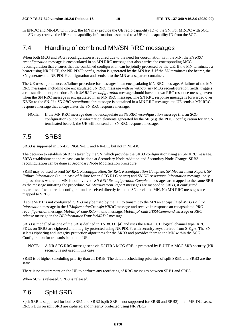In EN-DC and MR-DC with 5GC, the MN may provide the UE radio capability ID to the SN. For MR-DC with 5GC, the SN may retrieve the UE radio capability information associated to a UE radio capability ID from the 5GC.

### 7.4 Handling of combined MN/SN RRC messages

When both MCG and SCG reconfiguration is required due to the need for coordination with the MN, the *SN RRC reconfiguration* message is encapsulated in an MN RRC message that also carries the corresponding MCG reconfiguration that ensures that the combined configuration can be jointly processed by the UE. If the MN terminates a bearer using NR PDCP, the NR PDCP configuration is generated by the MN itself. If the SN terminates the bearer, the SN generates the NR PDCP configuration and sends it to the MN as a separate container.

The UE uses a joint success/failure procedure for messages in an encapsulating MN RRC message. A failure of the MN RRC messages, including one encapsulated SN RRC message with or without any MCG reconfiguration fields, triggers a re-establishment procedure. Each *SN RRC reconfiguration* message should have its own RRC response message even when the SN RRC message is encapsulated in an MN RRC message. The SN RRC response message is forwarded over X2/Xn to the SN. If a *SN RRC reconfiguration* message is contained in a MN RRC message, the UE sends a MN RRC response message that encapsulates the SN RRC response message.

NOTE: If the MN RRC message does not encapsulate an *SN RRC reconfiguration* message (i.e. an SCG configuration) but only information elements generated by the SN (e.g. the PDCP configuration for an SN terminated bearer), the UE will not send an SN RRC response message.

### 7.5 SRB3

SRB3 is supported in EN-DC, NGEN-DC and NR-DC, but not in NE-DC.

The decision to establish SRB3 is taken by the SN, which provides the SRB3 configuration using an SN RRC message. SRB3 establishment and release can be done at Secondary Node Addition and Secondary Node Change. SRB3 reconfiguration can be done at Secondary Node Modification procedure.

SRB3 may be used to send *SN RRC Reconfiguration*, *SN RRC Reconfiguration Complete*, *SN Measurement Report*, *SN Failure Information* (i.e., in case of failure for an SCG RLC bearer) and *SN UE Assistance Information* message, only in procedures where the MN is not involved. *SN RRC Reconfiguration Complete* messages are mapped to the same SRB as the message initiating the procedure. *SN Measurement Report* messages are mapped to SRB3, if configured, regardless of whether the configuration is received directly from the SN or via the MN. No MN RRC messages are mapped to SRB3.

If split SRB1 is not configured, SRB3 may be used by the UE to transmit to the MN an encapsulated *MCG Failure Information* message in the *ULInformationTransferMRDC* message and receive in response an encapsulated *RRC reconfiguration* message, *MobilityFromNRCommand* message, *MobilityFromEUTRACommand* message or *RRC release* message in the *DLInformationTransferMRDC* message.

SRB3 is modelled as one of the SRBs defined in TS 38.331 [4] and uses the NR-DCCH logical channel type. RRC PDUs on SRB3 are ciphered and integrity protected using NR PDCP, with security keys derived from  $S-K_{\text{eNB}}$ . The SN selects ciphering and integrity protection algorithms for the SRB3 and provides them to the MN within the SCG Configuration for transmission to the UE.

NOTE: A NR SCG RRC message sent via E-UTRA MCG SRB is protected by E-UTRA MCG SRB security (NR security is not used in this case).

SRB3 is of higher scheduling priority than all DRBs. The default scheduling priorities of split SRB1 and SRB3 are the same.

There is no requirement on the UE to perform any reordering of RRC messages between SRB1 and SRB3.

When SCG is released, SRB3 is released.

### 7.6 Split SRB

Split SRB is supported for both SRB1 and SRB2 (split SRB is not supported for SRB0 and SRB3) in all MR-DC cases. RRC PDUs on split SRB are ciphered and integrity protected using NR PDCP.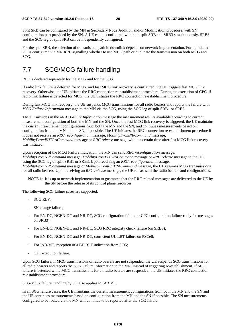Split SRB can be configured by the MN in Secondary Node Addition and/or Modification procedure, with SN configuration part provided by the SN. A UE can be configured with both split SRB and SRB3 simultaneously. SRB3 and the SCG leg of split SRB can be independently configured.

For the split SRB, the selection of transmission path in downlink depends on network implementation. For uplink, the UE is configured via MN RRC signalling whether to use MCG path or duplicate the transmission on both MCG and SCG.

### 7.7 SCG/MCG failure handling

RLF is declared separately for the MCG and for the SCG.

If radio link failure is detected for MCG, and fast MCG link recovery is configured, the UE triggers fast MCG link recovery. Otherwise, the UE initiates the RRC connection re-establishment procedure. During the execution of CPC, if radio link failure is detected for MCG, the UE initiates the RRC connection re-establishment procedure.

During fast MCG link recovery, the UE suspends MCG transmissions for all radio bearers and reports the failure with *MCG Failure Information* message to the MN via the SCG, using the SCG leg of split SRB1 or SRB3.

The UE includes in the *MCG Failure Information* message the measurement results available according to current measurement configuration of both the MN and the SN. Once the fast MCG link recovery is triggered, the UE maintains the current measurement configurations from both the MN and the SN, and continues measurements based on configuration from the MN and the SN, if possible. The UE initiates the RRC connection re-establishment procedure if it does not receive an *RRC reconfiguration* message, *MobilityFromNRCommand* message, *MobilityFromEUTRACommand* message or *RRC release* message within a certain time after fast MCG link recovery was initiated.

Upon reception of the MCG Failure Indication, the MN can send *RRC reconfiguration* message, *MobilityFromNRCommand* message, *MobilityFromEUTRACommand* message or *RRC release* message to the UE, using the SCG leg of split SRB1 or SRB3. Upon receiving an *RRC reconfiguration* message, *MobilityFromNRCommand* message or *MobilityFromEUTRACommand* message, the UE resumes MCG transmissions for all radio bearers. Upon receiving an *RRC release* message, the UE releases all the radio bearers and configurations.

NOTE 1: It is up to network implementation to guarantee that the RRC-related messages are delivered to the UE by the SN before the release of its control plane resources.

The following SCG failure cases are supported:

- SCG RLF;
- SN change failure;
- For EN-DC, NGEN-DC and NR-DC, SCG configuration failure or CPC configuration failure (only for messages on SRB3);
- For EN-DC, NGEN-DC and NR-DC, SCG RRC integrity check failure (on SRB3);
- For EN-DC, NGEN-DC and NR-DC, consistent UL LBT failure on PSCell;
- For IAB-MT, reception of a BH RLF indication from SCG;
- CPC execution failure.

Upon SCG failure, if MCG transmissions of radio bearers are not suspended, the UE suspends SCG transmissions for all radio bearers and reports the SCG Failure Information to the MN, instead of triggering re-establishment. If SCG failure is detected while MCG transmissions for all radio bearers are suspended, the UE initiates the RRC connection re-establishment procedure.

SCG/MCG failure handling by UE also applies to IAB MT.

In all SCG failure cases, the UE maintains the current measurement configurations from both the MN and the SN and the UE continues measurements based on configuration from the MN and the SN if possible. The SN measurements configured to be routed via the MN will continue to be reported after the SCG failure.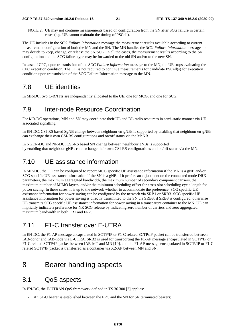NOTE 2: UE may not continue measurements based on configuration from the SN after SCG failure in certain cases (e.g. UE cannot maintain the timing of PSCell).

The UE includes in the *SCG Failure Information* message the measurement results available according to current measurement configuration of both the MN and the SN. The MN handles the *SCG Failure Information* message and may decide to keep, change, or release the SN/SCG. In all the cases, the measurement results according to the SN configuration and the SCG failure type may be forwarded to the old SN and/or to the new SN.

In case of CPC, upon transmission of the *SCG Failure Information* message to the MN, the UE stops evaluating the CPC execution condition. The UE is not required to continue measurements for candidate PSCell(s) for execution condition upon transmission of the SCG Failure Information message to the MN.

#### 7.8 UE identities

In MR-DC, two C-RNTIs are independently allocated to the UE: one for MCG, and one for SCG.

#### 7.9 Inter-node Resource Coordination

For MR-DC operations, MN and SN may coordinate their UL and DL radio resources in semi-static manner via UE associated signalling.

In EN-DC, CSI-RS based SgNB change between neighbour en-gNBs is supported by enabling that neighbour en-gNBs can exchange their own CSI-RS configurations and on/off status via the MeNB.

In NGEN-DC and NR-DC, CSI-RS based SN change between neighbour gNBs is supported by enabling that neighbour gNBs can exchange their own CSI-RS configurations and on/off status via the MN.

### 7.10 UE assistance information

In MR-DC, the UE can be configured to report MCG specific UE assistance information if the MN is a gNB and/or SCG specific UE assistance information if the SN is a gNB, if it prefers an adjustment on the connected mode DRX parameters, the maximum aggregated bandwidth, the maximum number of secondary component carriers, the maximum number of MIMO layers, and/or the minimum scheduling offset for cross-slot scheduling cycle length for power saving. In these cases, it is up to the network whether to accommodate the preference. SCG specific UE assistance information for power saving can be configured by the network via SRB1 or SRB3. SCG specific UE assistance information for power saving is directly transmitted to the SN via SRB3, if SRB3 is configured, otherwise UE transmits SCG specific UE assistance information for power saving in a transparent container to the MN. UE can implicitly indicate a preference for NR SCG release by indicating zero number of carriers and zero aggregated maximum bandwidth in both FR1 and FR2.

### 7.11 F1-C transfer over E-UTRA

In EN-DC, the F1-AP message encapsulated in SCTP/IP or F1-C related SCTP/IP packet can be transferred between IAB-donor and IAB-node via E-UTRA. SRB2 is used for transporting the F1-AP message encapsulated in SCTP/IP or F1-C related SCTP/IP packet between IAB-MT and MN [10], and the F1-AP message encapsulated in SCTP/IP or F1-C related SCTP/IP packet is transferred as a container via X2-AP between MN and SN.

### 8 Bearer handling aspects

### 8.1 QoS aspects

In EN-DC, the E-UTRAN QoS framework defined in TS 36.300 [2] applies:

- An S1-U bearer is established between the EPC and the SN for SN terminated bearers;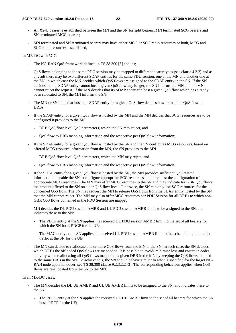- An X2-U bearer is established between the MN and the SN for split bearers, MN terminated SCG bearers and SN terminated MCG bearers;
- MN terminated and SN terminated bearers may have either MCG or SCG radio resources or both, MCG and SCG radio resources, established;

In MR-DC with 5GC:

- The NG-RAN OoS framework defined in TS 38.300 [3] applies;
- QoS flows belonging to the same PDU session may be mapped to different bearer types (see clause 4.2.2) and as a result there may be two different SDAP entities for the same PDU session: one at the MN and another one at the SN, in which case the MN decides which QoS flows are assigned to the SDAP entity in the SN. If the SN decides that its SDAP entity cannot host a given QoS flow any longer, the SN informs the MN and the MN cannot reject the request. If the MN decides that its SDAP entity can host a given QoS flow which has already been relocated to SN, the MN informs the SN;
- The MN or SN node that hosts the SDAP entity for a given QoS flow decides how to map the QoS flow to DRBs;
- If the SDAP entity for a given QoS flow is hosted by the MN and the MN decides that SCG resources are to be configured it provides to the SN
	- DRB QoS flow level QoS parameters, which the SN may reject, and
	- QoS flow to DRB mapping information and the respective per QoS flow information;
- If the SDAP entity for a given OoS flow is hosted by the SN and the SN configures MCG resources, based on offered MCG resource information from the MN, the SN provides to the MN
	- DRB QoS flow level QoS parameters, which the MN may reject, and
	- QoS flow to DRB mapping information and the respective per QoS flow information.
- If the SDAP entity for a given OoS flow is hosted by the SN, the MN provides sufficient OoS related information to enable the SN to configure appropriate SCG resources and to request the configuration of appropriate MCG resources. The MN may offer MCG resources to the SN and may indicate for GBR QoS flows the amount offered to the SN on a per QoS flow level. Otherwise, the SN can only use SCG resources for the concerned QoS flow. The SN may request the MN to release QoS flows from the SDAP entity hosted by the SN that the MN cannot reject. The MN may also offer MCG resources per PDU Session for all DRBs to which non-GBR QoS flows contained in the PDU Session are mapped.
- MN decides the DL PDU session AMBR and UL PDU session AMBR limits to be assigned to the SN, and indicates these to the SN:
	- The PDCP entity at the SN applies the received DL PDU session AMBR limi t to the set of all bearers for which the SN hosts PDCP for the UE;
	- The MAC entity at the SN applies the received UL PDU session AMBR limit to the scheduled uplink radio traffic at the SN for the UE.
- The MN can decide to reallocate one or more QoS flows from the MN to the SN. In such case, the SN decides which DRBs the offloaded OoS flows are mapped to. It is possible to avoid/ minimise loss and ensure in-order delivery when reallocating all QoS flows mapped to a given DRB in the MN by keeping the QoS flows mapped to the same DRB in the SN. To achieve this, the SN should behave similar to what is specified for the target NG-RAN node upon handover, see TS 38.300 clause 9.2.3.2.2 [3]. The corresponding behaviour applies when QoS flows are re-allocated from the SN to the MN.

In all MR-DC cases:

- The MN decides the DL UE AMBR and UL UE AMBR limits to be assigned to the SN, and indicates these to the SN:
	- The PDCP entity at the SN applies the received DL UE AMBR limit to the set of all bearers for which the SN hosts PDCP for the UE;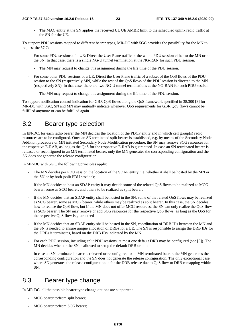#### **3GPP TS 37.340 version 16.2.0 Release 16 23 ETSI TS 137 340 V16.2.0 (2020-09)**

The MAC entity at the SN applies the received UL UE AMBR limit to the scheduled uplink radio traffic at the SN for the UE.

To support PDU sessions mapped to different bearer types, MR-DC with 5GC provides the possibility for the MN to request the 5GC:

- For some PDU sessions of a UE: Direct the User Plane traffic of the whole PDU session either to the MN or to the SN. In that case, there is a single NG-U tunnel termination at the NG-RAN for such PDU session.
	- The MN may request to change this assignment during the life time of the PDU session.
- For some other PDU sessions of a UE: Direct the User Plane traffic of a subset of the QoS flows of the PDU session to the SN (respectively MN) while the rest of the QoS flows of the PDU session is directed to the MN (respectively SN). In that case, there are two NG-U tunnel terminations at the NG-RAN for such PDU session.
	- The MN may request to change this assignment during the life time of the PDU session.

To support notification control indication for GBR QoS flows along the QoS framework specified in 38.300 [3] for MR-DC with 5GC, SN and MN may mutually indicate whenever QoS requirements for GBR QoS flows cannot be fulfilled anymore or can be fulfilled again.

### 8.2 Bearer type selection

In EN-DC, for each radio bearer the MN decides the location of the PDCP entity and in which cell group(s) radio resources are to be configured. Once an SN terminated split bearer is established, e.g. by means of the Secondary Node Addition procedure or MN initiated Secondary Node Modification procedure, the SN may remove SCG resources for the respective E-RAB, as long as the QoS for the respective E-RAB is guaranteed. In case an SN terminated bearer is released or reconfigured to an MN terminated bearer, only the MN generates the corresponding configuration and the SN does not generate the release configuration.

In MR-DC with 5GC, the following principles apply:

- The MN decides per PDU session the location of the SDAP entity, i.e. whether it shall be hosted by the MN or the SN or by both (split PDU session);
- If the MN decides to host an SDAP entity it may decide some of the related OoS flows to be realized as MCG bearer, some as SCG bearer, and others to be realized as split bearer;
- If the MN decides that an SDAP entity shall be hosted in the SN, some of the related QoS flows may be realized as SCG bearer, some as MCG bearer, while others may be realized as split bearer. In this case, the SN decides how to realise the OoS flow, but if the MN does not offer MCG resources, the SN can only realize the OoS flow as SCG bearer. The SN may remove or add SCG resources for the respective QoS flows, as long as the QoS for the respective QoS flow is guaranteed
- If the MN decides that an SDAP entity shall be hosted in the SN, coordination of DRB IDs between the MN and the SN is needed to ensure unique allocation of DRBs for a UE. The SN is responsible to assign the DRB IDs for the DRBs it terminates, based on the DRB IDs indicated by the MN.
- For each PDU session, including split PDU sessions, at most one default DRB may be configured (see [3]). The MN decides whether the SN is allowed to setup the default DRB or not;
- In case an SN terminated bearer is released or reconfigured to an MN terminated bearer, the MN generates the corresponding configuration and the SN does not generate the release configuration. The only exceptional case where SN generates the release configuration is for the DRB release due to OoS flow to DRB remapping within SN.

### 8.3 Bearer type change

In MR-DC, all the possible bearer type change options are supported:

- MCG bearer to/from split bearer;
- MCG bearer to/from SCG bearer;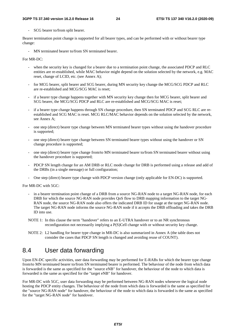#### **3GPP TS 37.340 version 16.2.0 Release 16 24 ETSI TS 137 340 V16.2.0 (2020-09)**

SCG bearer to/from split bearer.

Bearer termination point change is supported for all bearer types, and can be performed with or without bearer type change:

MN terminated bearer to/from SN terminated bearer.

For MR-DC:

- when the security key is changed for a bearer due to a termination point change, the associated PDCP and RLC entities are re-established, while MAC behavior might depend on the solution selected by the network, e.g. MAC reset, change of LCID, etc. (see Annex A);
- for MCG bearer, split bearer and SCG bearer, during MN security key change the MCG/SCG PDCP and RLC are re-established and MCG/SCG MAC is reset;
- if a bearer type change happens together with MN security key change then for MCG bearer, split bearer and SCG bearer, the MCG/SCG PDCP and RLC are re-established and MCG/SCG MAC is reset;
- if a bearer type change happens through SN change procedure, then SN terminated PDCP and SCG RLC are reestablished and SCG MAC is reset. MCG RLC/MAC behavior depends on the solution selected by the network, see Annex A;
- one step (direct) bearer type change between MN terminated bearer types without using the handover procedure is supported;
- one step (direct) bearer type change between SN terminated bearer types without using the handover or SN change procedure is supported;
- one step (direct) bearer type change from/to MN terminated bearer to/from SN terminated bearer without using the handover procedure is supported;
- PDCP SN length change for an AM DRB or RLC mode change for DRB is performed using a release and add of the DRBs (in a single message) or full configuration;
- One step (direct) bearer type change with PDCP version change (only applicable for EN-DC) is supported.

For MR-DC with 5GC:

- in a bearer termination point change of a DRB from a source NG-RAN node to a target NG-RAN node, for each DRB for which the source NG-RAN node provides QoS flow to DRB mapping information to the target NG-RAN node, the source NG-RAN node also offers the indicated DRB ID for usage at the target NG-RAN node. The target NG-RAN node informs the source NG-RAN node if it accepts the DRB offloading and takes the DRB ID into use.
- NOTE 1: In this clause the term "handover" refers to an E-UTRA handover or to an NR synchronous reconfiguration not necessarily implying a P(S)Cell change with or without security key change.
- NOTE 2: L2 handling for bearer type change in MR-DC is also summarized in Annex A (the table does not consider the cases that PDCP SN length is changed and avoiding reuse of COUNT).

### 8.4 User data forwarding

Upon EN-DC specific activities, user data forwarding may be performed for E-RABs for which the bearer type change from/to MN terminated bearer to/from SN terminated bearer is performed. The behaviour of the node from which data is forwarded is the same as specified for the "source eNB" for handover, the behaviour of the node to which data is forwarded is the same as specified for the "target eNB" for handover.

For MR-DC with 5GC, user data forwarding may be performed between NG-RAN nodes whenever the logical node hosting the PDCP entity changes. The behaviour of the node from which data is forwarded is the same as specified for the "source NG-RAN node" for handover, the behaviour of the node to which data is forwarded is the same as specified for the "target NG-RAN node" for handover.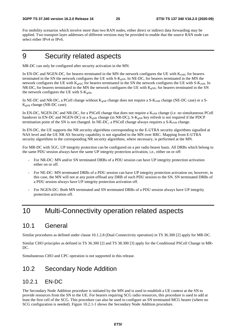For mobility scenarios which involve more than two RAN nodes, either direct or indirect data forwarding may be applied. Two transport layer addresses of different versions may be provided to enable that the source RAN node can select either IPv4 or IPv6.

### 9 Security related aspects

MR-DC can only be configured after security activation in the MN.

In EN-DC and NGEN-DC, for bearers terminated in the MN the network configures the UE with  $K_{eNB}$ ; for bearers terminated in the SN the network configures the UE with  $S-K<sub>gNB</sub>$ . In NE-DC, for bearers terminated in the MN the network configures the UE with  $K_{eNB}$ ; for bearers terminated in the SN the network configures the UE with S- $K_{eNB}$ . In NR-DC, for bearers terminated in the MN the network configures the UE with  $K_{\text{eNB}}$ ; for bearers terminated in the SN the network configures the UE with  $S-K_{gNB}$ .

In NE-DC and NR-DC, a PCell change without  $K_{gNB}$  change does not require a S- $K_{eNB}$  change (NE-DC case) or a S- $K_{\text{gNB}}$  change (NR-DC case).

In EN-DC, NGEN-DC and NR-DC, for a PSCell change that does not require a K<sub>eNB</sub> change (i.e. no simultaneous PCell handover in EN-DC and NGEN-DC) or a  $K_{gNB}$  change (in NR-DC), S- $K_{gNB}$  key refresh is not required if the PDCP termination point of the SN is not changed. In NE-DC, a PSCell change always requires a  $S-K_{eNB}$  change.

In EN-DC, the UE supports the NR security algorithms corresponding to the E-UTRA security algorithms signalled at NAS level and the UE NR AS Security capability is not signalled to the MN over RRC. Mapping from E-UTRA security algorithms to the corresponding NR security algorithms, where necessary, is performed at the MN.

For MR-DC with 5GC, UP integrity protection can be configured on a per radio bearer basis. All DRBs which belong to the same PDU session always have the same UP integrity protection activation, i.e., either on or off:

- For NR-DC: MN and/or SN terminated DRBs of a PDU session can have UP integrity protection activation either on or off.
- For NE-DC: MN terminated DRBs of a PDU session can have UP integrity protection activation on; however, in this case, the MN will not at any point offload any DRB of such PDU session to the SN. SN terminated DRBs of a PDU session always have UP integrity protection activation off.
- For NGEN-DC: Both MN terminated and SN terminated DRBs of a PDU session always have UP integrity protection activation off.

### 10 Multi-Connectivity operation related aspects

#### 10.1 General

Similar procedures as defined under clause 10.1.2.8 (Dual Connectivity operation) in TS 36.300 [2] apply for MR-DC.

Similar CHO principles as defined in TS 36.300 [2] and TS 38.300 [3] apply for the Conditional PSCell Change in MR-DC.

Simultaneous CHO and CPC operation is not supported in this release.

### 10.2 Secondary Node Addition

#### 10.2.1 EN-DC

The Secondary Node Addition procedure is initiated by the MN and is used to establish a UE context at the SN to provide resources from the SN to the UE. For bearers requiring SCG radio resources, this procedure is used to add at least the first cell of the SCG. This procedure can also be used to configure an SN terminated MCG bearer (where no SCG configuration is needed). Figure 10.2.1-1 shows the Secondary Node Addition procedure.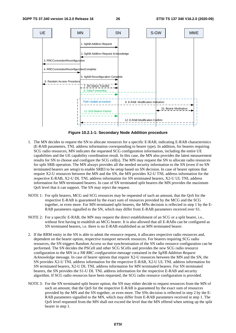

**Figure 10.2.1-1: Secondary Node Addition procedure** 

- 1. The MN decides to request the SN to allocate resources for a specific E-RAB, indicating E-RAB characteristics (E-RAB parameters, TNL address information corresponding to bearer type). In addition, for bearers requiring SCG radio resources, MN indicates the requested SCG configuration information, including the entire UE capabilities and the UE capability coordination result. In this case, the MN also provides the latest measurement results for SN to choose and configure the SCG cell(s). The MN may request the SN to allocate radio resources for split SRB operation. The MN always provides all the needed security information to the SN (even if no SN terminated bearers are setup) to enable SRB3 to be setup based on SN decision. In case of bearer options that require X2-U resources between the MN and the SN, the MN provides X2-U TNL address information for the respective E-RAB, X2-U DL TNL address information for SN terminated bearers, X2-U UL TNL address information for MN terminated bearers. In case of SN terminated split bearers the MN provides the maximum QoS level that it can support. The SN may reject the request.
- NOTE 1: For split bearers, MCG and SCG resources may be requested of such an amount, that the QoS for the respective E-RAB is guaranteed by the exact sum of resources provided by the MCG and the SCG together, or even more. For MN terminated split bearers, the MNs decision is reflected in step 1 by the E-RAB parameters signalled to the SN, which may differ from E-RAB parameters received over S1.
- NOTE 2: For a specific E-RAB, the MN may request the direct establishment of an SCG or a split bearer, i.e., without first having to establish an MCG bearer. It is also allowed that all E-RABs can be configured as SN terminated bearers, i.e. there is no E-RAB established as an MN terminated bearer.
- 2. If the RRM entity in the SN is able to admit the resource request, it allocates respective radio resources and, dependent on the bearer option, respective transport network resources. For bearers requiring SCG radio resources, the SN triggers Random Access so that synchronisation of the SN radio resource configuration can be performed. The SN decides the PSCell and other SCG SCells and provides the new SCG radio resource configuration to the MN in a *NR RRC configuration* message contained in the *SgNB Addition Request Acknowledge* message. In case of bearer options that require X2-U resources between the MN and the SN, the SN provides X2-U TNL address information for the respective E-RAB, X2-U UL TNL address information for SN terminated bearers, X2-U DL TNL address information for MN terminated bearers. For SN terminated bearers, the SN provides the S1-U DL TNL address information for the respective E-RAB and security algorithm. If SCG radio resources have been requested, the SCG radio resource configuration is provided.
- NOTE 3: For the SN terminated split bearer option, the SN may either decide to request resources from the MN of such an amount, that the QoS for the respective E-RAB is guaranteed by the exact sum of resources provided by the MN and the SN together, or even more. The SNs decision is reflected in step 2 by the E-RAB parameters signalled to the MN, which may differ from E-RAB parameters received in step 1. The QoS level requested from the MN shall not exceed the level that the MN offered when setting up the split bearer in step 1.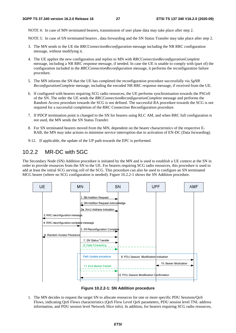NOTE 4: In case of MN terminated bearers, transmission of user plane data may take place after step 2.

NOTE 5: In case of SN terminated bearers , data forwarding and the SN Status Transfer may take place after step 2.

- 3. The MN sends to the UE the *RRCConnectionReconfiguration* message including the NR RRC configuration message, without modifying it.
- 4. The UE applies the new configuration and replies to MN with *RRCConnectionReconfigurationComplete* message, including a NR RRC response message, if needed. In case the UE is unable to comply with (part of) the configuration included in the *RRCConnectionReconfiguration* message, it performs the reconfiguration failure procedure.
- 5. The MN informs the SN that the UE has completed the reconfiguration procedure successfully via *SgNB ReconfigurationComplete* message, including the encoded NR RRC response message, if received from the UE.
- 6. If configured with bearers requiring SCG radio resources, the UE performs synchronisation towards the PSCell of the SN. The order the UE sends the *RRCConnectionReconfigurationComplete* message and performs the Random Access procedure towards the SCG is not defined. The successful RA procedure towards the SCG is not required for a successful completion of the RRC Connection Reconfiguration procedure.
- 7. If PDCP termination point is changed to the SN for bearers using RLC AM, and when RRC full configuration is not used, the MN sends the SN Status Transfer.
- 8. For SN terminated bearers moved from the MN, dependent on the bearer characteristics of the respective E-RAB, the MN may take actions to minimise service interruption due to activation of EN-DC (Data forwarding).
- 9-12. If applicable, the update of the UP path towards the EPC is performed.

#### 10.2.2 MR-DC with 5GC

The Secondary Node (SN) Addition procedure is initiated by the MN and is used to establish a UE context at the SN in order to provide resources from the SN to the UE. For bearers requiring SCG radio resources, this procedure is used to add at least the initial SCG serving cell of the SCG. This procedure can also be used to configure an SN terminated MCG bearer (where no SCG configuration is needed). Figure 10.2.2-1 shows the SN Addition procedure.



**Figure 10.2.2-1: SN Addition procedure** 

1. The MN decides to request the target SN to allocate resources for one or more specific PDU Sessions/QoS Flows, indicating QoS Flows characteristics (QoS Flow Level QoS parameters, PDU session level TNL address information, and PDU session level Network Slice info). In addition, for bearers requiring SCG radio resources,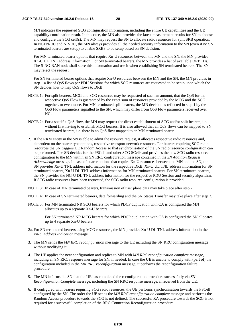MN indicates the requested SCG configuration information, including the entire UE capabilities and the UE capability coordination result. In this case, the MN also provides the latest measurement results for SN to choose and configure the SCG cell(s). The MN may request the SN to allocate radio resources for split SRB operation. In NGEN-DC and NR-DC, the MN always provides all the needed security information to the SN (even if no SN terminated bearers are setup) to enable SRB3 to be setup based on SN decision.

 For MN terminated bearer options that require Xn-U resources between the MN and the SN, the MN provides Xn-U UL TNL address information. For SN terminated bearers, the MN provides a list of available DRB IDs. The S-NG-RAN node shall store this information and use it when establishing SN terminated bearers. The SN may reject the request.

 For SN terminated bearer options that require Xn-U resources between the MN and the SN, the MN provides in step 1 a list of QoS flows per PDU Sessions for which SCG resources are requested to be setup upon which the SN decides how to map QoS flows to DRB.

- NOTE 1: For split bearers, MCG and SCG resources may be requested of such an amount, that the QoS for the respective QoS Flow is guaranteed by the exact sum of resources provided by the MCG and the SCG together, or even more. For MN terminated split bearers, the MN decision is reflected in step 1 by the QoS Flow parameters signalled to the SN, which may differ from QoS Flow parameters received over NG.
- NOTE 2: For a specific QoS flow, the MN may request the direct establishment of SCG and/or split bearers, i.e. without first having to establish MCG bearers. It is also allowed that all QoS flows can be mapped to SN terminated bearers, i.e. there is no QoS flow mapped to an MN terminated bearer.
- 2. If the RRM entity in the SN is able to admit the resource request, it allocates respective radio resources and, dependent on the bearer type options, respective transport network resources. For bearers requiring SCG radio resources the SN triggers UE Random Access so that synchronisation of the SN radio resource configuration can be performed. The SN decides for the PSCell and other SCG SCells and provides the new SCG radio resource configuration to the MN within an SN RRC configuration message contained in the *SN Addition Request Acknowledge* message. In case of bearer options that require Xn-U resources between the MN and the SN, the SN provides Xn-U TNL address information for the respective DRB, Xn-U UL TNL address information for SN terminated bearers, Xn-U DL TNL address information for MN terminated bearers. For SN terminated bearers, the SN provides the NG-U DL TNL address information for the respective PDU Session and security algorithm. If SCG radio resources have been requested, the SCG radio resource configuration is provided.
- NOTE 3: In case of MN terminated bearers, transmission of user plane data may take place after step 2.
- NOTE 4: In case of SN terminated bearers, data forwarding and the SN Status Transfer may take place after step 2.
- NOTE 5: For MN terminated NR SCG bearers for which PDCP duplication with CA is configured the MN allocates up to 4 separate Xn-U bearers.

 For SN terminated NR MCG bearers for which PDCP duplication with CA is configured the SN allocates up to 4 separate Xn-U bearers.

- 2a. For SN terminated bearers using MCG resources, the MN provides Xn-U DL TNL address information in the *Xn-U Address Indication* message.
- 3. The MN sends the *MN RRC reconfiguration* message to the UE including the SN RRC configuration message, without modifying it.
- 4. The UE applies the new configuration and replies to MN with *MN RRC reconfiguration complete* message, including an SN RRC response message for SN, if needed. In case the UE is unable to comply with (part of) the configuration included in the *MN RRC reconfiguration* message, it performs the reconfiguration failure procedure.
- 5. The MN informs the SN that the UE has completed the reconfiguration procedure successfully via *SN Reconfiguration Complete* message, including the SN RRC response message, if received from the UE.
- 6. If configured with bearers requiring SCG radio resources, the UE performs synchronisation towards the PSCell configured by the SN. The order the UE sends the *MN RRC reconfiguration complete* message and performs the Random Access procedure towards the SCG is not defined. The successful RA procedure towards the SCG is not required for a successful completion of the RRC Connection Reconfiguration procedure.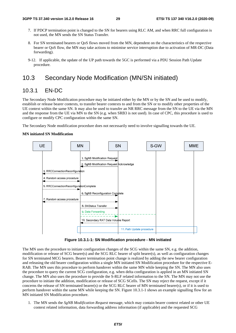- 7. If PDCP termination point is changed to the SN for bearers using RLC AM, and when RRC full configuration is not used, the MN sends the SN Status Transfer.
- 8. For SN terminated bearers or QoS flows moved from the MN, dependent on the characteristics of the respective bearer or QoS flow, the MN may take actions to minimise service interruption due to activation of MR-DC (Data forwarding).
- 9-12. If applicable, the update of the UP path towards the 5GC is performed via a PDU Session Path Update procedure*.*

### 10.3 Secondary Node Modification (MN/SN initiated)

#### 10.3.1 EN-DC

The Secondary Node Modification procedure may be initiated either by the MN or by the SN and be used to modify, establish or release bearer contexts, to transfer bearer contexts to and from the SN or to modify other properties of the UE context within the same SN. It may also be used to transfer an NR RRC message from the SN to the UE via the MN and the response from the UE via MN to the SN (e.g. when SRB3 is not used). In case of CPC, this procedure is used to configure or modify CPC configuration within the same SN.

The Secondary Node modification procedure does not necessarily need to involve signalling towards the UE.

#### **MN initiated SN Modification**



**Figure 10.3.1-1: SN Modification procedure - MN initiated** 

The MN uses the procedure to initiate configuration changes of the SCG within the same SN, e.g. the addition, modification or release of SCG bearer(s) and the SCG RLC bearer of split bearer(s), as well as configuration changes for SN terminated MCG bearers. Bearer termination point change is realized by adding the new bearer configuration and releasing the old bearer configuration within a single MN initiated SN Modification procedure for the respective E-RAB. The MN uses this procedure to perform handover within the same MN while keeping the SN. The MN also uses the procedure to query the current SCG configuration, e.g. when delta configuration is applied in an MN initiated SN change. The MN also uses the procedure to provide the S-RLF related information to the SN. The MN may not use the procedure to initiate the addition, modification or release of SCG SCells. The SN may reject the request, except if it concerns the release of SN terminated bearer(s) or the SCG RLC bearer of MN terminated bearer(s), or if it is used to perform handover within the same MN while keeping the SN. Figure 10.3.1-1 shows an example signalling flow for an MN initiated SN Modification procedure.

1. The MN sends the *SgNB Modification Request* message, which may contain bearer context related or other UE context related information, data forwarding address information (if applicable) and the requested SCG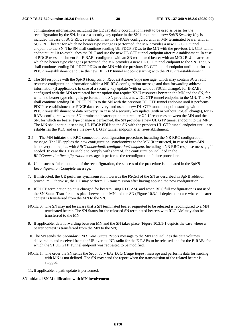configuration information, including the UE capability coordination result to be used as basis for the reconfiguration by the SN. In case a security key update in the SN is required, a new *SgNB Security Key* is included. In case of SCG RLC re-establishment for E-RABs configured with an MN terminated bearer with an SCG RLC bearer for which no bearer type change is performed, the MN provides a new UL GTP tunnel endpoint to the SN. The SN shall continue sending UL PDCP PDUs to the MN with the previous UL GTP tunnel endpoint until it re-establishes the RLC and use the new UL GTP tunnel endpoint after re-establishment. In case of PDCP re-establishment for E-RABs configured with an SN terminated bearer with an MCG RLC bearer for which no bearer type change is performed, the MN provides a new DL GTP tunnel endpoint to the SN. The SN shall continue sending DL PDCP PDUs to the MN with the previous DL GTP tunnel endpoint until it performs PDCP re-establishment and use the new DL GTP tunnel endpoint starting with the PDCP re-establishment.

- 2. The SN responds with the *SgNB Modification Request Acknowledge* message, which may contain SCG radio resource configuration information within a NR RRC configuration message and data forwarding address information (if applicable). In case of a security key update (with or without PSCell change), for E-RABs configured with the MN terminated bearer option that require X2-U resources between the MN and the SN, for which no bearer type change is performed, the SN provides a new DL GTP tunnel endpoint to the MN. The MN shall continue sending DL PDCP PDUs to the SN with the previous DL GTP tunnel endpoint until it performs PDCP re-establishment or PDCP data recovery, and use the new DL GTP tunnel endpoint starting with the PDCP re-establishment or data recovery. In case of a security key update (with or without PSCell change), for E-RABs configured with the SN terminated bearer option that require X2-U resources between the MN and the SN, for which no bearer type change is performed, the SN provides a new UL GTP tunnel endpoint to the MN. The MN shall continue sending UL PDCP PDUs to the SN with the previous UL GTP tunnel endpoint until it reestablishes the RLC and use the new UL GTP tunnel endpoint after re-establishment.
- 3-5. The MN initiates the RRC connection reconfiguration procedure, including the NR RRC configuration message. The UE applies the new configuration, synchronizes to the MN (if instructed, in case of intra-MN handover) and replies with *RRCConnectionReconfigurationComplete*, including a NR RRC response message, if needed. In case the UE is unable to comply with (part of) the configuration included in the *RRCConnectionReconfiguration* message, it performs the reconfiguration failure procedure.
- 6. Upon successful completion of the reconfiguration, the success of the procedure is indicated in the *SgNB Reconfiguration Complete* message.
- 7. If instructed, the UE performs synchronisation towards the PSCell of the SN as described in SgNB addition procedure. Otherwise, the UE may perform UL transmission after having applied the new configuration.
- 8. If PDCP termination point is changed for bearers using RLC AM, and when RRC full configuration is not used, the SN Status Transfer takes place between the MN and the SN (Figure 10.3.1-1 depicts the case where a bearer context is transferred from the MN to the SN).
- NOTE 0: The SN may not be aware that a SN terminated bearer requested to be released is reconfigured to a MN terminated bearer. The SN Status for the released SN terminated bearers with RLC AM may also be transferred to the MN.
- 9. If applicable, data forwarding between MN and the SN takes place (Figure 10.3.1-1 depicts the case where a bearer context is transferred from the MN to the SN).
- 10. The SN sends the *Secondary RAT Data Usage Report* message to the MN and includes the data volumes delivered to and received from the UE over the NR radio for the E-RABs to be released and for the E-RABs for which the S1 UL GTP Tunnel endpoint was requested to be modified.
- NOTE 1: The order the SN sends the *Secondary RAT Data Usage Report* message and performs data forwarding with MN is not defined. The SN may send the report when the transmission of the related bearer is stopped.
- 11. If applicable, a path update is performed.

#### **SN initiated SN Modification with MN involvement**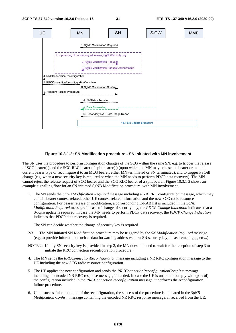

#### **Figure 10.3.1-2: SN Modification procedure - SN initiated with MN involvement**

The SN uses the procedure to perform configuration changes of the SCG within the same SN, e.g. to trigger the release of SCG bearer(s) and the SCG RLC bearer of split bearer(s) (upon which the MN may release the bearer or maintain current bearer type or reconfigure it to an MCG bearer, either MN terminated or SN terminated), and to trigger PSCell change (e.g. when a new security key is required or when the MN needs to perform PDCP data recovery). The MN cannot reject the release request of SCG bearer and the SCG RLC bearer of a split bearer. Figure 10.3.1-2 shows an example signalling flow for an SN initiated SgNB Modification procedure, with MN involvement.

1. The SN sends the *SgNB Modification Required* message including a NR RRC configuration message, which may contain bearer context related, other UE context related information and the new SCG radio resource configuration. For bearer release or modification, a corresponding E-RAB list is included in the *SgNB Modification Required* message. In case of change of security key, the *PDCP Change Indication* indicates that a S-KgNB update is required. In case the MN needs to perform PDCP data recovery, the *PDCP Change Indication* indicates that PDCP data recovery is required.

The SN can decide whether the change of security key is required.

- 2/3. The MN initiated SN Modification procedure may be triggered by the *SN Modification Required* message (e.g. to provide information such as data forwarding addresses, new SN security key, measurement gap, etc...)
- NOTE 2: If only SN security key is provided in step 2, the MN does not need to wait for the reception of step 3 to initiate the RRC connection reconfiguration procedure.
- 4. The MN sends the *RRCConnectionReconfiguration* message including a NR RRC configuration message to the UE including the new SCG radio resource configuration.
- 5. The UE applies the new configuration and sends the *RRCConnectionReconfigurationComplete* message, including an encoded NR RRC response message, if needed. In case the UE is unable to comply with (part of) the configuration included in the *RRCConnectionReconfiguration* message, it performs the reconfiguration failure procedure.
- 6. Upon successful completion of the reconfiguration, the success of the procedure is indicated in the *SgNB Modification Confirm* message containing the encoded NR RRC response message, if received from the UE.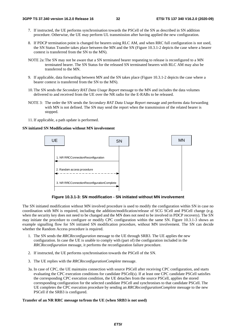- 7. If instructed, the UE performs synchronisation towards the PSCell of the SN as described in SN addition procedure. Otherwise, the UE may perform UL transmission after having applied the new configuration.
- 8. If PDCP termination point is changed for bearers using RLC AM, and when RRC full configuration is not used, the SN Status Transfer takes place between the MN and the SN (Figure 10.3.1-2 depicts the case where a bearer context is transferred from the SN to the MN).
- NOTE 2a: The SN may not be aware that a SN terminated bearer requesting to release is reconfigured to a MN terminated bearer. The SN Status for the released SN terminated bearers with RLC AM may also be transferred to the MN.
- 9. If applicable, data forwarding between MN and the SN takes place (Figure 10.3.1-2 depicts the case where a bearer context is transferred from the SN to the MN).
- 10. The SN sends the *Secondary RAT Data Usage Report* message to the MN and includes the data volumes delivered to and received from the UE over the NR radio for the E-RABs to be released.
- NOTE 3: The order the SN sends the *Secondary RAT Data Usage Report* message and performs data forwarding with MN is not defined. The SN may send the report when the transmission of the related bearer is stopped.
- 11. If applicable, a path update is performed.

#### **SN initiated SN Modification without MN involvement**



**Figure 10.3.1-3: SN modification - SN initiated without MN involvement** 

The SN initiated modification without MN involved procedure is used to modify the configuration within SN in case no coordination with MN is required, including the addition/modification/release of SCG SCell and PSCell change (e.g. when the security key does not need to be changed and the MN does not need to be involved in PDCP recovery). The SN may initiate the procedure to configure or modify CPC configuration within the same SN. Figure 10.3.1-3 shows an example signalling flow for SN initiated SN modification procedure, without MN involvement. The SN can decide whether the Random Access procedure is required.

- 1. The SN sends the *RRCReconfiguration* message to the UE through SRB3. The UE applies the new configuration. In case the UE is unable to comply with (part of) the configuration included in the *RRCReconfiguration* message, it performs the reconfiguration failure procedure.
- 2. If instructed, the UE performs synchronisation towards the PSCell of the SN.
- 3. The UE replies with the *RRCReconfigurationComplete* message.
- 3a. In case of CPC, the UE maintains connection with source PSCell after receiving CPC configuration, and starts evaluating the CPC execution conditions for candidate PSCell(s). If at least one CPC candidate PSCell satisfies the corresponding CPC execution condition, the UE detaches from the source PSCell, applies the stored corresponding configuration for the selected candidate PSCell and synchronises to that candidate PSCell. The UE completes the CPC execution procedure by sending an *RRCReconfigurationComplete* message to the new PSCell if the SRB3 is configured.

#### **Transfer of an NR RRC message to/from the UE (when SRB3 is not used)**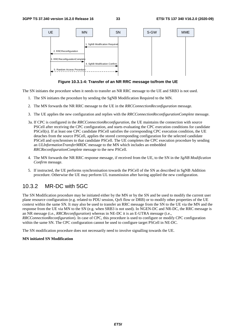

**Figure 10.3.1-4: Transfer of an NR RRC message to/from the UE** 

The SN initiates the procedure when it needs to transfer an NR RRC message to the UE and SRB3 is not used.

- 1. The SN initiates the procedure by sending the SgNB Modification Required to the MN.
- 2. The MN forwards the NR RRC message to the UE in the *RRCConnectionReconfiguration* message.
- 3. The UE applies the new configuration and replies with the *RRCConnectionReconfigurationComplete* message.
- 3a. If CPC is configured in the *RRCConnectionReconfiguration,* the UE maintains the connection with source PSCell after receiving the CPC configuration, and starts evaluating the CPC execution conditions for candidate PSCell(s). If at least one CPC candidate PSCell satisfies the corresponding CPC execution condition, the UE detaches from the source PSCell, applies the stored corresponding configuration for the selected candidate PSCell and synchronises to that candidate PSCell. The UE completes the CPC execution procedure by sending an *ULInformationTransferMRDC* message to the MN which includes an embedded *RRCReconfigurationComplete* message to the new PSCell.
- 4. The MN forwards the NR RRC response message, if received from the UE, to the SN in the *SgNB Modification Confirm* message.
- 5. If instructed, the UE performs synchronisation towards the PSCell of the SN as described in SgNB Addition procedure. Otherwise the UE may perform UL transmission after having applied the new configuration.

#### 10.3.2 MR-DC with 5GC

The SN Modification procedure may be initiated either by the MN or by the SN and be used to modify the current user plane resource configuration (e.g. related to PDU session, QoS flow or DRB) or to modify other properties of the UE context within the same SN. It may also be used to transfer an RRC message from the SN to the UE via the MN and the response from the UE via MN to the SN (e.g. when SRB3 is not used). In NGEN-DC and NR-DC, the RRC message is an NR message (i.e., *RRCReconfiguration*) whereas in NE-DC it is an E-UTRA message (i.e.,

*RRCConnectionReconfiguration*). In case of CPC, this procedure is used to configure or modify CPC configuration within the same SN. The CPC configuration cannot be used to configure target PSCell in NE-DC.

The SN modification procedure does not necessarily need to involve signalling towards the UE.

#### **MN initiated SN Modification**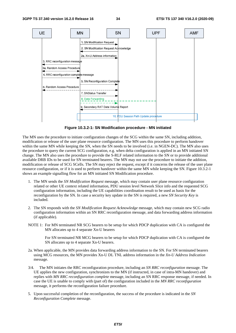

**Figure 10.3.2-1: SN Modification procedure - MN initiated** 

The MN uses the procedure to initiate configuration changes of the SCG within the same SN, including addition, modification or release of the user plane resource configuration. The MN uses this procedure to perform handover within the same MN while keeping the SN, when the SN needs to be involved (i.e. in NGEN-DC). The MN also uses the procedure to query the current SCG configuration, e.g. when delta configuration is applied in an MN initiated SN change. The MN also uses the procedure to provide the S-RLF related information to the SN or to provide additional available DRB IDs to be used for SN terminated bearers. The MN may not use the procedure to initiate the addition, modification or release of SCG SCells. The SN may reject the request, except if it concerns the release of the user plane resource configuration, or if it is used to perform handover within the same MN while keeping the SN. Figure 10.3.2-1 shows an example signalling flow for an MN initiated SN Modification procedure.

- 1. The MN sends the *SN Modification Request* message, which may contain user plane resource configuration related or other UE context related information, PDU session level Network Slice info and the requested SCG configuration information, including the UE capabilities coordination result to be used as basis for the reconfiguration by the SN. In case a security key update in the SN is required, a new *SN Security Key* is included.
- 2. The SN responds with the *SN Modification Request Acknowledge* message, which may contain new SCG radio configuration information within an SN RRC reconfiguration message*,* and data forwarding address information (if applicable).
- NOTE 1: For MN terminated NR SCG bearers to be setup for which PDCP duplication with CA is configured the MN allocates up to 4 separate Xn-U bearers

 For SN terminated NR MCG bearers to be setup for which PDCP duplication with CA is configured the SN allocates up to 4 separate Xn-U bearers.

- 2a. When applicable, the MN provides data forwarding address information to the SN. For SN terminated bearers using MCG resources, the MN provides Xn-U DL TNL address information in the *Xn-U Address Indication* message.
- 3/4. The MN initiates the RRC reconfiguration procedure, including an *SN RRC reconfiguration* message. The UE applies the new configuration, synchronizes to the MN (if instructed, in case of intra-MN handover) and replies with *MN RRC reconfiguration complete* message, including an SN RRC response message, if needed. In case the UE is unable to comply with (part of) the configuration included in the *MN RRC reconfiguration* message, it performs the reconfiguration failure procedure.
- 5. Upon successful completion of the reconfiguration, the success of the procedure is indicated in the *SN Reconfiguration Complete* message.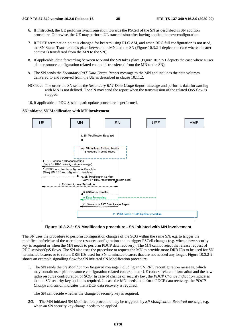- 6. If instructed, the UE performs synchronisation towards the PSCell of the SN as described in SN addition procedure. Otherwise, the UE may perform UL transmission after having applied the new configuration.
- 7. If PDCP termination point is changed for bearers using RLC AM, and when RRC full configuration is not used, the SN Status Transfer takes place between the MN and the SN (Figure 10.3.2-1 depicts the case where a bearer context is transferred from the MN to the SN).
- 8. If applicable, data forwarding between MN and the SN takes place (Figure 10.3.2-1 depicts the case where a user plane resource configuration related context is transferred from the MN to the SN).
- 9. The SN sends the *Secondary RAT Data Usage Report* message to the MN and includes the data volumes delivered to and received from the UE as described in clause 10.11.2.
- NOTE 2: The order the SN sends the *Secondary RAT Data Usage Report* message and performs data forwarding with MN is not defined. The SN may send the report when the transmission of the related QoS flow is stopped.
- 10. If applicable, a PDU Session path update procedure is performed.

#### **SN initiated SN Modification with MN involvement**





The SN uses the procedure to perform configuration changes of the SCG within the same SN, e.g. to trigger the modification/release of the user plane resource configuration and to trigger PSCell changes (e.g. when a new security key is required or when the MN needs to perform PDCP data recovery). The MN cannot reject the release request of PDU session/QoS flows. The SN also uses the procedure to request the MN to provide more DRB IDs to be used for SN terminated bearers or to return DRB IDs used for SN terminated bearers that are not needed any longer. Figure 10.3.2-2 shows an example signalling flow for SN initiated SN Modification procedure.

1. The SN sends the *SN Modification Required* message including an SN RRC reconfiguration message, which may contain user plane resource configuration related context, other UE context related information and the new radio resource configuration of SCG. In case of change of security key, the *PDCP Change Indication* indicates that an SN security key update is required. In case the MN needs to perform PDCP data recovery, the *PDCP Change Indication* indicates that PDCP data recovery is required.

The SN can decide whether the change of security key is required.

2/3. The MN initiated SN Modification procedure may be triggered by *SN Modification Required* message, e.g. when an SN security key change needs to be applied.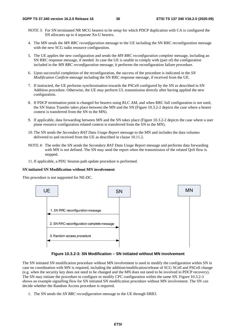- NOTE 3: For SN terminated NR MCG bearers to be setup for which PDCP duplication with CA is configured the SN allocates up to 4 separate Xn-U bearers.
- 4. The MN sends the *MN RRC reconfiguration* message to the UE including the SN RRC reconfiguration message with the new SCG radio resource configuration.
- 5. The UE applies the new configuration and sends the *MN RRC reconfiguration complete* message, including an SN RRC response message, if needed. In case the UE is unable to comply with (part of) the configuration included in the *MN RRC reconfiguration* message, it performs the reconfiguration failure procedure.
- 6. Upon successful completion of the reconfiguration, the success of the procedure is indicated in the *SN Modification Confirm* message including the SN RRC response message, if received from the UE.
- 7. If instructed, the UE performs synchronisation towards the PSCell configured by the SN as described in SN Addition procedure. Otherwise, the UE may perform UL transmission directly after having applied the new configuration.
- 8. If PDCP termination point is changed for bearers using RLC AM, and when RRC full configuration is not used, the SN Status Transfer takes place between the MN and the SN (Figure 10.3.2-2 depicts the case where a bearer context is transferred from the SN to the MN).
- 9. If applicable, data forwarding between MN and the SN takes place (Figure 10.3.2-2 depicts the case where a user plane resource configuration related context is transferred from the SN to the MN).
- 10. The SN sends the *Secondary RAT Data Usage Report* message to the MN and includes the data volumes delivered to and received from the UE as described in clause 10.11.2.
- NOTE 4: The order the SN sends the *Secondary RAT Data Usage Report* message and performs data forwarding with MN is not defined. The SN may send the report when the transmission of the related QoS flow is stopped.
- 11. If applicable, a PDU Session path update procedure is performed.

#### **SN initiated SN Modification without MN involvement**

This procedure is not supported for NE-DC.



#### **Figure 10.3.2-3: SN Modification – SN initiated without MN involvement**

The SN initiated SN modification procedure without MN involvement is used to modify the configuration within SN in case no coordination with MN is required, including the addition/modification/release of SCG SCell and PSCell change (e.g. when the security key does not need to be changed and the MN does not need to be involved in PDCP recovery). The SN may initiate the procedure to configure or modify CPC configuration within the same SN. Figure 10.3.2-3 shows an example signalling flow for SN initiated SN modification procedure without MN involvement. The SN can decide whether the Random Access procedure is required.

1. The SN sends the *SN RRC reconfiguration* message to the UE through SRB3.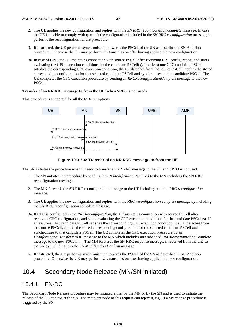- 2. The UE applies the new configuration and replies with the *SN RRC reconfiguration complete* message. In case the UE is unable to comply with (part of) the configuration included in the *SN RRC reconfiguration* message, it performs the reconfiguration failure procedure.
- 3. If instructed, the UE performs synchronisation towards the PSCell of the SN as described in SN Addition procedure. Otherwise the UE may perform UL transmission after having applied the new configuration.
- 3a. In case of CPC, the UE maintains connection with source PSCell after receiving CPC configuration, and starts evaluating the CPC execution conditions for the candidate PSCell(s). If at least one CPC candidate PSCell satisfies the corresponding CPC execution condition, the UE detaches from the source PSCell, applies the stored corresponding configuration for that selected candidate PSCell and synchronises to that candidate PSCell. The UE completes the CPC execution procedure by sending an *RRCReconfigurationComplete* message to the new PSCell.

#### **Transfer of an NR RRC message to/from the UE (when SRB3 is not used)**

This procedure is supported for all the MR-DC options.



**Figure 10.3.2-4: Transfer of an NR RRC message to/from the UE** 

The SN initiates the procedure when it needs to transfer an NR RRC message to the UE and SRB3 is not used.

- 1. The SN initiates the procedure by sending the *SN Modification Required* to the MN including the SN RRC reconfiguration message.
- 2. The MN forwards the SN RRC reconfiguration message to the UE including it in the *RRC reconfiguration*  message.
- 3. The UE applies the new configuration and replies with the *RRC reconfiguration complete* message by including the SN RRC reconfiguration complete message.
- 3a. If CPC is configured in the *RRCReconfiguration,* the UE maintains connection with source PSCell after receiving CPC configuration, and starts evaluating the CPC execution conditions for the candidate PSCell(s). If at least one CPC candidate PSCell satisfies the corresponding CPC execution condition, the UE detaches from the source PSCell, applies the stored corresponding configuration for the selected candidate PSCell and synchronises to that candidate PSCell. The UE completes the CPC execution procedure by an *ULInformationTransferMRDC* message to the MN which includes an embedded *RRCReconfigurationComplete* message to the new PSCell.4. The MN forwards the SN RRC response message, if received from the UE, to the SN by including it in the *SN Modification Confirm* message.
- 5. If instructed, the UE performs synchronisation towards the PSCell of the SN as described in SN Addition procedure. Otherwise the UE may perform UL transmission after having applied the new configuration.

## 10.4 Secondary Node Release (MN/SN initiated)

### 10.4.1 EN-DC

The Secondary Node Release procedure may be initiated either by the MN or by the SN and is used to initiate the release of the UE context at the SN. The recipient node of this request can reject it, e.g., if a SN change procedure is triggered by the SN.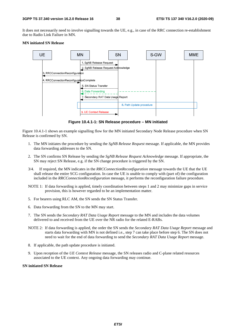It does not necessarily need to involve signalling towards the UE, e.g., in case of the RRC connection re-establishment due to Radio Link Failure in MN.

#### **MN initiated SN Release**



**Figure 10.4.1-1: SN Release procedure – MN initiated** 

Figure 10.4.1-1 shows an example signalling flow for the MN initiated Secondary Node Release procedure when SN Release is confirmed by SN.

- 1. The MN initiates the procedure by sending the *SgNB Release Request* message. If applicable, the MN provides data forwarding addresses to the SN.
- 2. The SN confirms SN Release by sending the *SgNB Release Request Acknowledge* message. If appropriate, the SN may reject SN Release, e.g. if the SN change procedure is triggered by the SN.
- 3/4. If required, the MN indicates in the *RRCConnectionReconfiguration* message towards the UE that the UE shall release the entire SCG configuration. In case the UE is unable to comply with (part of) the configuration included in the *RRCConnectionReconfiguration* message, it performs the reconfiguration failure procedure.
- NOTE 1: If data forwarding is applied, timely coordination between steps 1 and 2 may minimize gaps in service provision, this is however regarded to be an implementation matter.
- 5. For bearers using RLC AM, the SN sends the SN Status Transfer.
- 6. Data forwarding from the SN to the MN may start.
- 7. The SN sends the *Secondary RAT Data Usage Report* message to the MN and includes the data volumes delivered to and received from the UE over the NR radio for the related E-RABs.
- NOTE 2: If data forwarding is applied, the order the SN sends the *Secondary RAT Data Usage Report* message and starts data forwarding with MN is not defined i.e., step 7 can take place before step 6. The SN does not need to wait for the end of data forwarding to send the *Secondary RAT Data Usage Report* message.
- 8. If applicable, the path update procedure is initiated.
- 9. Upon reception of the *UE Context Release* message, the SN releases radio and C-plane related resources associated to the UE context. Any ongoing data forwarding may continue.

#### **SN initiated SN Release**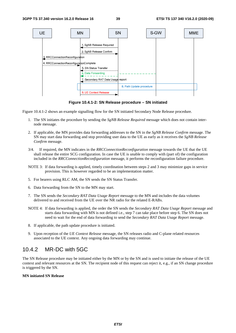

**Figure 10.4.1-2: SN Release procedure – SN initiated** 

Figure 10.4.1-2 shows an example signalling flow for the SN initiated Secondary Node Release procedure.

- 1. The SN initiates the procedure by sending the *SgNB Release Required* message which does not contain internode message.
- 2. If applicable, the MN provides data forwarding addresses to the SN in the *SgNB Release Confirm* message. The SN may start data forwarding and stop providing user data to the UE as early as it receives the *SgNB Release Confirm* message.
- 3/4. If required, the MN indicates in the *RRCConnectionReconfiguration* message towards the UE that the UE shall release the entire SCG configuration. In case the UE is unable to comply with (part of) the configuration included in the *RRCConnectionReconfiguration* message, it performs the reconfiguration failure procedure.
- NOTE 3: If data forwarding is applied, timely coordination between steps 2 and 3 may minimize gaps in service provision. This is however regarded to be an implementation matter.
- 5. For bearers using RLC AM, the SN sends the SN Status Transfer.
- 6. Data forwarding from the SN to the MN may start.
- 7. The SN sends the *Secondary RAT Data Usage Report* message to the MN and includes the data volumes delivered to and received from the UE over the NR radio for the related E-RABs.
- NOTE 4: If data forwarding is applied, the order the SN sends the *Secondary RAT Data Usage Report* message and starts data forwarding with MN is not defined i.e., step 7 can take place before step 6. The SN does not need to wait for the end of data forwarding to send the *Secondary RAT Data Usage Report* message.
- 8. If applicable, the path update procedure is initiated.
- 9. Upon reception of the *UE Context Release* message, the SN releases radio and C-plane related resources associated to the UE context. Any ongoing data forwarding may continue.

### 10.4.2 MR-DC with 5GC

The SN Release procedure may be initiated either by the MN or by the SN and is used to initiate the release of the UE context and relevant resources at the SN. The recipient node of this request can reject it, e.g., if an SN change procedure is triggered by the SN.

#### **MN initiated SN Release**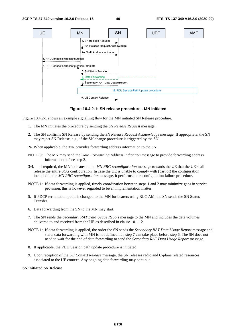

**Figure 10.4.2-1: SN release procedure - MN initiated** 

Figure 10.4.2-1 shows an example signalling flow for the MN initiated SN Release procedure.

- 1. The MN initiates the procedure by sending the *SN Release Request* message.
- 2. The SN confirms SN Release by sending the *SN Release Request Acknowledge* message. If appropriate, the SN may reject SN Release, e.g., if the SN change procedure is triggered by the SN.
- 2a. When applicable, the MN provides forwarding address information to the SN.
- NOTE 0: The MN may send the *Data Forwarding Address Indication* message to provide forwarding address information before step 2.
- 3/4. If required, the MN indicates in the *MN RRC reconfiguration* message towards the UE that the UE shall release the entire SCG configuration. In case the UE is unable to comply with (part of) the configuration included in the *MN RRC reconfiguration* message, it performs the reconfiguration failure procedure.
- NOTE 1: If data forwarding is applied, timely coordination between steps 1 and 2 may minimize gaps in service provision, this is however regarded to be an implementation matter.
- 5. If PDCP termination point is changed to the MN for bearers using RLC AM, the SN sends the SN Status Transfer.
- 6. Data forwarding from the SN to the MN may start.
- 7. The SN sends the *Secondary RAT Data Usage Report* message to the MN and includes the data volumes delivered to and received from the UE as described in clause 10.11.2.
- NOTE 1a: If data forwarding is applied, the order the SN sends the *Secondary RAT Data Usage Report* message and starts data forwarding with MN is not defined i.e., step 7 can take place before step 6. The SN does not need to wait for the end of data forwarding to send the *Secondary RAT Data Usage Report* message.
- 8. If applicable, the PDU Session path update procedure is initiated.
- 9. Upon reception of the *UE Context Release* message, the SN releases radio and C-plane related resources associated to the UE context. Any ongoing data forwarding may continue.

#### **SN initiated SN Release**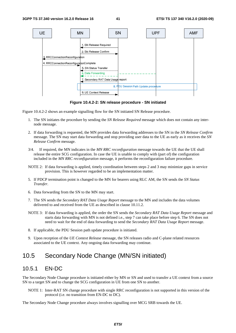

**Figure 10.4.2-2: SN release procedure - SN initiated** 

Figure 10.4.2-2 shows an example signalling flow for the SN initiated SN Release procedure.

- 1. The SN initiates the procedure by sending the *SN Release Required* message which does not contain any internode message.
- 2. If data forwarding is requested, the MN provides data forwarding addresses to the SN in the *SN Release Confirm* message. The SN may start data forwarding and stop providing user data to the UE as early as it receives the *SN Release Confirm* message.
- 3/4. If required, the MN indicates in the *MN RRC reconfiguration* message towards the UE that the UE shall release the entire SCG configuration. In case the UE is unable to comply with (part of) the configuration included in the *MN RRC reconfiguration* message, it performs the reconfiguration failure procedure.
- NOTE 2: If data forwarding is applied, timely coordination between steps 2 and 3 may minimize gaps in service provision. This is however regarded to be an implementation matter.
- 5. If PDCP termination point is changed to the MN for bearers using RLC AM, the SN sends the *SN Status Transfer*.
- 6. Data forwarding from the SN to the MN may start.
- 7. The SN sends the *Secondary RAT Data Usage Report* message to the MN and includes the data volumes delivered to and received from the UE as described in clause 10.11.2.
- NOTE 3: If data forwarding is applied, the order the SN sends the *Secondary RAT Data Usage Report* message and starts data forwarding with MN is not defined i.e., step 7 can take place before step 6. The SN does not need to wait for the end of data forwarding to send the *Secondary RAT Data Usage Report* message.
- 8. If applicable, the PDU Session path update procedure is initiated.
- 9. Upon reception of the *UE Context Release* message, the SN releases radio and C-plane related resources associated to the UE context. Any ongoing data forwarding may continue.

## 10.5 Secondary Node Change (MN/SN initiated)

### 10.5.1 EN-DC

The Secondary Node Change procedure is initiated either by MN or SN and used to transfer a UE context from a source SN to a target SN and to change the SCG configuration in UE from one SN to another.

NOTE 1: Inter-RAT SN change procedure with single RRC reconfiguration is not supported in this version of the protocol (i.e. no transition from EN-DC to DC).

The Secondary Node Change procedure always involves signalling over MCG SRB towards the UE.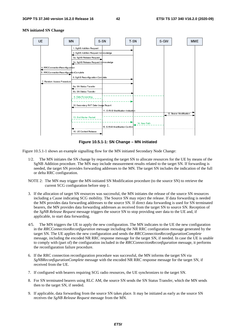

#### **MN initiated SN Change**

**Figure 10.5.1-1: SN Change – MN initiated** 

Figure 10.5.1-1 shows an example signalling flow for the MN initiated Secondary Node Change:

- 1/2. The MN initiates the SN change by requesting the target SN to allocate resources for the UE by means of the SgNB Addition procedure. The MN may include measurement results related to the target SN. If forwarding is needed, the target SN provides forwarding addresses to the MN. The target SN includes the indication of the full or delta RRC configuration.
- NOTE 2: The MN may trigger the MN-initiated SN Modification procedure (to the source SN) to retrieve the current SCG configuration before step 1.
- 3. If the allocation of target SN resources was successful, the MN initiates the release of the source SN resources including a Cause indicating SCG mobility. The Source SN may reject the release. If data forwarding is needed the MN provides data forwarding addresses to the source SN. If direct data forwarding is used for SN terminated bearers, the MN provides data forwarding addresses as received from the target SN to source SN. Reception of the *SgNB Release Request* message triggers the source SN to stop providing user data to the UE and, if applicable, to start data forwarding.
- 4/5. The MN triggers the UE to apply the new configuration. The MN indicates to the UE the new configuration in the *RRCConnectionReconfiguration* message including the NR RRC configuration message generated by the target SN. The UE applies the new configuration and sends the *RRCConnectionReconfigurationComplete* message, including the encoded NR RRC response message for the target SN, if needed. In case the UE is unable to comply with (part of) the configuration included in the *RRCConnectionReconfiguration* message, it performs the reconfiguration failure procedure.
- 6. If the RRC connection reconfiguration procedure was successful, the MN informs the target SN via *SgNBReconfigurationComplete* message with the encoded NR RRC response message for the target SN, if received from the UE.
- 7. If configured with bearers requiring SCG radio resources, the UE synchronizes to the target SN.
- 8. For SN terminated bearers using RLC AM, the source SN sends the SN Status Transfer, which the MN sends then to the target SN, if needed.
- 9. If applicable, data forwarding from the source SN takes place. It may be initiated as early as the source SN receives the *SgNB Release Request* message from the MN.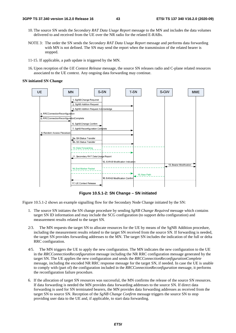- 10. The source SN sends the *Secondary RAT Data Usage Report* message to the MN and includes the data volumes delivered to and received from the UE over the NR radio for the related E-RABs.
- NOTE 3: The order the SN sends the *Secondary RAT Data Usage Report* message and performs data forwarding with MN is not defined. The SN may send the report when the transmission of the related bearer is stopped.
- 11-15. If applicable, a path update is triggered by the MN.
- 16. Upon reception of the *UE Context Release* message, the source SN releases radio and C-plane related resources associated to the UE context. Any ongoing data forwarding may continue.

#### **SN initiated SN Change**



**Figure 10.5.1-2: SN Change – SN initiated** 

Figure 10.5.1-2 shows an example signalling flow for the Secondary Node Change initiated by the SN:

- 1. The source SN initiates the SN change procedure by sending *SgNB Change Required* message which contains target SN ID information and may include the SCG configuration (to support delta configuration) and measurement results related to the target SN.
- 2/3. The MN requests the target SN to allocate resources for the UE by means of the SgNB Addition procedure, including the measurement results related to the target SN received from the source SN. If forwarding is needed, the target SN provides forwarding addresses to the MN. The target SN includes the indication of the full or delta RRC configuration.
- 4/5. The MN triggers the UE to apply the new configuration. The MN indicates the new configuration to the UE in the *RRCConnectionReconfiguration* message including the NR RRC configuration message generated by the target SN. The UE applies the new configuration and sends the *RRCConnectionReconfigurationComplete* message, including the encoded NR RRC response message for the target SN, if needed. In case the UE is unable to comply with (part of) the configuration included in the *RRCConnectionReconfiguration* message, it performs the reconfiguration failure procedure.
- 6. If the allocation of target SN resources was successful, the MN confirms the release of the source SN resources. If data forwarding is needed the MN provides data forwarding addresses to the source SN. If direct data forwarding is used for SN terminated bearers, the MN provides data forwarding addresses as received from the target SN to source SN. Reception of the *SgNB Change Confirm* message triggers the source SN to stop providing user data to the UE and, if applicable, to start data forwarding.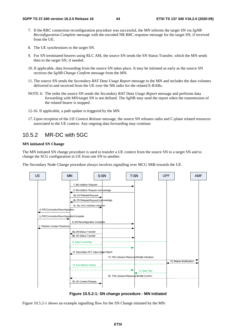- 7. If the RRC connection reconfiguration procedure was successful, the MN informs the target SN via *SgNB Reconfiguration Complete* message with the encoded NR RRC response message for the target SN, if received from the UE.
- 8. The UE synchronizes to the target SN.
- 9. For SN terminated bearers using RLC AM, the source SN sends the SN Status Transfer, which the MN sends then to the target SN, if needed.
- 10. If applicable, data forwarding from the source SN takes place. It may be initiated as early as the source SN receives the *SgNB Change Confirm* message from the MN.
- 11. The source SN sends the *Secondary RAT Data Usage Report* message to the MN and includes the data volumes delivered to and received from the UE over the NR radio for the related E-RABs.
- NOTE 4: The order the source SN sends the *Secondary RAT Data Usage Report* message and performs data forwarding with MN/target SN is not defined. The SgNB may send the report when the transmission of the related bearer is stopped.
- 12-16. If applicable, a path update is triggered by the MN.
- 17. Upon reception of the *UE Context Release* message, the source SN releases radio and C-plane related resources associated to the UE context. Any ongoing data forwarding may continue.

### 10.5.2 MR-DC with 5GC

#### **MN initiated SN Change**

The MN initiated SN change procedure is used to transfer a UE context from the source SN to a target SN and to change the SCG configuration in UE from one SN to another.

The Secondary Node Change procedure always involves signalling over MCG SRB towards the UE.



**Figure 10.5.2-1: SN change procedure - MN initiated** 

Figure 10.5.2-1 shows an example signalling flow for the SN Change initiated by the MN: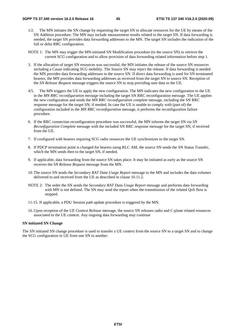- 1/2. The MN initiates the SN change by requesting the target SN to allocate resources for the UE by means of the SN Addition procedure. The MN may include measurement results related to the target SN. If data forwarding is needed, the target SN provides data forwarding addresses to the MN. The target SN includes the indication of the full or delta RRC configuration.
- NOTE 1: The MN may trigger the MN-initiated SN Modification procedure (to the source SN) to retrieve the current SCG configuration and to allow provision of data forwarding related information before step 1.
- 3. If the allocation of target SN resources was successful, the MN initiates the release of the source SN resources including a Cause indicating SCG mobility. The Source SN may reject the release. If data forwarding is needed the MN provides data forwarding addresses to the source SN. If direct data forwarding is used for SN terminated bearers, the MN provides data forwarding addresses as received from the target SN to source SN. Reception of the *SN Release Request* message triggers the source SN to stop providing user data to the UE.
- 4/5. The MN triggers the UE to apply the new configuration. The MN indicates the new configuration to the UE in the *MN RRC reconfiguration message* including the target SN RRC reconfiguration message. The UE applies the new configuration and sends the *MN RRC reconfiguration complete* message, including the SN RRC response message for the target SN, if needed. In case the UE is unable to comply with (part of) the configuration included in the *MN RRC reconfiguration* message, it performs the reconfiguration failure procedure.
- 6. If the RRC connection reconfiguration procedure was successful, the MN informs the target SN via *SN Reconfiguration Complete* message with the included SN RRC response message for the target SN, if received from the UE.
- 7. If configured with bearers requiring SCG radio resources the UE synchronizes to the target SN.
- 8. If PDCP termination point is changed for bearers using RLC AM, the source SN sends the SN Status Transfer, which the MN sends then to the target SN, if needed.
- 9. If applicable, data forwarding from the source SN takes place. It may be initiated as early as the source SN receives the *SN Release Request* message from the MN.
- 10. The source SN sends the *Secondary RAT Data Usage Report* message to the MN and includes the data volumes delivered to and received from the UE as described in clause 10.11.2.
- NOTE 2: The order the SN sends the *Secondary RAT Data Usage Report* message and performs data forwarding with MN is not defined. The SN may send the report when the transmission of the related QoS flow is stopped.
- 11-15. If applicable, a PDU Session path update procedure is triggered by the MN.
- 16. Upon reception of the *UE Context Release* message, the source SN releases radio and C-plane related resources associated to the UE context. Any ongoing data forwarding may continue

#### **SN initiated SN Change**

The SN initiated SN change procedure is used to transfer a UE context from the source SN to a target SN and to change the SCG configuration in UE from one SN to another.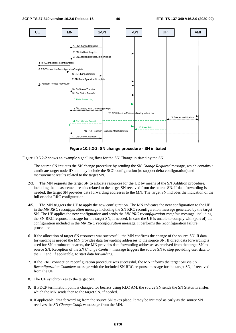

**Figure 10.5.2-2: SN change procedure - SN initiated** 

Figure 10.5.2-2 shows an example signalling flow for the SN Change initiated by the SN:

- 1. The source SN initiates the SN change procedure by sending the *SN Change Required* message, which contains a candidate target node ID and may include the SCG configuration (to support delta configuration) and measurement results related to the target SN.
- 2/3. The MN requests the target SN to allocate resources for the UE by means of the SN Addition procedure, including the measurement results related to the target SN received from the source SN. If data forwarding is needed, the target SN provides data forwarding addresses to the MN. The target SN includes the indication of the full or delta RRC configuration.
- 4/5. The MN triggers the UE to apply the new configuration. The MN indicates the new configuration to the UE in the *MN RRC reconfiguration* message including the SN RRC reconfiguration message generated by the target SN. The UE applies the new configuration and sends the *MN RRC reconfiguration complete* message, including the SN RRC response message for the target SN, if needed. In case the UE is unable to comply with (part of) the configuration included in the *MN RRC reconfiguration* message, it performs the reconfiguration failure procedure.
- 6. If the allocation of target SN resources was successful, the MN confirms the change of the source SN. If data forwarding is needed the MN provides data forwarding addresses to the source SN. If direct data forwarding is used for SN terminated bearers, the MN provides data forwarding addresses as received from the target SN to source SN. Reception of the *SN Change Confirm* message triggers the source SN to stop providing user data to the UE and, if applicable, to start data forwarding.
- 7. If the RRC connection reconfiguration procedure was successful, the MN informs the target SN via *SN Reconfiguration Complete* message with the included SN RRC response message for the target SN, if received from the UE.
- 8. The UE synchronizes to the target SN.
- 9. If PDCP termination point is changed for bearers using RLC AM, the source SN sends the SN Status Transfer, which the MN sends then to the target SN, if needed.
- 10. If applicable, data forwarding from the source SN takes place. It may be initiated as early as the source SN receives the *SN Change Confirm* message from the MN.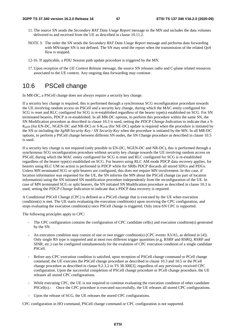- 11. The source SN sends the *Secondary RAT Data Usage Report* message to the MN and includes the data volumes delivered to and received from the UE as described in clause 10.11.2.
- NOTE 3: The order the SN sends the *Secondary RAT Data Usage Report* message and performs data forwarding with MN/target SN is not defined. The SN may send the report when the transmission of the related QoS flow is stopped.
- 12-16. If applicable, a PDU Session path update procedure is triggered by the MN.
- 17. Upon reception of the *UE Context Release* message, the source SN releases radio and C-plane related resources associated to the UE context. Any ongoing data forwarding may continue.

## 10.6 PSCell change

In MR-DC, a PSCell change does not always require a security key change.

If a security key change is required, this is performed through a synchronous SCG reconfiguration procedure towards the UE involving random access on PSCell and a security key change, during which the MAC entity configured for SCG is reset and RLC configured for SCG is re-established regardless of the bearer type(s) established on SCG. For SN terminated bearers, PDCP is re-established. In all MR-DC options, to perform this procedure within the same SN, the SN Modification procedure as described in clause 10.3 is used, setting the *PDCP Change Indication* to indicate that a S- $K_{\text{eNB}}$  (for EN-DC, NGEN-DC and NR-DC) or S- $K_{\text{eNB}}$  (for NE-DC) update is required when the procedure is initiated by the SN or including the *SgNB Security Key* / *SN Security Key* when the procedure is initiated by the MN. In all MR-DC options, to perform a PSCell change between different SN nodes, the SN Change procedure as described in clause 10.5 is used.

If a security key change is not required (only possible in EN-DC, NGEN-DC and NR-DC), this is performed through a synchronous SCG reconfiguration procedure without security key change towards the UE involving random access on PSCell, during which the MAC entity configured for SCG is reset and RLC configured for SCG is re-established regardless of the bearer type(s) established on SCG. For bearers using RLC AM mode PDCP data recovery applies, for bearers using RLC UM no action is performed in PDCP while for SRBs PDCP discards all stored SDUs and PDUs. Unless MN terminated SCG or split bearers are configured, this does not require MN involvement. In this case, if location information was requested for the UE, the SN informs the MN about the PSCell change (as part of location information) using the SN initiated SN modification procedure independently from the reconfiguration of the UE. In case of MN terminated SCG or split bearers, the SN initiated SN Modification procedure as described in clause 10.3 is used, setting the *PDCP Change Indication* to indicate that a PDCP data recovery is required.

A Conditional PSCell Change (CPC) is defined as a PSCell change that is executed by the UE when execution condition(s) is met. The UE starts evaluating the execution condition(s) upon receiving the CPC configuration, and stops evaluating the execution condition(s) once PSCell change is triggered. Only intra-SN CPC is supported.

The following principles apply to CPC:

- The CPC configuration contains the configuration of CPC candidate cell(s) and execution condition(s) generated by the SN.
- An execution condition may consist of one or two trigger condition(s) (CPC events A3/A5, as defined in [4]). Only single RS type is supported and at most two different trigger quantities (e.g. RSRP and RSRQ, RSRP and SINR, etc.) can be configured simultaneously for the evalution of CPC execution condition of a single candidate PSCell.
- Before any CPC execution condition is satisfied, upon reception of PSCell change command or PCell change command, the UE executes the PSCell change procedure as described in clause 10.3 and 10.5 or the PCell change procedure as described in clause 9.2.3.2 in TS 38.300[3], regardless of any previously received CPC configuration. Upon the successful completion of PSCell change procedure or PCell change procedure, the UE releases all stored CPC configurations.
- While executing CPC, the UE is not required to continue evaluating the execution condition of other candidate PSCell(s).- Once the CPC procedure is executed successfully, the UE releases all stored CPC configurations.
- Upon the release of SCG, the UE releases the stored CPC configurations.

CPC configuration in HO command, PSCell change command or CPC configuration is not supported.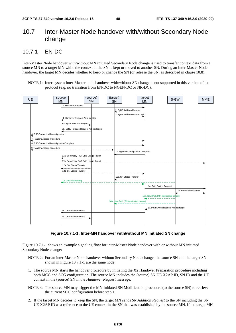## 10.7 Inter-Master Node handover with/without Secondary Node change

### 10.7.1 EN-DC

Inter-Master Node handover with/without MN initiated Secondary Node change is used to transfer context data from a source MN to a target MN while the context at the SN is kept or moved to another SN. During an Inter-Master Node handover, the target MN decides whether to keep or change the SN (or release the SN, as described in clause 10.8).

NOTE 1: Inter-system Inter-Master node handover with/without SN change is not supported in this version of the protocol (e.g. no transition from EN-DC to NGEN-DC or NR-DC).



**Figure 10.7.1-1: Inter-MN handover with/without MN initiated SN change** 

Figure 10.7.1-1 shows an example signaling flow for inter-Master Node handover with or without MN initiated Secondary Node change:

- NOTE 2: For an inter-Master Node handover without Secondary Node change, the source SN and the target SN shown in Figure 10.7.1-1 are the same node.
- 1. The source MN starts the handover procedure by initiating the X2 Handover Preparation procedure including both MCG and SCG configuration. The source MN includes the (source) SN UE X2AP ID, SN ID and the UE context in the (source) SN in the *Handover Request* message.
- NOTE 3: The source MN may trigger the MN-initiated SN Modification procedure (to the source SN) to retrieve the current SCG configuration before step 1.
- 2. If the target MN decides to keep the SN, the target MN sends *SN Addition Request* to the SN including the SN UE X2AP ID as a reference to the UE context in the SN that was established by the source MN. If the target MN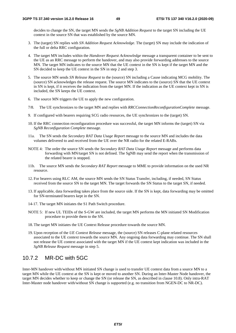decides to change the SN, the target MN sends the *SgNB Addition Request* to the target SN including the UE context in the source SN that was established by the source MN.

- 3. The (target) SN replies with *SN Addition Request Acknowledge*. The (target) SN may include the indication of the full or delta RRC configuration.
- 4. The target MN includes within the *Handover Request Acknowledge* message a transparent container to be sent to the UE as an RRC message to perform the handover, and may also provide forwarding addresses to the source MN. The target MN indicates to the source MN that the UE context in the SN is kept if the target MN and the SN decided to keep the UE context in the SN in step 2 and step 3.
- 5. The source MN sends *SN Release Request* to the (source) SN including a Cause indicating MCG mobility. The (source) SN acknowledges the release request. The source MN indicates to the (source) SN that the UE context in SN is kept, if it receives the indication from the target MN. If the indication as the UE context kept in SN is included, the SN keeps the UE context.
- 6. The source MN triggers the UE to apply the new configuration.
- 7/8. The UE synchronizes to the target MN and replies with *RRCConnectionReconfigurationComplete* message.
- 9. If configured with bearers requiring SCG radio resources, the UE synchronizes to the (target) SN.
- 10. If the RRC connection reconfiguration procedure was successful, the target MN informs the (target) SN via *SgNB Reconfiguration Complete* message.
- 11a. The SN sends the *Secondary RAT Data Usage Report* message to the source MN and includes the data volumes delivered to and received from the UE over the NR radio for the related E-RABs.
- NOTE 4: The order the source SN sends the *Secondary RAT Data Usage Report* message and performs data forwarding with MN/target SN is not defined. The SgNB may send the report when the transmission of the related bearer is stopped.
- 11b. The source MN sends the *Secondary RAT Report* message to MME to provide information on the used NR resource.
- 12. For bearers using RLC AM, the source MN sends the SN Status Transfer, including, if needed, SN Status received from the source SN to the target MN. The target forwards the SN Status to the target SN, if needed.
- 13. If applicable, data forwarding takes place from the source side. If the SN is kept, data forwarding may be omitted for SN-terminated bearers kept in the SN.
- 14-17. The target MN initiates the S1 Path Switch procedure.
- NOTE 5: If new UL TEIDs of the S-GW are included, the target MN performs the MN initiated SN Modification procedure to provide them to the SN.
- 18. The target MN initiates the UE Context Release procedure towards the source MN.
- 19. Upon reception of the *UE Context Release* message, the (source) SN releases C-plane related resources associated to the UE context towards the source MN. Any ongoing data forwarding may continue. The SN shall not release the UE context associated with the target MN if the UE context kept indication was included in the *SgNB Release Request* message in step 5.

### 10.7.2 MR-DC with 5GC

Inter-MN handover with/without MN initiated SN change is used to transfer UE context data from a source MN to a target MN while the UE context at the SN is kept or moved to another SN. During an Inter-Master Node handover, the target MN decides whether to keep or change the SN (or release the SN, as described in clause 10.8). Only intra-RAT Inter-Master node handover with/without SN change is supported (e.g. no transition from NGEN-DC to NR-DC).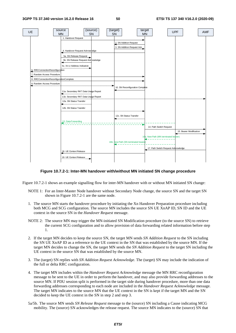

#### **Figure 10.7.2-1: Inter-MN handover with/without MN initiated SN change procedure**

Figure 10.7.2-1 shows an example signalling flow for inter-MN handover with or without MN initiated SN change:

- NOTE 1: For an Inter-Master Node handover without Secondary Node change, the source SN and the target SN shown in Figure 10.7.2-1 are the same node.
- 1. The source MN starts the handover procedure by initiating the Xn Handover Preparation procedure including both MCG and SCG configuration. The source MN includes the source SN UE XnAP ID, SN ID and the UE context in the source SN in the *Handover Request* message.
- NOTE 2: The source MN may trigger the MN-initiated SN Modification procedure (to the source SN) to retrieve the current SCG configuration and to allow provision of data forwarding related information before step 1.
- 2. If the target MN decides to keep the source SN, the target MN sends *SN Addition Request* to the SN including the SN UE XnAP ID as a reference to the UE context in the SN that was established by the source MN. If the target MN decides to change the SN, the target MN sends the *SN Addition Request* to the target SN including the UE context in the source SN that was established by the source MN.
- 3. The (target) SN replies with *SN Addition Request Acknowledge*. The (target) SN may include the indication of the full or delta RRC configuration.
- 4. The target MN includes within the *Handover Request Acknowledge* message the MN RRC reconfiguration message to be sent to the UE in order to perform the handover, and may also provide forwarding addresses to the source MN. If PDU session split is performed in the target side during handover procedure, more than one data forwarding addresses corresponding to each node are included in the *Handover Request Acknowledge* message. The target MN indicates to the source MN that the UE context in the SN is kept if the target MN and the SN decided to keep the UE context in the SN in step 2 and step 3.
- 5a/5b. The source MN sends *SN Release Request* message to the (source) SN including a Cause indicating MCG mobility. The (source) SN acknowledges the release request. The source MN indicates to the (source) SN that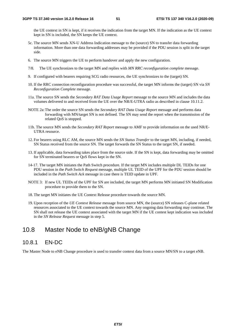the UE context in SN is kept, if it receives the indication from the target MN. If the indication as the UE context kept in SN is included, the SN keeps the UE context.

- 5c. The source MN sends XN-U Address Indication message to the (source) SN to transfer data forwarding information. More than one data forwarding addresses may be provided if the PDU session is split in the target side.
- 6. The source MN triggers the UE to perform handover and apply the new configuration.
- 7/8. The UE synchronizes to the target MN and replies with *MN RRC reconfiguration complete* message.
- 9. If configured with bearers requiring SCG radio resources, the UE synchronizes to the (target) SN.
- 10. If the RRC connection reconfiguration procedure was successful, the target MN informs the (target) SN via *SN Reconfiguration Complete* message.
- 11a. The source SN sends the *Secondary RAT Data Usage Report* message to the source MN and includes the data volumes delivered to and received from the UE over the NR/E-UTRA radio as described in clause 10.11.2.
- NOTE 2a: The order the source SN sends the *Secondary RAT Data Usage Report* message and performs data forwarding with MN/target SN is not defined. The SN may send the report when the transmission of the related QoS is stopped.
- 11b. The source MN sends the *Secondary RAT Report* message to AMF to provide information on the used NR/E-UTRA resource.
- 12. For bearers using RLC AM, the source MN sends the *SN Status Transfer* to the target MN, including, if needed, SN Status received from the source SN. The target forwards the SN Status to the target SN, if needed.
- 13. If applicable, data forwarding takes place from the source side. If the SN is kept, data forwarding may be omitted for SN terminated bearers or QoS flows kept in the SN.
- 14-17. The target MN initiates the Path Switch procedure*.* If the target MN includes multiple DL TEIDs for one PDU session in the *Path Switch Request* message, multiple UL TEID of the UPF for the PDU session should be included in the *Path Switch Ack* message in case there is TEID update in UPF.
- NOTE 3: If new UL TEIDs of the UPF for SN are included, the target MN performs MN initiated SN Modification procedure to provide them to the SN.
- 18. The target MN initiates the UE Context Release procedure towards the source MN.
- 19. Upon reception of the *UE Context Release* message from source MN, the (source) SN releases C-plane related resources associated to the UE context towards the source MN. Any ongoing data forwarding may continue. The SN shall not release the UE context associated with the target MN if the UE contest kept indication was included in the *SN Release Request* message in step 5.

## 10.8 Master Node to eNB/gNB Change

### 10.8.1 EN-DC

The Master Node to eNB Change procedure is used to transfer context data from a source MN/SN to a target eNB.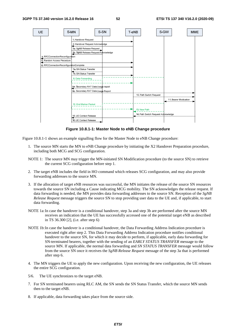

**Figure 10.8.1-1: Master Node to eNB Change procedure** 

Figure 10.8.1-1 shows an example signalling flow for the Master Node to eNB Change procedure:

- 1. The source MN starts the MN to eNB Change procedure by initiating the X2 Handover Preparation procedure, including both MCG and SCG configuration.
- NOTE 1: The source MN may trigger the MN-initiated SN Modification procedure (to the source SN) to retrieve the current SCG configuration before step 1.
- 2. The target eNB includes the field in HO command which releases SCG configuration, and may also provide forwarding addresses to the source MN.
- 3. If the allocation of target eNB resources was successful, the MN initiates the release of the source SN resources towards the source SN including a Cause indicating MCG mobility. The SN acknowledges the release request. If data forwarding is needed, the MN provides data forwarding addresses to the source SN. Reception of the *SgNB Release Request* message triggers the source SN to stop providing user data to the UE and, if applicable, to start data forwarding.
- NOTE 1a: In case the handover is a conditional handover, step 3a and step 3b are performed after the source MN receives an indication that the UE has successfully accessed one of the potential target eNB as described in TS 36.300 [2], (i.e. after step 6)
- NOTE 1b: In case the handover is a conditional handover, the Data Forwarding Address Indication procedure is executed right after step 2. This Data Forwarding Address Indication procedure notifies conditional handover to the source SN, for which it may decide to perform, if applicable, early data forwarding for SN-terminated bearers, together with the sending of an *EARLY STATUS TRANSFER* message to the source MN. If applicable, the normal data forwarding and *SN STATUS TRANSFER* message would follow from the source SN once it receives the *SgNB Release Request* message of the step 3a that is performed after step 6.
- 4. The MN triggers the UE to apply the new configuration. Upon receiving the new configuration, the UE releases the entire SCG configuration.
- 5/6. The UE synchronizes to the target eNB.
- 7. For SN terminated bearers using RLC AM, the SN sends the SN Status Transfer, which the source MN sends then to the target eNB.
- 8. If applicable, data forwarding takes place from the source side.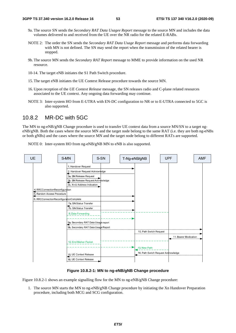- 9a. The source SN sends the *Secondary RAT Data Usagee Report* message to the source MN and includes the data volumes delivered to and received from the UE over the NR radio for the related E-RABs.
- NOTE 2: The order the SN sends the *Secondary RAT Data Usage Report* message and performs data forwarding with MN is not defined. The SN may send the report when the transmission of the related bearer is stopped.
- 9b. The source MN sends the *Secondary RAT Report* message to MME to provide information on the used NR resource.
- 10-14. The target eNB initiates the S1 Path Switch procedure.
- 15. The target eNB initiates the UE Context Release procedure towards the source MN.
- 16. Upon reception of the *UE Context Release* message, the SN releases radio and C-plane related resources associated to the UE context. Any ongoing data forwarding may continue.
- NOTE 3: Inter-system HO from E-UTRA with EN-DC configuration to NR or to E-UTRA connected to 5GC is also supported.

### 10.8.2 MR-DC with 5GC

The MN to ng-eNB/gNB Change procedure is used to transfer UE context data from a source MN/SN to a target ngeNB/gNB. Both the cases where the source MN and the target node belong to the same RAT (i.e. they are both ng-eNBs or both gNBs) and the cases where the source MN and the target node belong to different RATs are supported.

NOTE 0: Inter-system HO from ng-eNB/gNB MN to eNB is also supported.



#### **Figure 10.8.2-1: MN to ng-eNB/gNB Change procedure**

Figure 10.8.2-1 shows an example signalling flow for the MN to ng-eNB/gNB Change procedure:

1. The source MN starts the MN to ng-eNB/gNB Change procedure by initiating the Xn Handover Preparation procedure, including both MCG and SCG configuration.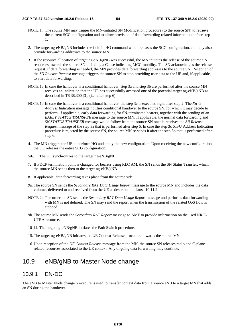- NOTE 1: The source MN may trigger the MN-initiated SN Modification procedure (to the source SN) to retrieve the current SCG configuration and to allow provision of data forwarding related information before step 1.
- 2. The target ng-eNB/gNB includes the field in HO command which releases the SCG configuration, and may also provide forwarding addresses to the source MN.
- 3. If the resource allocation of target ng-eNB/gNB was successful, the MN initiates the release of the source SN resources towards the source SN including a Cause indicating MCG mobility. The SN acknowledges the release request. If data forwarding is needed, the MN provides data forwarding addresses to the source SN. Reception of the *SN Release Request* message triggers the source SN to stop providing user data to the UE and, if applicable, to start data forwarding.
- NOTE 1a: In case the handover is a conditional handover, step 3a and step 3b are performed after the source MN receives an indication that the UE has successfully accessed one of the potential target ng-eNB/gNB as described in TS 38.300 [3], (i.e. after step 6)
- NOTE 1b: In case the handover is a conditional handover, the step 3c is executed right after step 2. The *Xn-U Address Indication* message notifies conditional handover to the source SN, for which it may decide to perform, if applicable, early data forwarding for SN-terminated bearers, together with the sending of an *EARLY STATUS TRANSFER* message to the source MN. If applicable, the normal data forwarding and *SN STATUS TRANSFER* message would follow from the source SN once it receives the *SN Release Request* message of the step 3a that is performed after step 6. In case the step 3c Xn-U Address Indication procedure is rejected by the source SN, the source MN re-sends it after the step 3b that is performed after step 6.
- 4. The MN triggers the UE to perform HO and apply the new configuration. Upon receiving the new configuration, the UE releases the entire SCG configuration.
- 5/6. The UE synchronizes to the target ng-eNB/gNB.
- 7. If PDCP termination point is changed for bearers using RLC AM, the SN sends the SN Status Transfer, which the source MN sends then to the target ng-eNB/gNB.
- 8. If applicable, data forwarding takes place from the source side.
- 9a. The source SN sends the *Secondary RAT Data Usage Report* message to the source MN and includes the data volumes delivered to and received from the UE as described in clause 10.11.2.
- NOTE 2: The order the SN sends the *Secondary RAT Data Usage Report* message and performs data forwarding with MN is not defined. The SN may send the report when the transmission of the related QoS flow is stopped.
- 9b. The source MN sends the *Secondary RAT Report* message to AMF to provide information on the used NR/E-UTRA resource.
- 10-14. The target ng-eNB/gNB initiates the Path Switch procedure*.*
- 15. The target ng-eNB/gNB initiates the UE Context Release procedure towards the source MN.
- 16. Upon reception of the *UE Context Release* message from the MN, the source SN releases radio and C-plane related resources associated to the UE context. Any ongoing data forwarding may continue.

# 10.9 eNB/gNB to Master Node change

### 10.9.1 EN-DC

The eNB to Master Node change procedure is used to transfer context data from a source eNB to a target MN that adds an SN during the handover.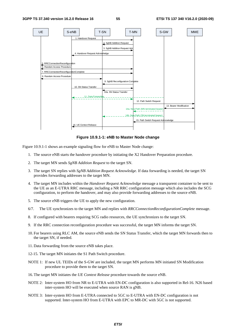

**Figure 10.9.1-1: eNB to Master Node change** 

Figure 10.9.1-1 shows an example signaling flow for eNB to Master Node change:

- 1. The source eNB starts the handover procedure by initiating the X2 Handover Preparation procedure.
- 2. The target MN sends *SgNB Addition Request* to the target SN.
- 3. The target SN replies with *SgNB Addition Request Acknowledge*. If data forwarding is needed, the target SN provides forwarding addresses to the target MN.
- 4. The target MN includes within the *Handover Request Acknowledge* message a transparent container to be sent to the UE as an E-UTRA RRC message, including a NR RRC configuration message which also includes the SCG configuration, to perform the handover, and may also provide forwarding addresses to the source eNB.
- 5. The source eNB triggers the UE to apply the new configuration.
- 6/7. The UE synchronizes to the target MN and replies with *RRCConnectionReconfigurationComplete* message.
- 8. If configured with bearers requiring SCG radio resources, the UE synchronizes to the target SN.
- 9. If the RRC connection reconfiguration procedure was successful, the target MN informs the target SN.
- 10. For bearers using RLC AM, the source eNB sends the SN Status Transfer, which the target MN forwards then to the target SN, if needed.
- 11. Data forwarding from the source eNB takes place.
- 12-15. The target MN initiates the S1 Path Switch procedure.
- NOTE 1: If new UL TEIDs of the S-GW are included, the target MN performs MN initiated SN Modification procedure to provide them to the target SN.
- 16. The target MN initiates the *UE Context Release* procedure towards the source eNB.
- NOTE 2: Inter-system HO from NR to E-UTRA with EN-DC configuration is also supported in Rel-16. N26 based inter-system HO will be executed when source RAN is gNB.
- NOTE 3: Inter-system HO from E-UTRA connected to 5GC to E-UTRA with EN-DC configuration is not supported. Inter-system HO from E-UTRA with EPC to MR-DC with 5GC is not supported.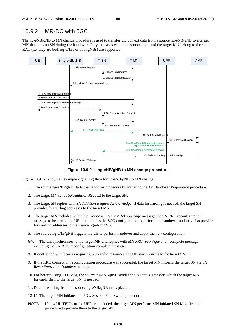### 10.9.2 MR-DC with 5GC

The ng-eNB/gNB to MN change procedure is used to transfer UE context data from a source ng-eNB/gNB to a target MN that adds an SN during the handover. Only the cases where the source node and the target MN belong to the same RAT (i.e. they are both ng-eNBs or both gNBs) are supported.



**Figure 10.9.2-1: ng-eNB/gNB to MN change procedure** 

Figure 10.9.2-1 shows an example signalling flow for ng-eNB/gNB to MN change:

- 1. The source ng-eNB/gNB starts the handover procedure by initiating the Xn Handover Preparation procedure.
- 2. The target MN sends *SN Addition Request* to the target SN.
- 3. The target SN replies with *SN Addition Request Acknowledge*. If data forwarding is needed, the target SN provides forwarding addresses to the target MN.
- 4. The target MN includes within the *Handover Request Acknowledge* message the SN RRC reconfiguration message to be sent to the UE that includes the SCG configuration to perform the handover, and may also provide forwarding addresses to the source ng-eNB/gNB.
- 5. The source ng-eNB/gNB triggers the UE to perform handover and apply the new configuration.
- 6/7. The UE synchronizes to the target MN and replies with *MN RRC reconfiguration* complete message including the SN RRC reconfiguration complete message.
- 8. If configured with bearers requiring SCG radio resources, the UE synchronizes to the target SN.
- 9. If the RRC connection reconfiguration procedure was successful, the target MN informs the target SN via *SN Reconfiguration Complete* message.
- 10. For bearers using RLC AM, the source ng-eNB/gNB sends the SN Status Transfer, which the target MN forwards then to the target SN, if needed.
- 11. Data forwarding from the source ng-eNB/gNB takes place.
- 12-15. The target MN initiates the PDU Session Path Switch procedure.
- NOTE: If new UL TEIDs of the UPF are included, the target MN performs MN initiated SN Modification procedure to provide them to the target SN.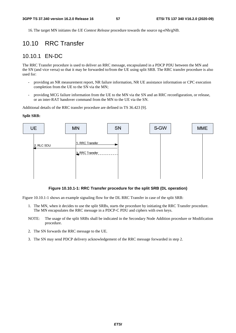16. The target MN initiates the *UE Context Release* procedure towards the source ng-eNb/gNB.

## 10.10 RRC Transfer

### 10.10.1 EN-DC

The RRC Transfer procedure is used to deliver an RRC message, encapsulated in a PDCP PDU between the MN and the SN (and vice versa) so that it may be forwarded to/from the UE using split SRB. The RRC transfer procedure is also used for:

- providing an NR measurement report, NR failure information, NR UE assistance information or CPC execution completion from the UE to the SN via the MN;
- providing MCG failure information from the UE to the MN via the SN and an RRC reconfiguration, or release, or an inter-RAT handover command from the MN to the UE via the SN.

Additional details of the RRC transfer procedure are defined in TS 36.423 [9].

#### **Split SRB:**



#### **Figure 10.10.1-1: RRC Transfer procedure for the split SRB (DL operation)**

Figure 10.10.1-1 shows an example signaling flow for the DL RRC Transfer in case of the split SRB:

- 1. The MN, when it decides to use the split SRBs, starts the procedure by initiating the RRC Transfer procedure. The MN encapsulates the RRC message in a PDCP-C PDU and ciphers with own keys.
- NOTE: The usage of the split SRBs shall be indicated in the Secondary Node Addition procedure or Modification procedure.
- 2. The SN forwards the RRC message to the UE.
- 3. The SN may send PDCP delivery acknowledgement of the RRC message forwarded in step 2.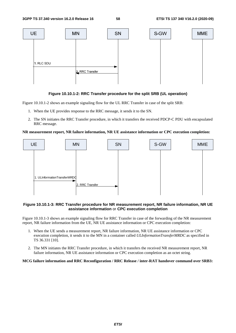

#### **Figure 10.10.1-2: RRC Transfer procedure for the split SRB (UL operation)**

Figure 10.10.1-2 shows an example signaling flow for the UL RRC Transfer in case of the split SRB:

- 1. When the UE provides response to the RRC message, it sends it to the SN.
- 2. The SN initiates the RRC Transfer procedure, in which it transfers the received PDCP-C PDU with encapsulated RRC message.

#### **NR measurement report, NR failure information, NR UE assistance information or CPC execution completion:**



#### **Figure 10.10.1-3: RRC Transfer procedure for NR measurement report, NR failure information, NR UE assistance information** or **CPC execution completion**

Figure 10.10.1-3 shows an example signaling flow for RRC Transfer in case of the forwarding of the NR measurement report, NR failure information from the UE, NR UE assistance information or CPC execution completion:

- 1. When the UE sends a measurement report, NR failure information, NR UE assistance information or CPC execution completion, it sends it to the MN in a container called *ULInformationTransferMRDC* as specified in TS 36.331 [10].
- 2. The MN initiates the RRC Transfer procedure, in which it transfers the received NR measurement report, NR failure information, NR UE assistance information or CPC execution completion as an octet string.

#### **MCG failure information and RRC Reconfiguration / RRC Release / inter-RAT handover command over SRB3:**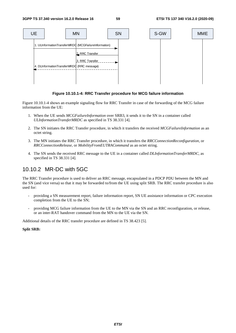

**Figure 10.10.1-4: RRC Transfer procedure for MCG failure information** 

Figure 10.10.1-4 shows an example signaling flow for RRC Transfer in case of the forwarding of the MCG failure information from the UE:

- 1. When the UE sends *MCGFailureInformation* over SRB3, it sends it to the SN in a container called *ULInformationTransferMRDC* as specified in TS 38.331 [4].
- 2. The SN initiates the RRC Transfer procedure, in which it transfers the received *MCGFailureInformation* as an octet string.
- 3. The MN initiates the RRC Transfer procedure, in which it transfers the *RRCConnectionReconfiguration*, or *RRCConnectionRelease*, or *MobilityFromEUTRACommand* as an octet string.
- 4. The SN sends the received RRC message to the UE in a container called *DLInformationTransferMRDC*, as specified in TS 38.331 [4].

### 10.10.2 MR-DC with 5GC

The RRC Transfer procedure is used to deliver an RRC message, encapsulated in a PDCP PDU between the MN and the SN (and vice versa) so that it may be forwarded to/from the UE using split SRB. The RRC transfer procedure is also used for:

- providing a SN measurement report, failure information report, SN UE assistance information or CPC execution completion from the UE to the SN;
- providing MCG failure information from the UE to the MN via the SN and an RRC reconfiguration, or release, or an inter-RAT handover command from the MN to the UE via the SN.

Additional details of the RRC transfer procedure are defined in TS 38.423 [5].

#### **Split SRB:**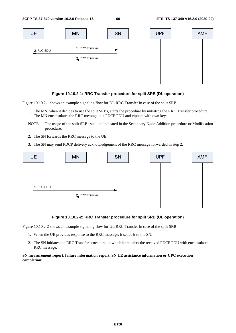

#### **Figure 10.10.2-1: RRC Transfer procedure for split SRB (DL operation)**

Figure 10.10.2-1 shows an example signaling flow for DL RRC Transfer in case of the split SRB:

- 1. The MN, when it decides to use the split SRBs, starts the procedure by initiating the RRC Transfer procedure. The MN encapsulates the RRC message in a PDCP PDU and ciphers with own keys.
- NOTE: The usage of the split SRBs shall be indicated in the Secondary Node Addition procedure or Modification procedure.
- 2. The SN forwards the RRC message to the UE.
- 3. The SN may send PDCP delivery acknowledgement of the RRC message forwarded in step 2.



#### **Figure 10.10.2-2: RRC Transfer procedure for split SRB (UL operation)**

Figure 10.10.2-2 shows an example signaling flow for UL RRC Transfer in case of the split SRB:

- 1. When the UE provides response to the RRC message, it sends it to the SN.
- 2. The SN initiates the RRC Transfer procedure, in which it transfers the received PDCP PDU with encapsulated RRC message.

#### **SN measurement report, failure information report, SN UE assistance information or CPC execution completion:**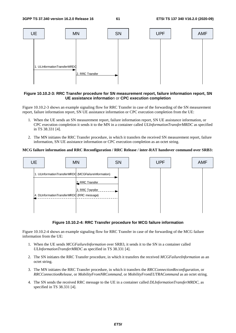

#### **Figure 10.10.2-3: RRC Transfer procedure for SN measurement report, failure information report, SN UE assistance informatio**n or **CPC execution completion**

Figure 10.10.2-3 shows an example signaling flow for RRC Transfer in case of the forwarding of the SN measurement report, failure information report, SN UE assistance information or CPC execution completion from the UE:

- 1. When the UE sends an SN measurement report, failure information report, SN UE assistance information, or CPC execution completion it sends it to the MN in a container called *ULInformationTransferMRDC* as specified in TS 38.331 [4].
- 2. The MN initiates the RRC Transfer procedure, in which it transfers the received SN measurement report, failure information, SN UE assistance information or CPC execution completion as an octet string.

#### **MCG failure information and RRC Reconfiguration / RRC Release / inter-RAT handover command over SRB3:**



#### **Figure 10.10.2-4: RRC Transfer procedure for MCG failure information**

Figure 10.10.2-4 shows an example signaling flow for RRC Transfer in case of the forwarding of the MCG failure information from the UE:

- 1. When the UE sends *MCGFailureInformation* over SRB3, it sends it to the SN in a container called *ULInformationTransferMRDC* as specified in TS 38.331 [4].
- 2. The SN initiates the RRC Transfer procedure, in which it transfers the received *MCGFailureInformation* as an octet string.
- 3. The MN initiates the RRC Transfer procedure, in which it transfers the *RRCConnectionReconfiguration*, or *RRCConnectionRelease*, or *MobilityFromNRCommand*, or *MobilityFromEUTRACommand* as an octet string.
- 4. The SN sends the received RRC message to the UE in a container called *DLInformationTransferMRDC*, as specified in TS 38.331 [4].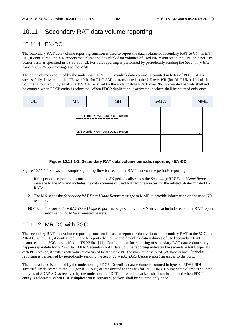## 10.11 Secondary RAT data volume reporting

### 10.11.1 EN-DC

The secondary RAT data volume reporting function is used to report the data volume of secondary RAT to CN. In EN-DC, if configured, the MN reports the uplink and downlink data volumes of used NR resources to the EPC on a per EPS bearer basis as specified in TS 36.300 [2]. Periodic reporting is performed by periodically sending the *Secondary RAT Data Usage Report* messages to the MME.

The data volume is counted by the node hosting PDCP. Downlink data volume is counted in bytes of PDCP SDUs successfully delivered to the UE over NR (for RLC AM) or transmitted to the UE over NR (for RLC UM). Uplink data volume is counted in bytes of PDCP SDUs received by the node hosting PDCP over NR. Forwarded packets shall not be counted when PDCP entity is relocated. When PDCP duplication is activated, packets shall be counted only once.





Figure 10.11.1-1 shows an example signalling flow for secondary RAT data volume periodic reporting:

- 1. If the periodic reporting is configured, then the SN periodically sends the *Secondary RAT Data Usage Report* message to the MN and includes the data volumes of used NR radio resources for the related SN-terminated E-RABs.
- 2. The MN sends the *Secondary RAT Data Usage Report* message to MME to provide information on the used NR resource.
- NOTE: The *Secondary RAT Data Usage Report* message sent by the MN may also include secondary RAT report information of MN-terminated bearers.

### 10.11.2 MR-DC with 5GC

The secondary RAT data volume reporting function is used to report the data volume of secondary RAT to the 5GC. In MR-DC with 5GC, if configured, the MN reports the uplink and downlink data volumes of used secondary RAT resources to the 5GC as specified in TS 23.501 [11]. Configuration for reporting of secondary RAT data volume may happen separately for NR and E-UTRA. Secondary RAT data volume reporting indicates the secondary RAT type. For each PDU session, it contains data volumes consumed for the whole PDU Session, or for selected QoS flow, or both. Periodic reporting is performed by periodically sending the *Secondary RAT Data Usage Report* messages to the 5GC.

The data volume is counted by the node hosting PDCP. Downlink data volume is counted in bytes of SDAP SDUs successfully delivered to the UE (for RLC AM) or transmitted to the UE (for RLC UM). Uplink data volume is counted in bytes of SDAP SDUs received by the node hosting PDCP. Forwarded packets shall not be counted when PDCP entity is relocated. When PDCP duplication is activated, packets shall be counted only once.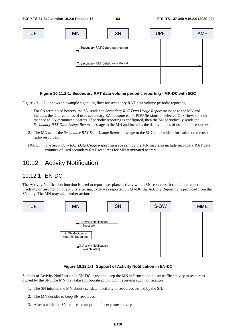

#### **Figure 10.11.2-1: Secondary RAT data volume periodic reportin**g **- MR-DC with 5GC**

Figure 10.11.2-1 shows an example signalling flow for secondary RAT data volume periodic reporting:

- 1. For SN terminated bearers, the SN sends the *Secondary RAT Data Usage Report* message to the MN and includes the data volumes of used secondary RAT resources for PDU Sessions or selected QoS flows or both mapped to SN-terminated bearers. If periodic reporting is configured, then the SN periodically sends the *Secondary RAT Data Usage Report* message to the MN and includes the data volumes of used radio resources.
- 2. The MN sends the *Secondary RAT Data Usage Report* message to the 5GC to provide information on the used radio resources.
- NOTE: The *Secondary RAT Data Usage Report* message sent by the MN may also include secondary RAT data volumes of used secondary RAT resources for MN terminated bearers.

## 10.12 Activity Notification

### 10.12.1 EN-DC

The Activity Notification function is used to report user plane activity within SN resources. It can either report inactivity or resumption of activity after inactivity was reported. In EN-DC the Activity Reporting is provided from the SN only. The MN may take further actions.



**Figure 10.12.1-1: Support of Activity Notification in EN-DC** 

Support of Activity Notification in EN-DC is used to keep the MN informed about user traffic activity in resources owned by the SN. The MN may take appropriate action upon receiving such notification.

- 1. The SN informs the MN about user data inactivity of resources owned by the SN.
- 2. The MN decides to keep SN resources.
- 3. After a while the SN reports resumption of user plane activity.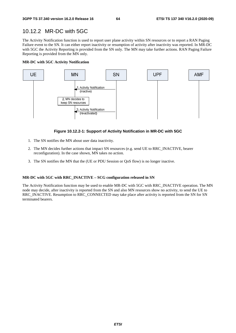### 10.12.2 MR-DC with 5GC

The Activity Notification function is used to report user plane activity within SN resources or to report a RAN Paging Failure event to the SN. It can either report inactivity or resumption of activity after inactivity was reported. In MR-DC with 5GC the Activity Reporting is provided from the SN only. The MN may take further actions. RAN Paging Failure Reporting is provided from the MN only.

#### **MR-DC with 5GC Activity Notification**



#### **Figure 10.12.2-1: Support of Activity Notification in MR-DC with 5GC**

- 1. The SN notifies the MN about user data inactivity.
- 2. The MN decides further actions that impact SN resources (e.g. send UE to RRC\_INACTIVE, bearer reconfiguration). In the case shown, MN takes no action.
- 3. The SN notifies the MN that the (UE or PDU Session or QoS flow) is no longer inactive.

#### **MR-DC with 5GC with RRC\_INACTIVE – SCG configuration released in SN**

The Activity Notification function may be used to enable MR-DC with 5GC with RRC\_INACTIVE operation. The MN node may decide, after inactivity is reported from the SN and also MN resources show no activity, to send the UE to RRC\_INACTIVE. Resumption to RRC\_CONNECTED may take place after activity is reported from the SN for SN terminated bearers.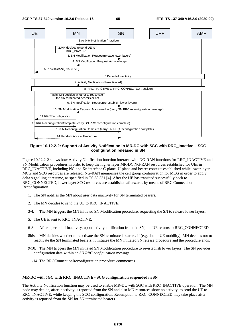

**Figure 10.12.2-2: Support of Activity Notification in MR-DC with 5GC with RRC\_Inactive – SCG configuration released in SN** 

Figure 10.12.2-2 shows how Activity Notification function interacts with NG-RAN functions for RRC\_INACTIVE and SN Modification procedures in order to keep the higher layer MR-DC NG-RAN resources established for UEs in RRC\_INACTIVE, including NG and Xn interface C-plane, U-plane and bearer contexts established while lower layer MCG and SCG resources are released. NG-RAN memorises the cell group configuration for MCG in order to apply delta signalling at resume, as specified in TS 38.331 [4]. After the UE has transited successfully back to RRC\_CONNECTED, lower layer SCG resources are established afterwards by means of RRC Connection Reconfiguration.

- 1. The SN notifies the MN about user data inactivity for SN terminated bearers.
- 2. The MN decides to send the UE to RRC\_INACTIVE.
- 3/4. The MN triggers the MN initiated SN Modification procedure, requesting the SN to release lower layers.
- 5. The UE is sent to RRC\_INACTIVE.
- 6-8. After a period of inactivity, upon activity notification from the SN, the UE returns to RRC\_CONNECTED.
- 8bis. MN decides whether to reactivate the SN terminated bearers. If (e.g. due to UE mobility), MN decides not to reactivate the SN terminated bearers, it initiates the MN initiated SN release procedure and the procedure ends.
- 9/10. The MN triggers the MN initiated SN Modification procedure to re-establish lower layers. The SN provides configuration data within an *SN RRC configuration* message.
- 11-14. The RRCConnectionReconfiguration procedure commences.

#### **MR-DC with 5GC with RRC\_INACTIVE - SCG configuration suspended in SN**

The Activity Notification function may be used to enable MR-DC with 5GC with RRC\_INACTIVE operation. The MN node may decide, after inactivity is reported from the SN and also MN resources show no activity, to send the UE to RRC\_INACTIVE, while keeping the SCG configuration. Resumption to RRC\_CONNECTED may take place after activity is reported from the SN for SN terminated bearers.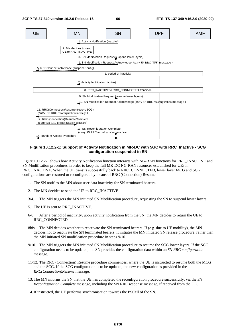

#### **Figure 10.12.2-1: Support of Activity Notification in MR-DC with 5GC with RRC\_Inactive - SCG configuration suspended in SN**

Figure 10.12.2-1 shows how Activity Notification function interacts with NG-RAN functions for RRC\_INACTIVE and SN Modification procedures in order to keep the full MR-DC NG-RAN resources established for UEs in RRC\_INACTIVE. When the UE transits successfully back to RRC\_CONNECTED, lower layer MCG and SCG configurations are restored or reconfigured by means of RRC (Connection) Resume.

- 1. The SN notifies the MN about user data inactivity for SN terminated bearers.
- 2. The MN decides to send the UE to RRC\_INACTIVE.
- 3/4. The MN triggers the MN initiated SN Modification procedure, requesting the SN to suspend lower layers.
- 5. The UE is sent to RRC\_INACTIVE.
- 6-8. After a period of inactivity, upon activity notification from the SN, the MN decides to return the UE to RRC\_CONNECTED.
- 8bis. The MN decides whether to reactivate the SN terminated bearers. If (e.g. due to UE mobility), the MN decides not to reactivate the SN terminated bearers, it initiates the MN initiated SN release procedure, rather than the MN initiated SN modification procedure in steps 9/10.
- 9/10. The MN triggers the MN initiated SN Modification procedure to resume the SCG lower layers. If the SCG configuration needs to be updated, the SN provides the configuration data within an *SN RRC configuration* message.
- 11/12. The RRC (Connection) Resume procedure commences, where the UE is instructed to resume both the MCG and the SCG. If the SCG configuration is to be updated, the new configuration is provided in the *RRC(Connection)Resume* message.
- 13. The MN informs the SN that the UE has completed the reconfiguration procedure successfully, via the *SN Reconfiguration Complete* message, including the SN RRC response message, if received from the UE.
- 14. If instructed, the UE performs synchronisation towards the PSCell of the SN.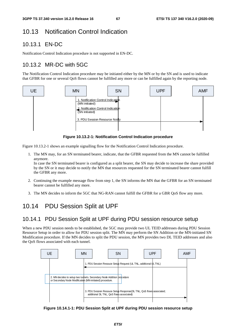# 10.13 Notification Control Indication

## 10.13.1 EN-DC

Notification Control Indication procedure is not supported in EN-DC.

# 10.13.2 MR-DC with 5GC

The Notification Control Indication procedure may be initiated either by the MN or by the SN and is used to indicate that GFBR for one or several QoS flows cannot be fulfilled any more or can be fulfilled again by the reporting node.



**Figure 10.13.2-1: Notification Control Indication procedure** 

Figure 10.13.2-1 shows an example signalling flow for the Notification Control Indication procedure.

1. The MN may, for an SN terminated bearer, indicate, that the GFBR requested from the MN cannot be fulfilled anymore.

In case the SN terminated bearer is configured as a split bearer, the SN may decide to increase the share provided by the SN or it may decide to notify the MN that resources requested for the SN terminated bearer cannot fulfill the GFBR any more.

- 2. Continuing the example message flow from step 1, the SN informs the MN that the GFBR for an SN terminated bearer cannot be fulfilled any more.
- 3. The MN decides to inform the 5GC that NG-RAN cannot fulfill the GFBR for a GBR QoS flow any more.

# 10.14 PDU Session Split at UPF

## 10.14.1 PDU Session Split at UPF during PDU session resource setup

When a new PDU session needs to be established, the 5GC may provide two UL TEID addresses during PDU Session Resource Setup in order to allow for PDU session split. The MN may perform the SN Addition or the MN-initiated SN Modification procedure. If the MN decides to split the PDU session, the MN provides two DL TEID addresses and also the QoS flows associated with each tunnel.



**Figure 10.14.1-1: PDU Session Split at UPF during PDU session resource setup**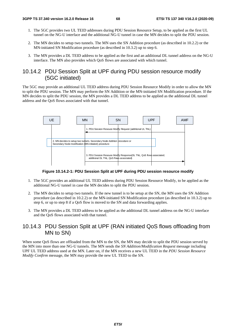- 1. The 5GC provides two UL TEID addresses during PDU Session Resource Setup, to be applied as the first UL tunnel on the NG-U interface and the additional NG-U tunnel in case the MN decides to split the PDU session.
- 2. The MN decides to setup two tunnels. The MN uses the SN Addition procedure (as described in 10.2.2) or the MN-initiated SN Modification procedure (as described in 10.3.2) up to step 6.
- 3. The MN provides a DL TEID address to be applied as the first and an additional DL tunnel address on the NG-U interface. The MN also provides which QoS flows are associated with which tunnel.

### 10.14.2 PDU Session Split at UPF during PDU session resource modify (5GC initiated)

The 5GC may provide an additional UL TEID address during PDU Session Resource Modify in order to allow the MN to split the PDU session. The MN may perform the SN Addition or the MN-initiated SN Modification procedure. If the MN decides to split the PDU session, the MN provides a DL TEID address to be applied as the additional DL tunnel address and the QoS flows associated with that tunnel.



#### **Figure 10.14.2-1: PDU Session Split at UPF during PDU session resource modify**

- 1. The 5GC provides an additional UL TEID address during PDU Session Resource Modify, to be applied as the additional NG-U tunnel in case the MN decides to split the PDU session.
- 2. The MN decides to setup two tunnels. If the new tunnel is to be setup at the SN, the MN uses the SN Addition procedure (as described in 10.2.2) or the MN-initiated SN Modification procedure (as described in 10.3.2) up to step 6, or up to step 8 if a QoS flow is moved to the SN and data forwarding applies.
- 3. The MN provides a DL TEID address to be applied as the additional DL tunnel address on the NG-U interface and the QoS flows associated with that tunnel.

### 10.14.3 PDU Session Split at UPF (RAN initiated QoS flows offloading from MN to SN)

When some OoS flows are offloaded from the MN to the SN, the MN may decide to split the PDU session served by the MN into more than one NG-U tunnels. The MN sends the *SN Addition/Modification Request* message including UPF UL TEID address used at the MN. Later on, if the MN receives a new UL TEID in the *PDU Session Resource Modify Confirm* message, the MN may provide the new UL TEID to the SN.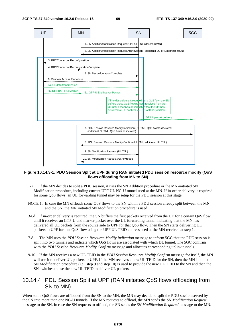

#### **Figure 10.14.3-1: PDU Session Split at UPF during RAN initiated PDU session resource modify (QoS flows offloading from MN to SN)**

- 1-2. If the MN decides to split a PDU session, it uses the SN Addition procedure or the MN-initiated SN Modification procedure, including current UPF UL NG-U tunnel used at the MN. If in-order delivery is required for some QoS flows, an UL forwarding tunnel may be setup for the PDU session at this stage.
- NOTE 1: In case the MN offloads some QoS flows to the SN within a PDU session already split between the MN and the SN, the MN initiated SN Modification procedure is used.
- 3-6d. If in-order delivery is required, the SN buffers the first packets received from the UE for a certain QoS flow until it receives an GTP-U end marker packet over the UL forwarding tunnel indicating that the MN has delivered all UL packets from the source side to UPF for that QoS flow. Then the SN starts delivering UL packets to UPF for that QoS flow using the UPF UL TEID address used at the MN received at step 1.
- 7-8. The MN uses the *PDU Session Resource Modify Indication* message to inform 5GC that the PDU session is split into two tunnels and indicate which QoS flows are associated with which DL tunnel. The 5GC confirms with the *PDU Session Resource Modify Confirm* message and allocates corresponding uplink tunnels.
- 9-10. If the MN receives a new UL TEID in the *PDU Session Resource Modify Confirm* message for itself, the MN will use it to deliver UL packets to UPF. If the MN receives a new UL TEID for the SN, then the MN-initiated SN Modification procedure (i.e., step 9 and step 10) is used to provide the new UL TEID to the SN and then the SN switches to use the new UL TEID to deliver UL packets.

### 10.14.4 PDU Session Split at UPF (RAN initiates QoS flows offloading from SN to MN)

When some QoS flows are offloaded from the SN to the MN, the MN may decide to split the PDU session served by the SN into more than one NG-U tunnels. If the MN requests to offload, the MN sends the *SN Modification Request* message to the SN. In case the SN requests to offload, the SN sends the *SN Modification Required* message to the MN.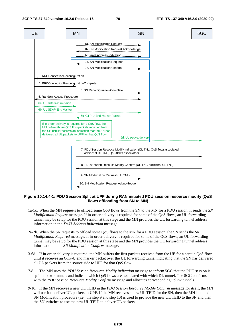

#### **Figure 10.14.4-1: PDU Session Split at UPF during RAN initiated PDU session resource modify (QoS flows offloading from SN to MN)**

- 1a-1c. When the MN requests to offload some QoS flows from the SN to the MN for a PDU session, it sends the *SN Modification Request* message. If in-order delivery is required for some of the QoS flows, an UL forwarding tunnel may be setup for the PDU session at this stage and the MN provides the UL forwarding tunnel address information in the *Xn-U Address Indication* message.
- 2a-2b. When the SN requests to offload some QoS flows to the MN for a PDU session, the SN sends the *SN Modification Required* message. If in-order delivery is required for some of the QoS flows, an UL forwarding tunnel may be setup for the PDU session at this stage and the MN provides the UL forwarding tunnel address information in the *SN Modification Confirm* message.
- 3-6d. If in-order delivery is required, the MN buffers the first packets received from the UE for a certain QoS flow until it receives an GTP-U end marker packet over the UL forwarding tunnel indicating that the SN has delivered all UL packets from the source side to UPF for that QoS flow.
- 7-8. The MN uses the *PDU Session Resource Modify Indication* message to inform 5GC that the PDU session is split into two tunnels and indicate which QoS flows are associated with which DL tunnel. The 5GC confirms with the *PDU Session Resource Modify Confirm* message and allocates corresponding uplink tunnels.
- 9-10. If the MN receives a new UL TEID in the *PDU Session Resource Modify Confirm* message for itself, the MN will use it to deliver UL packets to UPF. If the MN receives a new UL TEID for the SN, then the MN-initiated SN Modification procedure (i.e., the step 9 and step 10) is used to provide the new UL TEID to the SN and then the SN switches to use the new UL TEID to deliver UL packets.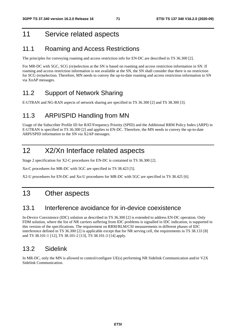# 11 Service related aspects

## 11.1 Roaming and Access Restrictions

The principles for conveying roaming and access restriction info for EN-DC are described in TS 36.300 [2].

For MR-DC with 5GC, SCG (re)selection at the SN is based on roaming and access restriction information in SN. If roaming and access restriction information is not available at the SN, the SN shall consider that there is no restriction for SCG (re)selection. Therefore, MN needs to convey the up-to-date roaming and access restriction information to SN via XnAP messages.

## 11.2 Support of Network Sharing

E-UTRAN and NG-RAN aspects of network sharing are specified in TS 36.300 [2] and TS 38.300 [3].

## 11.3 ARPI/SPID Handling from MN

Usage of the Subscriber Profile ID for RAT/Frequency Priority (SPID) and the Additional RRM Policy Index (ARPI) in E-UTRAN is specified in TS 36.300 [2] and applies to EN-DC. Therefore, the MN needs to convey the up-to-date ARPI/SPID information to the SN via X2AP messages.

# 12 X2/Xn Interface related aspects

Stage 2 specification for X2-C procedures for EN-DC is contained in TS 36.300 [2].

Xn-C procedures for MR-DC with 5GC are specified in TS 38.423 [5].

X2-U procedures for EN-DC and Xn-U procedures for MR-DC with 5GC are specified in TS 38.425 [6].

## 13 Other aspects

## 13.1 Interference avoidance for in-device coexistence

In-Device Coexistence (IDC) solution as described in TS 36.300 [2] is extended to address EN-DC operation. Only FDM solution, where the list of NR carriers suffering from IDC problems is signalled in IDC indication, is supported in this version of the specifications. The requirement on RRM/RLM/CSI measurements in different phases of IDC interference defined in TS 36.300 [2] is applicable except that for NR serving cell, the requirements in TS 38.133 [8] and TS 38.101-1 [12], TS 38.101-2 [13], TS 38.101-3 [14] apply.

## 13.2 Sidelink

In MR-DC, only the MN is allowed to control/configure UE(s) performing NR Sidelink Communication and/or V2X Sidelink Communication.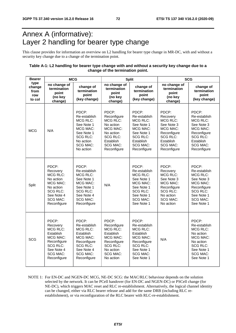## Annex A (informative): Layer 2 handling for bearer type change

This clause provides for information an overview on L2 handling for bearer type change in MR-DC, with and without a security key change due to a change of the termination point.

#### **Table A-1: L2 handling for bearer type change with and without a security key change due to a change of the termination point.**

| <b>Bearer</b>                           | <b>MCG</b>                                                                                                                                      |                                                                                                                                                     |                                                                                                                                          | <b>Split</b>                                                                                                                                       | <b>SCG</b>                                                                                                                                      |                                                                                                                                                         |  |
|-----------------------------------------|-------------------------------------------------------------------------------------------------------------------------------------------------|-----------------------------------------------------------------------------------------------------------------------------------------------------|------------------------------------------------------------------------------------------------------------------------------------------|----------------------------------------------------------------------------------------------------------------------------------------------------|-------------------------------------------------------------------------------------------------------------------------------------------------|---------------------------------------------------------------------------------------------------------------------------------------------------------|--|
| type<br>change<br>from<br>row<br>to col | no change of<br>termination<br>point<br>(no key<br>change)                                                                                      | change of<br>termination<br>point<br>(key change)                                                                                                   | no change of<br>termination<br>point<br>(no key<br>change)                                                                               | change of<br>termination<br>point<br>(key change)                                                                                                  | no change of<br>termination<br>point<br>(no key<br>change)                                                                                      | change of<br>termination<br>point<br>(key change)                                                                                                       |  |
| <b>MCG</b>                              | N/A                                                                                                                                             | PDCP:<br>Re-establish<br><b>MCG RLC:</b><br>See Note 1<br>MCG MAC:<br>See Note 1<br><b>SCG RLC:</b><br>No action<br><b>SCG MAC:</b><br>No action    | PDCP:<br>Reconfigure<br>MCG RLC:<br>No action<br>MCG MAC:<br>No action<br><b>SCG RLC:</b><br>Establish<br><b>SCG MAC:</b><br>Reconfigure | PDCP:<br>Re-establish<br><b>MCG RLC:</b><br>See Note 1<br>MCG MAC:<br>See Note 1<br><b>SCG RLC:</b><br>Establish<br><b>SCG MAC:</b><br>Reconfigure | PDCP:<br>Recovery<br><b>MCG RLC:</b><br>See Note 3<br>MCG MAC:<br>Reconfigure<br><b>SCG RLC:</b><br>Establish<br><b>SCG MAC:</b><br>Reconfigure | PDCP:<br>Re-establish<br><b>MCG RLC:</b><br>See Note 3<br>MCG MAC:<br>Reconfigure<br><b>SCG RLC:</b><br>Establish<br><b>SCG MAC:</b><br>Reconfigure     |  |
| Split                                   | PDCP:<br>Recovery<br>MCG RLC:<br>No action<br>MCG MAC:<br>No action<br><b>SCG RLC:</b><br>See Note 4<br><b>SCG MAC:</b><br>Reconfigure          | PDCP:<br>Re-establish<br><b>MCG RLC:</b><br>See Note 1<br>MCG MAC:<br>See Note 1<br><b>SCG RLC:</b><br>See Note 4<br><b>SCG MAC:</b><br>Reconfigure | N/A                                                                                                                                      | PDCP:<br>Re-establish<br><b>MCG RLC:</b><br>See Note 1<br>MCG MAC:<br>See Note 1<br><b>SCG RLC:</b><br>See Note 1<br><b>SCG MAC:</b><br>See Note 1 | PDCP:<br>Recovery<br>MCG RLC:<br>See Note 3<br>MCG MAC:<br>Reconfigure<br><b>SCG RLC:</b><br>No action<br><b>SCG MAC:</b><br>No action          | PDCP:<br>Re-establish<br><b>MCG RLC:</b><br>See Note 3<br>MCG MAC:<br>Reconfigure<br>SCG RLC:<br>See Note 1<br><b>SCG MAC:</b><br>See Note 1            |  |
| SCG                                     | PDCP:<br>Recovery<br><b>MCG RLC:</b><br>Establish<br>MCG MAC:<br>Reconfigure<br><b>SCG RLC:</b><br>See Note 4<br><b>SCG MAC:</b><br>Reconfigure | PDCP:<br>Re-establish<br><b>MCG RLC:</b><br>Establish<br>MCG MAC:<br>Reconfigure<br><b>SCG RLC:</b><br>See Note 4<br><b>SCG MAC:</b><br>Reconfigure | PDCP:<br>Reconfigure<br>MCG RLC:<br>Establish<br>MCG MAC:<br>Reconfigure<br><b>SCG RLC:</b><br>No action<br><b>SCG MAC:</b><br>No action | PDCP:<br>Re-establish<br>MCG RLC:<br>Establish<br><b>MCG MAC:</b><br>Reconfigure<br><b>SCG RLC:</b><br>See Note 1<br><b>SCG MAC:</b><br>See Note 1 | N/A                                                                                                                                             | PDCP:<br>Re-establish<br><b>MCG RLC:</b><br>No action<br><b>MCG MAC:</b><br>No action<br><b>SCG RLC:</b><br>See Note 1<br><b>SCG MAC:</b><br>See Note 1 |  |

NOTE 1: For EN-DC and NGEN-DC MCG, NE-DC SCG: the MAC/RLC behaviour depends on the solution selected by the network. It can be PCell handover (for EN-DC and NGEN-DC) or PSCell change (for NE-DC), which triggers MAC reset and RLC re-establishment. Alternatively, the logical channel identity can be changed, either via RLC bearer release and add for the same DRB (including RLC reestablishment), or via reconfiguration of the RLC bearer with RLC-re-establishment.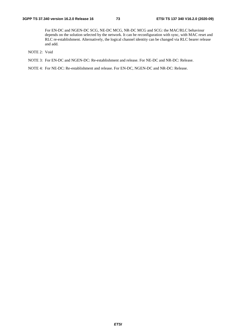For EN-DC and NGEN-DC SCG, NE-DC MCG, NR-DC MCG and SCG: the MAC/RLC behaviour depends on the solution selected by the network. It can be reconfiguration with sync, with MAC reset and RLC re-establishment. Alternatively, the logical channel identity can be changed via RLC bearer release and add.

- NOTE 2: Void
- NOTE 3: For EN-DC and NGEN-DC: Re-establishment and release. For NE-DC and NR-DC: Release.

NOTE 4: For NE-DC: Re-establishment and release. For EN-DC, NGEN-DC and NR-DC: Release.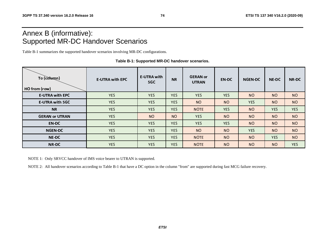## Annex B (informative): Supported MR-DC Handover Scenarios

Table B-1 summarizes the supported handover scenarios involving MR-DC configurations.

| To (column)<br>HO from (row) | <b>E-UTRA with EPC</b> | <b>E-UTRA with</b><br>5GC | <b>NR</b>  | <b>GERAN</b> or<br><b>UTRAN</b> | <b>EN-DC</b> | <b>NGEN-DC</b> | <b>NE-DC</b> | <b>NR-DC</b> |
|------------------------------|------------------------|---------------------------|------------|---------------------------------|--------------|----------------|--------------|--------------|
| <b>E-UTRA with EPC</b>       | <b>YES</b>             | <b>YES</b>                | <b>YES</b> | <b>YES</b>                      | <b>YES</b>   | <b>NO</b>      | <b>NO</b>    | <b>NO</b>    |
| <b>E-UTRA with 5GC</b>       | <b>YES</b>             | <b>YES</b>                | <b>YES</b> | <b>NO</b>                       | <b>NO</b>    | <b>YES</b>     | <b>NO</b>    | <b>NO</b>    |
| <b>NR</b>                    | <b>YES</b>             | <b>YES</b>                | <b>YES</b> | <b>NOTE</b>                     | <b>YES</b>   | <b>NO</b>      | <b>YES</b>   | <b>YES</b>   |
| <b>GERAN or UTRAN</b>        | <b>YES</b>             | N <sub>O</sub>            | <b>NO</b>  | <b>YES</b>                      | <b>NO</b>    | <b>NO</b>      | <b>NO</b>    | <b>NO</b>    |
| <b>EN-DC</b>                 | <b>YES</b>             | <b>YES</b>                | <b>YES</b> | <b>YES</b>                      | <b>YES</b>   | <b>NO</b>      | <b>NO</b>    | <b>NO</b>    |
| <b>NGEN-DC</b>               | <b>YES</b>             | <b>YES</b>                | <b>YES</b> | <b>NO</b>                       | <b>NO</b>    | <b>YES</b>     | <b>NO</b>    | <b>NO</b>    |
| <b>NE-DC</b>                 | <b>YES</b>             | <b>YES</b>                | <b>YES</b> | <b>NOTE</b>                     | <b>NO</b>    | <b>NO</b>      | <b>YES</b>   | <b>NO</b>    |
| <b>NR-DC</b>                 | <b>YES</b>             | <b>YES</b>                | <b>YES</b> | <b>NOTE</b>                     | <b>NO</b>    | <b>NO</b>      | <b>NO</b>    | <b>YES</b>   |

**Table B-1: Supported MR-DC handover scenarios.** 

NOTE 1: Only SRVCC handover of IMS voice bearer to UTRAN is supported.

NOTE 2: All handover scenarios according to Table B-1 that have a DC option in the column "from" are supported during fast MCG failure recovery.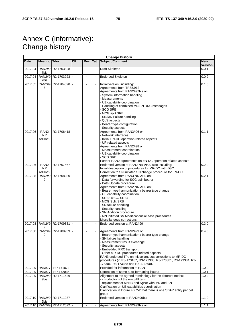## Annex C (informative): Change history

| Subject/Comment<br><b>CR</b><br>Date<br><b>Meeting Tdoc</b><br><b>Rev</b><br>Cat<br><b>New</b><br>version<br><b>RAN2#9</b><br>Draft Skeleton<br>2017.04<br>R2-1703828 -<br>$\overline{\phantom{a}}$<br>0.0.1<br>$\blacksquare$<br>7bis<br>2017.04<br><b>RAN2#9</b><br>R2-1703923<br><b>Endorsed Skeleton</b><br>0.0.2<br>$\blacksquare$<br>7bis<br>2017.05<br><b>RAN2#9</b><br>R2-1704898<br>0.1.0<br>Initial version, including:<br>Agreements from TR38.912<br>8<br>Agreements from RAN2#97bis on:<br>- System information handling<br>- Measurements<br>- UE capability coordination<br>- Handling of combined MN/SN RRC messages<br>- SCG SRB<br>- MCG split SRB<br>- SN/MN Failure handling<br>- QoS aspects<br>- Bearer type configuration<br>- Security aspects<br>Agreements from RAN3#96 on:<br>RAN <sub>2</sub><br>R2-1706418 -<br>2017.06<br>0.1.1<br>- Network interfaces<br><b>NR</b><br>AdHoc2<br>- Initial EN-DC operation related aspects<br>- UP related aspects<br>Agreements from RAN2#98 on:<br>- Measurement coordination<br>- UE capability coordination<br>- SCG SRB<br>Further RAN2 agreements on EN-DC operation related aspects<br>Endorsed version at RAN2 NR AH2, also including:<br>2017.06<br>RAN <sub>2</sub><br>R2-1707467<br>0.2.0<br><b>NR</b><br>Initial description of procedures for MR-DC with 5GC<br>AdHoc2<br>Correction to SN initiated SN change procedure for EN-DC<br>2017.08<br><b>RAN2#9</b><br>R2-1708080<br>Agreements from RAN3 NR AH2 on:<br>0.2.1<br>$\bar{\phantom{a}}$<br>- Data forwarding for SCG split bearer<br>9<br>- Path Update procedure<br>Agreements from RAN2 NR AH2 on:<br>- Bearer type harmonization / bearer type change<br>- UE capability coordination<br>- SRB3 (SCG SRB)<br>- MCG Split SRB<br>- SN failure handling<br>- Security handling<br>- SN Addition procedure<br>- MN initiated SN Modification/Release procedures<br>Miscellaneous corrections<br><b>RAN2#9</b><br>2017.08<br>R2-1709831<br>Endorsed version at RAN2#99<br>0.3.0<br>9<br>2017.08 RAN2#9 R2-1709939 -<br>Agreements from RAN2#99 on:<br>0.4.0<br>9<br>Bearer type harmonization / bearer type change<br>- SN failure handling<br>- Measurement result exchange<br>- Security aspects<br><b>Embedded RRC transport</b><br>- Other MR-DC procedures related aspects<br>RAN3 endorsed TPs on miscellaneous corrections to MR-DC<br>procedures (in R3-173187, R3-173380, R3-173381, R3-173384, R3-<br>173386, R3-173388 and R3-173390),<br>Provided for information to RAN<br><b>RAN#77</b><br>RP-171872<br>2017.09<br>1.0.0<br>$\blacksquare$<br>$\blacksquare$<br><b>RAN#77</b><br>2017.09<br>RP-172036<br>Correction of some auto-formatting issues<br>1.0.1<br>$\blacksquare$<br>$\blacksquare$<br>2017.09<br><b>RAN2#9</b><br>R2-1711526<br>Alignment to the agreed terminology for the different nodes:<br>1.0.2<br>$\blacksquare$<br>- introduction of the en-gNB term<br>9bis<br>- replacement of MeNB and SgNB with MN and SN<br>Clarification on UE capabilities coordination<br>Clarification in Figure 4.2.2-2 that there is one SDAP entity per cell<br>group<br><b>RAN2#9</b><br>Endorsed version at RAN2#99bis<br>2017.10<br>R2-1711937 -<br>1.1.0<br>$\blacksquare$<br>9bis<br>2017.10   RAN2#9   R2-1712072  -<br>1.1.1<br>Agreements from RAN2#99bis on:<br>$\blacksquare$ | <b>Change history</b> |  |  |  |  |  |  |  |
|-------------------------------------------------------------------------------------------------------------------------------------------------------------------------------------------------------------------------------------------------------------------------------------------------------------------------------------------------------------------------------------------------------------------------------------------------------------------------------------------------------------------------------------------------------------------------------------------------------------------------------------------------------------------------------------------------------------------------------------------------------------------------------------------------------------------------------------------------------------------------------------------------------------------------------------------------------------------------------------------------------------------------------------------------------------------------------------------------------------------------------------------------------------------------------------------------------------------------------------------------------------------------------------------------------------------------------------------------------------------------------------------------------------------------------------------------------------------------------------------------------------------------------------------------------------------------------------------------------------------------------------------------------------------------------------------------------------------------------------------------------------------------------------------------------------------------------------------------------------------------------------------------------------------------------------------------------------------------------------------------------------------------------------------------------------------------------------------------------------------------------------------------------------------------------------------------------------------------------------------------------------------------------------------------------------------------------------------------------------------------------------------------------------------------------------------------------------------------------------------------------------------------------------------------------------------------------------------------------------------------------------------------------------------------------------------------------------------------------------------------------------------------------------------------------------------------------------------------------------------------------------------------------------------------------------------------------------------------------------------------------------------------------------------------------------------------------------------------------------------------------------------------------------------------------------------------------------------------------------------------------------------------------------------------------------------------------------------|-----------------------|--|--|--|--|--|--|--|
|                                                                                                                                                                                                                                                                                                                                                                                                                                                                                                                                                                                                                                                                                                                                                                                                                                                                                                                                                                                                                                                                                                                                                                                                                                                                                                                                                                                                                                                                                                                                                                                                                                                                                                                                                                                                                                                                                                                                                                                                                                                                                                                                                                                                                                                                                                                                                                                                                                                                                                                                                                                                                                                                                                                                                                                                                                                                                                                                                                                                                                                                                                                                                                                                                                                                                                                                           |                       |  |  |  |  |  |  |  |
|                                                                                                                                                                                                                                                                                                                                                                                                                                                                                                                                                                                                                                                                                                                                                                                                                                                                                                                                                                                                                                                                                                                                                                                                                                                                                                                                                                                                                                                                                                                                                                                                                                                                                                                                                                                                                                                                                                                                                                                                                                                                                                                                                                                                                                                                                                                                                                                                                                                                                                                                                                                                                                                                                                                                                                                                                                                                                                                                                                                                                                                                                                                                                                                                                                                                                                                                           |                       |  |  |  |  |  |  |  |
|                                                                                                                                                                                                                                                                                                                                                                                                                                                                                                                                                                                                                                                                                                                                                                                                                                                                                                                                                                                                                                                                                                                                                                                                                                                                                                                                                                                                                                                                                                                                                                                                                                                                                                                                                                                                                                                                                                                                                                                                                                                                                                                                                                                                                                                                                                                                                                                                                                                                                                                                                                                                                                                                                                                                                                                                                                                                                                                                                                                                                                                                                                                                                                                                                                                                                                                                           |                       |  |  |  |  |  |  |  |
|                                                                                                                                                                                                                                                                                                                                                                                                                                                                                                                                                                                                                                                                                                                                                                                                                                                                                                                                                                                                                                                                                                                                                                                                                                                                                                                                                                                                                                                                                                                                                                                                                                                                                                                                                                                                                                                                                                                                                                                                                                                                                                                                                                                                                                                                                                                                                                                                                                                                                                                                                                                                                                                                                                                                                                                                                                                                                                                                                                                                                                                                                                                                                                                                                                                                                                                                           |                       |  |  |  |  |  |  |  |
|                                                                                                                                                                                                                                                                                                                                                                                                                                                                                                                                                                                                                                                                                                                                                                                                                                                                                                                                                                                                                                                                                                                                                                                                                                                                                                                                                                                                                                                                                                                                                                                                                                                                                                                                                                                                                                                                                                                                                                                                                                                                                                                                                                                                                                                                                                                                                                                                                                                                                                                                                                                                                                                                                                                                                                                                                                                                                                                                                                                                                                                                                                                                                                                                                                                                                                                                           |                       |  |  |  |  |  |  |  |
|                                                                                                                                                                                                                                                                                                                                                                                                                                                                                                                                                                                                                                                                                                                                                                                                                                                                                                                                                                                                                                                                                                                                                                                                                                                                                                                                                                                                                                                                                                                                                                                                                                                                                                                                                                                                                                                                                                                                                                                                                                                                                                                                                                                                                                                                                                                                                                                                                                                                                                                                                                                                                                                                                                                                                                                                                                                                                                                                                                                                                                                                                                                                                                                                                                                                                                                                           |                       |  |  |  |  |  |  |  |
|                                                                                                                                                                                                                                                                                                                                                                                                                                                                                                                                                                                                                                                                                                                                                                                                                                                                                                                                                                                                                                                                                                                                                                                                                                                                                                                                                                                                                                                                                                                                                                                                                                                                                                                                                                                                                                                                                                                                                                                                                                                                                                                                                                                                                                                                                                                                                                                                                                                                                                                                                                                                                                                                                                                                                                                                                                                                                                                                                                                                                                                                                                                                                                                                                                                                                                                                           |                       |  |  |  |  |  |  |  |
|                                                                                                                                                                                                                                                                                                                                                                                                                                                                                                                                                                                                                                                                                                                                                                                                                                                                                                                                                                                                                                                                                                                                                                                                                                                                                                                                                                                                                                                                                                                                                                                                                                                                                                                                                                                                                                                                                                                                                                                                                                                                                                                                                                                                                                                                                                                                                                                                                                                                                                                                                                                                                                                                                                                                                                                                                                                                                                                                                                                                                                                                                                                                                                                                                                                                                                                                           |                       |  |  |  |  |  |  |  |
|                                                                                                                                                                                                                                                                                                                                                                                                                                                                                                                                                                                                                                                                                                                                                                                                                                                                                                                                                                                                                                                                                                                                                                                                                                                                                                                                                                                                                                                                                                                                                                                                                                                                                                                                                                                                                                                                                                                                                                                                                                                                                                                                                                                                                                                                                                                                                                                                                                                                                                                                                                                                                                                                                                                                                                                                                                                                                                                                                                                                                                                                                                                                                                                                                                                                                                                                           |                       |  |  |  |  |  |  |  |
|                                                                                                                                                                                                                                                                                                                                                                                                                                                                                                                                                                                                                                                                                                                                                                                                                                                                                                                                                                                                                                                                                                                                                                                                                                                                                                                                                                                                                                                                                                                                                                                                                                                                                                                                                                                                                                                                                                                                                                                                                                                                                                                                                                                                                                                                                                                                                                                                                                                                                                                                                                                                                                                                                                                                                                                                                                                                                                                                                                                                                                                                                                                                                                                                                                                                                                                                           |                       |  |  |  |  |  |  |  |
|                                                                                                                                                                                                                                                                                                                                                                                                                                                                                                                                                                                                                                                                                                                                                                                                                                                                                                                                                                                                                                                                                                                                                                                                                                                                                                                                                                                                                                                                                                                                                                                                                                                                                                                                                                                                                                                                                                                                                                                                                                                                                                                                                                                                                                                                                                                                                                                                                                                                                                                                                                                                                                                                                                                                                                                                                                                                                                                                                                                                                                                                                                                                                                                                                                                                                                                                           |                       |  |  |  |  |  |  |  |
|                                                                                                                                                                                                                                                                                                                                                                                                                                                                                                                                                                                                                                                                                                                                                                                                                                                                                                                                                                                                                                                                                                                                                                                                                                                                                                                                                                                                                                                                                                                                                                                                                                                                                                                                                                                                                                                                                                                                                                                                                                                                                                                                                                                                                                                                                                                                                                                                                                                                                                                                                                                                                                                                                                                                                                                                                                                                                                                                                                                                                                                                                                                                                                                                                                                                                                                                           |                       |  |  |  |  |  |  |  |
|                                                                                                                                                                                                                                                                                                                                                                                                                                                                                                                                                                                                                                                                                                                                                                                                                                                                                                                                                                                                                                                                                                                                                                                                                                                                                                                                                                                                                                                                                                                                                                                                                                                                                                                                                                                                                                                                                                                                                                                                                                                                                                                                                                                                                                                                                                                                                                                                                                                                                                                                                                                                                                                                                                                                                                                                                                                                                                                                                                                                                                                                                                                                                                                                                                                                                                                                           |                       |  |  |  |  |  |  |  |
|                                                                                                                                                                                                                                                                                                                                                                                                                                                                                                                                                                                                                                                                                                                                                                                                                                                                                                                                                                                                                                                                                                                                                                                                                                                                                                                                                                                                                                                                                                                                                                                                                                                                                                                                                                                                                                                                                                                                                                                                                                                                                                                                                                                                                                                                                                                                                                                                                                                                                                                                                                                                                                                                                                                                                                                                                                                                                                                                                                                                                                                                                                                                                                                                                                                                                                                                           |                       |  |  |  |  |  |  |  |
|                                                                                                                                                                                                                                                                                                                                                                                                                                                                                                                                                                                                                                                                                                                                                                                                                                                                                                                                                                                                                                                                                                                                                                                                                                                                                                                                                                                                                                                                                                                                                                                                                                                                                                                                                                                                                                                                                                                                                                                                                                                                                                                                                                                                                                                                                                                                                                                                                                                                                                                                                                                                                                                                                                                                                                                                                                                                                                                                                                                                                                                                                                                                                                                                                                                                                                                                           |                       |  |  |  |  |  |  |  |
|                                                                                                                                                                                                                                                                                                                                                                                                                                                                                                                                                                                                                                                                                                                                                                                                                                                                                                                                                                                                                                                                                                                                                                                                                                                                                                                                                                                                                                                                                                                                                                                                                                                                                                                                                                                                                                                                                                                                                                                                                                                                                                                                                                                                                                                                                                                                                                                                                                                                                                                                                                                                                                                                                                                                                                                                                                                                                                                                                                                                                                                                                                                                                                                                                                                                                                                                           |                       |  |  |  |  |  |  |  |
|                                                                                                                                                                                                                                                                                                                                                                                                                                                                                                                                                                                                                                                                                                                                                                                                                                                                                                                                                                                                                                                                                                                                                                                                                                                                                                                                                                                                                                                                                                                                                                                                                                                                                                                                                                                                                                                                                                                                                                                                                                                                                                                                                                                                                                                                                                                                                                                                                                                                                                                                                                                                                                                                                                                                                                                                                                                                                                                                                                                                                                                                                                                                                                                                                                                                                                                                           |                       |  |  |  |  |  |  |  |
|                                                                                                                                                                                                                                                                                                                                                                                                                                                                                                                                                                                                                                                                                                                                                                                                                                                                                                                                                                                                                                                                                                                                                                                                                                                                                                                                                                                                                                                                                                                                                                                                                                                                                                                                                                                                                                                                                                                                                                                                                                                                                                                                                                                                                                                                                                                                                                                                                                                                                                                                                                                                                                                                                                                                                                                                                                                                                                                                                                                                                                                                                                                                                                                                                                                                                                                                           |                       |  |  |  |  |  |  |  |
|                                                                                                                                                                                                                                                                                                                                                                                                                                                                                                                                                                                                                                                                                                                                                                                                                                                                                                                                                                                                                                                                                                                                                                                                                                                                                                                                                                                                                                                                                                                                                                                                                                                                                                                                                                                                                                                                                                                                                                                                                                                                                                                                                                                                                                                                                                                                                                                                                                                                                                                                                                                                                                                                                                                                                                                                                                                                                                                                                                                                                                                                                                                                                                                                                                                                                                                                           |                       |  |  |  |  |  |  |  |
|                                                                                                                                                                                                                                                                                                                                                                                                                                                                                                                                                                                                                                                                                                                                                                                                                                                                                                                                                                                                                                                                                                                                                                                                                                                                                                                                                                                                                                                                                                                                                                                                                                                                                                                                                                                                                                                                                                                                                                                                                                                                                                                                                                                                                                                                                                                                                                                                                                                                                                                                                                                                                                                                                                                                                                                                                                                                                                                                                                                                                                                                                                                                                                                                                                                                                                                                           |                       |  |  |  |  |  |  |  |
|                                                                                                                                                                                                                                                                                                                                                                                                                                                                                                                                                                                                                                                                                                                                                                                                                                                                                                                                                                                                                                                                                                                                                                                                                                                                                                                                                                                                                                                                                                                                                                                                                                                                                                                                                                                                                                                                                                                                                                                                                                                                                                                                                                                                                                                                                                                                                                                                                                                                                                                                                                                                                                                                                                                                                                                                                                                                                                                                                                                                                                                                                                                                                                                                                                                                                                                                           |                       |  |  |  |  |  |  |  |
|                                                                                                                                                                                                                                                                                                                                                                                                                                                                                                                                                                                                                                                                                                                                                                                                                                                                                                                                                                                                                                                                                                                                                                                                                                                                                                                                                                                                                                                                                                                                                                                                                                                                                                                                                                                                                                                                                                                                                                                                                                                                                                                                                                                                                                                                                                                                                                                                                                                                                                                                                                                                                                                                                                                                                                                                                                                                                                                                                                                                                                                                                                                                                                                                                                                                                                                                           |                       |  |  |  |  |  |  |  |
|                                                                                                                                                                                                                                                                                                                                                                                                                                                                                                                                                                                                                                                                                                                                                                                                                                                                                                                                                                                                                                                                                                                                                                                                                                                                                                                                                                                                                                                                                                                                                                                                                                                                                                                                                                                                                                                                                                                                                                                                                                                                                                                                                                                                                                                                                                                                                                                                                                                                                                                                                                                                                                                                                                                                                                                                                                                                                                                                                                                                                                                                                                                                                                                                                                                                                                                                           |                       |  |  |  |  |  |  |  |
|                                                                                                                                                                                                                                                                                                                                                                                                                                                                                                                                                                                                                                                                                                                                                                                                                                                                                                                                                                                                                                                                                                                                                                                                                                                                                                                                                                                                                                                                                                                                                                                                                                                                                                                                                                                                                                                                                                                                                                                                                                                                                                                                                                                                                                                                                                                                                                                                                                                                                                                                                                                                                                                                                                                                                                                                                                                                                                                                                                                                                                                                                                                                                                                                                                                                                                                                           |                       |  |  |  |  |  |  |  |
|                                                                                                                                                                                                                                                                                                                                                                                                                                                                                                                                                                                                                                                                                                                                                                                                                                                                                                                                                                                                                                                                                                                                                                                                                                                                                                                                                                                                                                                                                                                                                                                                                                                                                                                                                                                                                                                                                                                                                                                                                                                                                                                                                                                                                                                                                                                                                                                                                                                                                                                                                                                                                                                                                                                                                                                                                                                                                                                                                                                                                                                                                                                                                                                                                                                                                                                                           |                       |  |  |  |  |  |  |  |
|                                                                                                                                                                                                                                                                                                                                                                                                                                                                                                                                                                                                                                                                                                                                                                                                                                                                                                                                                                                                                                                                                                                                                                                                                                                                                                                                                                                                                                                                                                                                                                                                                                                                                                                                                                                                                                                                                                                                                                                                                                                                                                                                                                                                                                                                                                                                                                                                                                                                                                                                                                                                                                                                                                                                                                                                                                                                                                                                                                                                                                                                                                                                                                                                                                                                                                                                           |                       |  |  |  |  |  |  |  |
|                                                                                                                                                                                                                                                                                                                                                                                                                                                                                                                                                                                                                                                                                                                                                                                                                                                                                                                                                                                                                                                                                                                                                                                                                                                                                                                                                                                                                                                                                                                                                                                                                                                                                                                                                                                                                                                                                                                                                                                                                                                                                                                                                                                                                                                                                                                                                                                                                                                                                                                                                                                                                                                                                                                                                                                                                                                                                                                                                                                                                                                                                                                                                                                                                                                                                                                                           |                       |  |  |  |  |  |  |  |
|                                                                                                                                                                                                                                                                                                                                                                                                                                                                                                                                                                                                                                                                                                                                                                                                                                                                                                                                                                                                                                                                                                                                                                                                                                                                                                                                                                                                                                                                                                                                                                                                                                                                                                                                                                                                                                                                                                                                                                                                                                                                                                                                                                                                                                                                                                                                                                                                                                                                                                                                                                                                                                                                                                                                                                                                                                                                                                                                                                                                                                                                                                                                                                                                                                                                                                                                           |                       |  |  |  |  |  |  |  |
|                                                                                                                                                                                                                                                                                                                                                                                                                                                                                                                                                                                                                                                                                                                                                                                                                                                                                                                                                                                                                                                                                                                                                                                                                                                                                                                                                                                                                                                                                                                                                                                                                                                                                                                                                                                                                                                                                                                                                                                                                                                                                                                                                                                                                                                                                                                                                                                                                                                                                                                                                                                                                                                                                                                                                                                                                                                                                                                                                                                                                                                                                                                                                                                                                                                                                                                                           |                       |  |  |  |  |  |  |  |
|                                                                                                                                                                                                                                                                                                                                                                                                                                                                                                                                                                                                                                                                                                                                                                                                                                                                                                                                                                                                                                                                                                                                                                                                                                                                                                                                                                                                                                                                                                                                                                                                                                                                                                                                                                                                                                                                                                                                                                                                                                                                                                                                                                                                                                                                                                                                                                                                                                                                                                                                                                                                                                                                                                                                                                                                                                                                                                                                                                                                                                                                                                                                                                                                                                                                                                                                           |                       |  |  |  |  |  |  |  |
|                                                                                                                                                                                                                                                                                                                                                                                                                                                                                                                                                                                                                                                                                                                                                                                                                                                                                                                                                                                                                                                                                                                                                                                                                                                                                                                                                                                                                                                                                                                                                                                                                                                                                                                                                                                                                                                                                                                                                                                                                                                                                                                                                                                                                                                                                                                                                                                                                                                                                                                                                                                                                                                                                                                                                                                                                                                                                                                                                                                                                                                                                                                                                                                                                                                                                                                                           |                       |  |  |  |  |  |  |  |
|                                                                                                                                                                                                                                                                                                                                                                                                                                                                                                                                                                                                                                                                                                                                                                                                                                                                                                                                                                                                                                                                                                                                                                                                                                                                                                                                                                                                                                                                                                                                                                                                                                                                                                                                                                                                                                                                                                                                                                                                                                                                                                                                                                                                                                                                                                                                                                                                                                                                                                                                                                                                                                                                                                                                                                                                                                                                                                                                                                                                                                                                                                                                                                                                                                                                                                                                           |                       |  |  |  |  |  |  |  |
|                                                                                                                                                                                                                                                                                                                                                                                                                                                                                                                                                                                                                                                                                                                                                                                                                                                                                                                                                                                                                                                                                                                                                                                                                                                                                                                                                                                                                                                                                                                                                                                                                                                                                                                                                                                                                                                                                                                                                                                                                                                                                                                                                                                                                                                                                                                                                                                                                                                                                                                                                                                                                                                                                                                                                                                                                                                                                                                                                                                                                                                                                                                                                                                                                                                                                                                                           |                       |  |  |  |  |  |  |  |
|                                                                                                                                                                                                                                                                                                                                                                                                                                                                                                                                                                                                                                                                                                                                                                                                                                                                                                                                                                                                                                                                                                                                                                                                                                                                                                                                                                                                                                                                                                                                                                                                                                                                                                                                                                                                                                                                                                                                                                                                                                                                                                                                                                                                                                                                                                                                                                                                                                                                                                                                                                                                                                                                                                                                                                                                                                                                                                                                                                                                                                                                                                                                                                                                                                                                                                                                           |                       |  |  |  |  |  |  |  |
|                                                                                                                                                                                                                                                                                                                                                                                                                                                                                                                                                                                                                                                                                                                                                                                                                                                                                                                                                                                                                                                                                                                                                                                                                                                                                                                                                                                                                                                                                                                                                                                                                                                                                                                                                                                                                                                                                                                                                                                                                                                                                                                                                                                                                                                                                                                                                                                                                                                                                                                                                                                                                                                                                                                                                                                                                                                                                                                                                                                                                                                                                                                                                                                                                                                                                                                                           |                       |  |  |  |  |  |  |  |
|                                                                                                                                                                                                                                                                                                                                                                                                                                                                                                                                                                                                                                                                                                                                                                                                                                                                                                                                                                                                                                                                                                                                                                                                                                                                                                                                                                                                                                                                                                                                                                                                                                                                                                                                                                                                                                                                                                                                                                                                                                                                                                                                                                                                                                                                                                                                                                                                                                                                                                                                                                                                                                                                                                                                                                                                                                                                                                                                                                                                                                                                                                                                                                                                                                                                                                                                           |                       |  |  |  |  |  |  |  |
|                                                                                                                                                                                                                                                                                                                                                                                                                                                                                                                                                                                                                                                                                                                                                                                                                                                                                                                                                                                                                                                                                                                                                                                                                                                                                                                                                                                                                                                                                                                                                                                                                                                                                                                                                                                                                                                                                                                                                                                                                                                                                                                                                                                                                                                                                                                                                                                                                                                                                                                                                                                                                                                                                                                                                                                                                                                                                                                                                                                                                                                                                                                                                                                                                                                                                                                                           |                       |  |  |  |  |  |  |  |
|                                                                                                                                                                                                                                                                                                                                                                                                                                                                                                                                                                                                                                                                                                                                                                                                                                                                                                                                                                                                                                                                                                                                                                                                                                                                                                                                                                                                                                                                                                                                                                                                                                                                                                                                                                                                                                                                                                                                                                                                                                                                                                                                                                                                                                                                                                                                                                                                                                                                                                                                                                                                                                                                                                                                                                                                                                                                                                                                                                                                                                                                                                                                                                                                                                                                                                                                           |                       |  |  |  |  |  |  |  |
|                                                                                                                                                                                                                                                                                                                                                                                                                                                                                                                                                                                                                                                                                                                                                                                                                                                                                                                                                                                                                                                                                                                                                                                                                                                                                                                                                                                                                                                                                                                                                                                                                                                                                                                                                                                                                                                                                                                                                                                                                                                                                                                                                                                                                                                                                                                                                                                                                                                                                                                                                                                                                                                                                                                                                                                                                                                                                                                                                                                                                                                                                                                                                                                                                                                                                                                                           |                       |  |  |  |  |  |  |  |
|                                                                                                                                                                                                                                                                                                                                                                                                                                                                                                                                                                                                                                                                                                                                                                                                                                                                                                                                                                                                                                                                                                                                                                                                                                                                                                                                                                                                                                                                                                                                                                                                                                                                                                                                                                                                                                                                                                                                                                                                                                                                                                                                                                                                                                                                                                                                                                                                                                                                                                                                                                                                                                                                                                                                                                                                                                                                                                                                                                                                                                                                                                                                                                                                                                                                                                                                           |                       |  |  |  |  |  |  |  |
|                                                                                                                                                                                                                                                                                                                                                                                                                                                                                                                                                                                                                                                                                                                                                                                                                                                                                                                                                                                                                                                                                                                                                                                                                                                                                                                                                                                                                                                                                                                                                                                                                                                                                                                                                                                                                                                                                                                                                                                                                                                                                                                                                                                                                                                                                                                                                                                                                                                                                                                                                                                                                                                                                                                                                                                                                                                                                                                                                                                                                                                                                                                                                                                                                                                                                                                                           |                       |  |  |  |  |  |  |  |
|                                                                                                                                                                                                                                                                                                                                                                                                                                                                                                                                                                                                                                                                                                                                                                                                                                                                                                                                                                                                                                                                                                                                                                                                                                                                                                                                                                                                                                                                                                                                                                                                                                                                                                                                                                                                                                                                                                                                                                                                                                                                                                                                                                                                                                                                                                                                                                                                                                                                                                                                                                                                                                                                                                                                                                                                                                                                                                                                                                                                                                                                                                                                                                                                                                                                                                                                           |                       |  |  |  |  |  |  |  |
|                                                                                                                                                                                                                                                                                                                                                                                                                                                                                                                                                                                                                                                                                                                                                                                                                                                                                                                                                                                                                                                                                                                                                                                                                                                                                                                                                                                                                                                                                                                                                                                                                                                                                                                                                                                                                                                                                                                                                                                                                                                                                                                                                                                                                                                                                                                                                                                                                                                                                                                                                                                                                                                                                                                                                                                                                                                                                                                                                                                                                                                                                                                                                                                                                                                                                                                                           |                       |  |  |  |  |  |  |  |
|                                                                                                                                                                                                                                                                                                                                                                                                                                                                                                                                                                                                                                                                                                                                                                                                                                                                                                                                                                                                                                                                                                                                                                                                                                                                                                                                                                                                                                                                                                                                                                                                                                                                                                                                                                                                                                                                                                                                                                                                                                                                                                                                                                                                                                                                                                                                                                                                                                                                                                                                                                                                                                                                                                                                                                                                                                                                                                                                                                                                                                                                                                                                                                                                                                                                                                                                           |                       |  |  |  |  |  |  |  |
|                                                                                                                                                                                                                                                                                                                                                                                                                                                                                                                                                                                                                                                                                                                                                                                                                                                                                                                                                                                                                                                                                                                                                                                                                                                                                                                                                                                                                                                                                                                                                                                                                                                                                                                                                                                                                                                                                                                                                                                                                                                                                                                                                                                                                                                                                                                                                                                                                                                                                                                                                                                                                                                                                                                                                                                                                                                                                                                                                                                                                                                                                                                                                                                                                                                                                                                                           |                       |  |  |  |  |  |  |  |
|                                                                                                                                                                                                                                                                                                                                                                                                                                                                                                                                                                                                                                                                                                                                                                                                                                                                                                                                                                                                                                                                                                                                                                                                                                                                                                                                                                                                                                                                                                                                                                                                                                                                                                                                                                                                                                                                                                                                                                                                                                                                                                                                                                                                                                                                                                                                                                                                                                                                                                                                                                                                                                                                                                                                                                                                                                                                                                                                                                                                                                                                                                                                                                                                                                                                                                                                           |                       |  |  |  |  |  |  |  |
|                                                                                                                                                                                                                                                                                                                                                                                                                                                                                                                                                                                                                                                                                                                                                                                                                                                                                                                                                                                                                                                                                                                                                                                                                                                                                                                                                                                                                                                                                                                                                                                                                                                                                                                                                                                                                                                                                                                                                                                                                                                                                                                                                                                                                                                                                                                                                                                                                                                                                                                                                                                                                                                                                                                                                                                                                                                                                                                                                                                                                                                                                                                                                                                                                                                                                                                                           |                       |  |  |  |  |  |  |  |
|                                                                                                                                                                                                                                                                                                                                                                                                                                                                                                                                                                                                                                                                                                                                                                                                                                                                                                                                                                                                                                                                                                                                                                                                                                                                                                                                                                                                                                                                                                                                                                                                                                                                                                                                                                                                                                                                                                                                                                                                                                                                                                                                                                                                                                                                                                                                                                                                                                                                                                                                                                                                                                                                                                                                                                                                                                                                                                                                                                                                                                                                                                                                                                                                                                                                                                                                           |                       |  |  |  |  |  |  |  |
|                                                                                                                                                                                                                                                                                                                                                                                                                                                                                                                                                                                                                                                                                                                                                                                                                                                                                                                                                                                                                                                                                                                                                                                                                                                                                                                                                                                                                                                                                                                                                                                                                                                                                                                                                                                                                                                                                                                                                                                                                                                                                                                                                                                                                                                                                                                                                                                                                                                                                                                                                                                                                                                                                                                                                                                                                                                                                                                                                                                                                                                                                                                                                                                                                                                                                                                                           |                       |  |  |  |  |  |  |  |
|                                                                                                                                                                                                                                                                                                                                                                                                                                                                                                                                                                                                                                                                                                                                                                                                                                                                                                                                                                                                                                                                                                                                                                                                                                                                                                                                                                                                                                                                                                                                                                                                                                                                                                                                                                                                                                                                                                                                                                                                                                                                                                                                                                                                                                                                                                                                                                                                                                                                                                                                                                                                                                                                                                                                                                                                                                                                                                                                                                                                                                                                                                                                                                                                                                                                                                                                           |                       |  |  |  |  |  |  |  |
|                                                                                                                                                                                                                                                                                                                                                                                                                                                                                                                                                                                                                                                                                                                                                                                                                                                                                                                                                                                                                                                                                                                                                                                                                                                                                                                                                                                                                                                                                                                                                                                                                                                                                                                                                                                                                                                                                                                                                                                                                                                                                                                                                                                                                                                                                                                                                                                                                                                                                                                                                                                                                                                                                                                                                                                                                                                                                                                                                                                                                                                                                                                                                                                                                                                                                                                                           |                       |  |  |  |  |  |  |  |
|                                                                                                                                                                                                                                                                                                                                                                                                                                                                                                                                                                                                                                                                                                                                                                                                                                                                                                                                                                                                                                                                                                                                                                                                                                                                                                                                                                                                                                                                                                                                                                                                                                                                                                                                                                                                                                                                                                                                                                                                                                                                                                                                                                                                                                                                                                                                                                                                                                                                                                                                                                                                                                                                                                                                                                                                                                                                                                                                                                                                                                                                                                                                                                                                                                                                                                                                           |                       |  |  |  |  |  |  |  |
|                                                                                                                                                                                                                                                                                                                                                                                                                                                                                                                                                                                                                                                                                                                                                                                                                                                                                                                                                                                                                                                                                                                                                                                                                                                                                                                                                                                                                                                                                                                                                                                                                                                                                                                                                                                                                                                                                                                                                                                                                                                                                                                                                                                                                                                                                                                                                                                                                                                                                                                                                                                                                                                                                                                                                                                                                                                                                                                                                                                                                                                                                                                                                                                                                                                                                                                                           |                       |  |  |  |  |  |  |  |
|                                                                                                                                                                                                                                                                                                                                                                                                                                                                                                                                                                                                                                                                                                                                                                                                                                                                                                                                                                                                                                                                                                                                                                                                                                                                                                                                                                                                                                                                                                                                                                                                                                                                                                                                                                                                                                                                                                                                                                                                                                                                                                                                                                                                                                                                                                                                                                                                                                                                                                                                                                                                                                                                                                                                                                                                                                                                                                                                                                                                                                                                                                                                                                                                                                                                                                                                           |                       |  |  |  |  |  |  |  |
|                                                                                                                                                                                                                                                                                                                                                                                                                                                                                                                                                                                                                                                                                                                                                                                                                                                                                                                                                                                                                                                                                                                                                                                                                                                                                                                                                                                                                                                                                                                                                                                                                                                                                                                                                                                                                                                                                                                                                                                                                                                                                                                                                                                                                                                                                                                                                                                                                                                                                                                                                                                                                                                                                                                                                                                                                                                                                                                                                                                                                                                                                                                                                                                                                                                                                                                                           |                       |  |  |  |  |  |  |  |
|                                                                                                                                                                                                                                                                                                                                                                                                                                                                                                                                                                                                                                                                                                                                                                                                                                                                                                                                                                                                                                                                                                                                                                                                                                                                                                                                                                                                                                                                                                                                                                                                                                                                                                                                                                                                                                                                                                                                                                                                                                                                                                                                                                                                                                                                                                                                                                                                                                                                                                                                                                                                                                                                                                                                                                                                                                                                                                                                                                                                                                                                                                                                                                                                                                                                                                                                           |                       |  |  |  |  |  |  |  |
|                                                                                                                                                                                                                                                                                                                                                                                                                                                                                                                                                                                                                                                                                                                                                                                                                                                                                                                                                                                                                                                                                                                                                                                                                                                                                                                                                                                                                                                                                                                                                                                                                                                                                                                                                                                                                                                                                                                                                                                                                                                                                                                                                                                                                                                                                                                                                                                                                                                                                                                                                                                                                                                                                                                                                                                                                                                                                                                                                                                                                                                                                                                                                                                                                                                                                                                                           |                       |  |  |  |  |  |  |  |
|                                                                                                                                                                                                                                                                                                                                                                                                                                                                                                                                                                                                                                                                                                                                                                                                                                                                                                                                                                                                                                                                                                                                                                                                                                                                                                                                                                                                                                                                                                                                                                                                                                                                                                                                                                                                                                                                                                                                                                                                                                                                                                                                                                                                                                                                                                                                                                                                                                                                                                                                                                                                                                                                                                                                                                                                                                                                                                                                                                                                                                                                                                                                                                                                                                                                                                                                           |                       |  |  |  |  |  |  |  |
|                                                                                                                                                                                                                                                                                                                                                                                                                                                                                                                                                                                                                                                                                                                                                                                                                                                                                                                                                                                                                                                                                                                                                                                                                                                                                                                                                                                                                                                                                                                                                                                                                                                                                                                                                                                                                                                                                                                                                                                                                                                                                                                                                                                                                                                                                                                                                                                                                                                                                                                                                                                                                                                                                                                                                                                                                                                                                                                                                                                                                                                                                                                                                                                                                                                                                                                                           |                       |  |  |  |  |  |  |  |
|                                                                                                                                                                                                                                                                                                                                                                                                                                                                                                                                                                                                                                                                                                                                                                                                                                                                                                                                                                                                                                                                                                                                                                                                                                                                                                                                                                                                                                                                                                                                                                                                                                                                                                                                                                                                                                                                                                                                                                                                                                                                                                                                                                                                                                                                                                                                                                                                                                                                                                                                                                                                                                                                                                                                                                                                                                                                                                                                                                                                                                                                                                                                                                                                                                                                                                                                           |                       |  |  |  |  |  |  |  |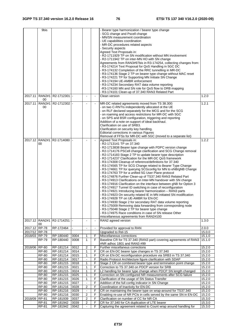|               | 9bis                  |                        |              |                |                     | Bearer type harmonization / bearer type change                                                                     |                  |
|---------------|-----------------------|------------------------|--------------|----------------|---------------------|--------------------------------------------------------------------------------------------------------------------|------------------|
|               |                       |                        |              |                |                     |                                                                                                                    |                  |
|               |                       |                        |              |                |                     | SCG change and Pscell change                                                                                       |                  |
|               |                       |                        |              |                |                     | MN/SN measurement coordination                                                                                     |                  |
|               |                       |                        |              |                |                     | UE capabilities coordination                                                                                       |                  |
|               |                       |                        |              |                |                     | - MR-DC procedures related aspects                                                                                 |                  |
|               |                       |                        |              |                |                     | - Security aspects                                                                                                 |                  |
|               |                       |                        |              |                |                     | Agreed Text Proposals in:                                                                                          |                  |
|               |                       |                        |              |                |                     | - R2-1711929 TP on SN modification without MN involvement                                                          |                  |
|               |                       |                        |              |                |                     | - R2-1711942 TP on inter-MN HO with SN change                                                                      |                  |
|               |                       |                        |              |                |                     | Agreements from RAN3#97bis in R3-174254, collecting changes from:                                                  |                  |
|               |                       |                        |              |                |                     | - R3-174214 Text Proposal for QoS Handling in 5GC DC                                                               |                  |
|               |                       |                        |              |                |                     | - R3-174132 Completion of the RRC tunnelling in MR-DC                                                              |                  |
|               |                       |                        |              |                |                     | - R3-174136 Stage 2 TP on bearer type change without MAC reset                                                     |                  |
|               |                       |                        |              |                |                     | - R3-174221 TP for Supporting MN Initiate SN Change                                                                |                  |
|               |                       |                        |              |                |                     | - R3-174194 UE-AMBR enforcement                                                                                    |                  |
|               |                       |                        |              |                |                     | - R3-174234 Secondary RAT data volume reporting                                                                    |                  |
|               |                       |                        |              |                |                     | -R3-174160 MN and SN role for QoS flow to DRB mapping                                                              |                  |
|               |                       |                        |              |                |                     | R3-174101 Clean-up of 37.340 RAN3 Related Part                                                                     |                  |
| 2017.11       | <b>RAN2#1</b>         | R2-1712301 -           |              |                |                     | Clean version                                                                                                      | 1.2.0            |
| 2017.11       | 00<br><b>RAN2#1</b>   | R2-1712302 -           |              |                |                     |                                                                                                                    | 1.2.1            |
|               | 00                    |                        |              |                |                     | MR-DC related agreements moved from TS 38.300:<br>on two C-RNTIs independently allocated ot the UE                 |                  |
|               |                       |                        |              |                |                     | - on RLF declared separately for the MCG and for the SCG                                                           |                  |
|               |                       |                        |              |                |                     | - on roaming and access restrictions for MR-DC with 5GC                                                            |                  |
|               |                       |                        |              |                |                     | - on SPS and BSR configuration, triggering and reporting                                                           |                  |
|               |                       |                        |              |                |                     |                                                                                                                    |                  |
|               |                       |                        |              |                |                     | Addition of a note on support of ideal backhaul.<br>Clarification on use of SRB3.                                  |                  |
|               |                       |                        |              |                |                     |                                                                                                                    |                  |
|               |                       |                        |              |                |                     | Clarification on security key handling.<br>Editorial corrections in various Figures                                |                  |
|               |                       |                        |              |                |                     | Removal of FFSs for MR-DC with 5GC (moved to a separate list)                                                      |                  |
|               | 2017.12 RAN2#1        | R2-1714080             |              |                |                     | Agreed Text Proposals in:                                                                                          | 1.2.2            |
|               | 00                    |                        |              |                |                     | - R2-1713141 TP on 37.340                                                                                          |                  |
|               |                       |                        |              |                |                     | - R2-1713838 Bearer type change with PDPC version change                                                           |                  |
|               |                       |                        |              |                |                     | - R2-1714176 PSCell change clarification and SCG Change removal                                                    |                  |
|               |                       |                        |              |                |                     | R2-1714183 Stage 2 TP to update bearer type description                                                            |                  |
|               |                       |                        |              |                |                     | R2-1714237 Clarification for the MR-DC QoS framework                                                               |                  |
|               |                       |                        |              |                |                     | R3-174308 Cleanup of reference/definitions for 37.340                                                              |                  |
|               |                       |                        |              |                |                     | R3-174565 TP for SCG Change related to Bearer Type Change                                                          |                  |
|               |                       |                        |              |                |                     | R3-174661 TP for querying SCGconfig for MN to eNB/gNB Change                                                       |                  |
|               |                       |                        |              |                |                     | R3-174763 TP for a unified 5G User Plane protocol                                                                  |                  |
|               |                       |                        |              |                |                     | R3-174876 Further Clean-up of TS37.340 RAN3 Related Part                                                           |                  |
|               |                       |                        |              |                |                     | R3-174913 Clarifications on Inter-MN handover with SN change                                                       |                  |
|               |                       |                        |              |                |                     | R3-174916 Clarification on the interface between gNB for Option 3                                                  |                  |
|               |                       |                        |              |                |                     | - R3-174917 Tunnel ID switching in case of reconfiguration                                                         |                  |
|               |                       |                        |              |                |                     | - R3-174921 Introducing bearer harmonization - RAN3 parts                                                          |                  |
|               |                       |                        |              |                |                     | R3-174923 On security related IE in MN initiated SN modification                                                   |                  |
|               |                       |                        |              |                |                     |                                                                                                                    |                  |
|               |                       |                        |              |                |                     | - R3-174928 TP on UE-AMBR for EN-DC                                                                                |                  |
|               |                       |                        |              |                |                     | - R3-174930 Stage 2 for secondary RAT data volume reporting                                                        |                  |
|               |                       |                        |              |                |                     | - R3-175009 Removing data forwarding from corresponding node                                                       |                  |
|               |                       |                        |              |                |                     | - R3-175048 Stage 2 TP for bearer type change<br>- R3-174975 Race conditions in case of SN release Other           |                  |
|               |                       |                        |              |                |                     | miscellaneous agreements from RAN2#100                                                                             |                  |
|               | 2017.12 RAN2#1        | R2-1714251             |              |                | $\omega$            | RAN2 agreed version                                                                                                | 1.3.0            |
|               | 00                    |                        |              |                |                     |                                                                                                                    |                  |
| 2017.12 RP-78 |                       | RP-172464              |              |                |                     | Provided for approval to RAN                                                                                       | 2.0.0            |
| 2017/12 RP-78 |                       |                        |              |                |                     | Upgraded to Rel-15                                                                                                 | 15.0.0           |
| 2018/03 RP-79 |                       | RP-180440              | 0004         | 1              | F                   | Miscellaneous corrections                                                                                          | 15.1.0           |
|               | <b>RP-79</b>          | RP-180440              | 0008         | $\mathbf{1}$   | F                   | Baseline CR for TS 37.340 (RAN3 part) covering agreements of RAN3                                                  | 15.1.0           |
|               |                       |                        |              |                |                     | #NR adhoc 1801 and RAN3 #99                                                                                        |                  |
| 2018/06       | <b>RP-80</b>          | RP-181214              | 0012         | $\overline{2}$ | F                   | Further miscellaneus corrections                                                                                   | 15.2.0           |
|               | <b>RP-80</b>          | RP-181214              | 0014         | 1              | F                   | CR on EN-DC bearer type changes in TS 37.340                                                                       | 15.2.0           |
|               | <b>RP-80</b>          | RP-181214              | 0015         | 1              | F                   | CR on EN-DC reconfiguration procedure via SRB3 in TS 37.340                                                        | 15.2.0           |
|               | <b>RP-80</b>          | RP-181214              | 0017         | $\mathbf{1}$   | F<br>$\overline{F}$ | Radio Protocol Architecture figure clarification with SDAP                                                         | 15.2.0           |
|               | <b>RP-80</b><br>RP-80 | RP-181215<br>RP-181215 | 0018<br>0021 | 1              | F                   | Stage 2 CR on combined bearer type and termination point change<br>Correction to TS 37.340 on PDCP version for SRB | 15.2.0<br>15.2.0 |
|               | <b>RP-80</b>          | RP-181215              | 0024         | 1              | F                   | L2 handling for bearer type change when PDCP SN length changed                                                     | 15.2.0           |
|               | <b>RP-80</b>          | RP-181215              | 0025         | $\mathbf{1}$   | F                   | Correction on SN configured NR measurements after SCG failure                                                      | 15.2.0           |
|               | RP-80                 | RP-181215              | 0026         | 1              | $\overline{F}$      | Clarification of the usage of SN Status Transfer                                                                   | 15.2.0           |
|               | <b>RP-80</b>          | RP-181215              | 0027         |                | F                   | Addition of the full config indicator in SN Change                                                                 | 15.2.0           |
|               | RP-80                 | RP-181216              | 0028         | 2              | F                   | Coordination of Inactivity for EN-DC                                                                               | 15.2.0           |
|               |                       |                        | 0029         |                | F                   |                                                                                                                    |                  |
|               | RP-80                 | RP-181216              |              |                | F                   | CR on maintaining the bearer type on wrap-around for TS37.340                                                      | 15.2.0           |
|               | RP-80                 | RP-181216              | 0030         | $\overline{c}$ |                     | Enabling re-use of NR PCIs in cells served by the same SN in EN-DC                                                 | 15.2.0           |
| 2018/09       | RP-81                 | RP-181939              | 0037         | 2              | F                   | Clarification on number of CC for NR CA                                                                            | 15.3.0           |
|               | <b>RP-81</b>          | RP-181942              | 0039         | $\overline{2}$ | F                   | CR for 37.340 for CA duplication of LTE bearer                                                                     | 15.3.0           |
|               | RP-81                 | RP-181942              | 0042         |                | F                   | Capturing the agreement related to Count wrap around handling for                                                  | 15.3.0           |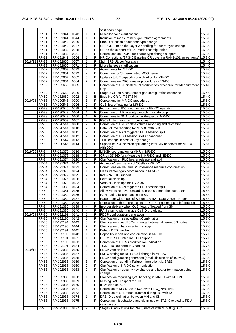|               |                       |           |              |                  |                | split bearer type                                                                                        |        |
|---------------|-----------------------|-----------|--------------|------------------|----------------|----------------------------------------------------------------------------------------------------------|--------|
|               | RP-81                 | RP-181941 | 0043         | 1                | F              | Miscellaneous clarifications                                                                             | 15.3.0 |
|               | <b>RP-81</b>          | RP-181941 | 0044         | 1                | F              | Inclusion of measurement gap related agreements                                                          | 15.3.0 |
|               | RP-81                 | RP-181942 | 0046         | $\overline{2}$   | F              | Small correction about bear type change                                                                  | 15.3.0 |
|               | RP-81                 | RP-181942 | 0047         | 3                | F              | CR to 37.340 on the Layer 2 handling for bearer type change                                              | 15.3.0 |
|               | <b>RP-81</b>          | RP-181939 | 0048         | $\blacksquare$   | F              | CR on the support of RLC mode reconfiguration                                                            | 15.3.0 |
|               | RP-81                 | RP-181939 | 0051         | $\blacksquare$   | F              | Corrections on 37.340 for bearer type change support                                                     | 15.3.0 |
|               | RP-81                 | RP-181941 | 0054         | $\mathbf{1}$     | F              | NR Corrections (37.340 Baseline CR covering RAN3-101 agreements)                                         | 15.3.0 |
| 2018/12       | RP-82                 | RP-182650 | 0067         | 1                | F              | Split SRB UL configuration                                                                               | 15.4.0 |
|               | RP-82                 | RP-182656 | 0071         | $\mathbf{1}$     | F              | Miscellaneous clarifications                                                                             | 15.4.0 |
|               | RP-82                 | RP-182669 | 0073         | 4                | B              | Agreements for MR-DC                                                                                     | 15.4.0 |
|               | RP-82                 | RP-182651 | 0079         | $\blacksquare$   | F              | Correction for SN terminated MCG bearer                                                                  | 15.4.0 |
|               | RP-82                 | RP-182667 | 0082         | 3                | F              | Updates to UE capability coordination for MR-DC                                                          | 15.4.0 |
|               | RP-82                 | RP-182664 | 0084         | $\boldsymbol{2}$ | F              | Corrections on RRC transfer procedure in EN-DC                                                           | 15.4.0 |
|               | <b>RP-82</b>          | RP-182666 | 0085         | 3                | F              | Correction of SN Initiated SN Modification procedure for Measurement                                     | 15.4.0 |
|               |                       |           |              |                  |                | Gap                                                                                                      |        |
|               | $RP-82$               | RP-182660 | 0086         | $\mathbf{1}$     | F              | Stage 2 CR on Measurement gap configuration scenarios                                                    | 15.4.0 |
|               | RP-82                 | RP-182669 | 0092         | 1                | B              | Baseline CR for TS37.340                                                                                 | 15.4.0 |
| 2019/03 RP-83 |                       | RP-190543 | 0090         | 3                | F              | Corrections for MR-DC procedures                                                                         | 15.5.0 |
|               | RP-83                 | RP-190543 | 0096         | $\overline{2}$   | F              | QoS flow offloading for MR-DC                                                                            | 15.5.0 |
|               | <b>RP-83</b>          | RP-190540 | 0098         | 1                | F              | Introduction of IDC mechanism for EN-DC operation                                                        | 15.5.0 |
|               | RP-83                 | RP-190543 | 0104         | $\mathbf{1}$     | F              | Correction on UP integrity protection in late drop                                                       | 15.5.0 |
|               | RP-83                 | RP-190543 | 0106         | 1                | F              | Corrections to SN Modification Request in MR-DC                                                          | 15.5.0 |
|               | RP-83                 | RP-190553 | 0107         | $\blacksquare$   | F              | PSCell information for LI purposes                                                                       | 15.5.0 |
|               | RP-83                 | RP-190544 | 0108         |                  | F              | Correction of EN DC data volume reporting and relocation                                                 | 15.5.0 |
|               | RP-83                 | RP-190544 | 0110         | ÷,               | F              | Data volume reporting for MR-DC with 5GC                                                                 | 15.5.0 |
|               | RP-83                 | RP-190544 | 0111         | $\blacksquare$   | F              | Correction of RAN triggered PDU session split                                                            | 15.5.0 |
|               | RP-83                 | RP-190544 | 0112         | $\mathbb{Z}^2$   | F              | Correction of PDU session split at handover                                                              | 15.5.0 |
|               | $RP-83$               | RP-190544 | 0113         | $\blacksquare$   | F              | TEID change in case of key change                                                                        | 15.5.0 |
|               | RP-83                 | RP-190545 | 0114         | $\mathbf{1}$     | F              | Support of PDU session split during inter-MN handover for MR-DC                                          | 15.5.0 |
|               |                       |           |              |                  |                | with 5GC                                                                                                 |        |
| 2019/06 RP-84 |                       | RP-191375 | 0116         | 1                | F              | MN-SN coordination for ANR in MR-DC                                                                      | 15.6.0 |
|               | RP-84                 | RP-191378 | 0118         | $\mathbf{3}$     | F              | CR on 37.340 for s-Measure in NR-DC and NE-DC                                                            | 15.6.0 |
|               | RP-84                 | RP-191374 | 0120         | $\omega$         | F              | Clarification on RLC bearer release and add                                                              | 15.6.0 |
|               | RP-84                 | RP-191374 | 0122         | $\blacksquare$   | F              | Activation/deactivation of SCells in MR-DC                                                               | 15.6.0 |
|               | <b>RP-84</b>          | RP-191374 | 0123         |                  | F              | Corrections on MN and SN inter-node resource coordination                                                | 15.6.0 |
|               | <b>RP-84</b>          | RP-191376 | 0124         | $\mathbf{1}$     | F              | Measurement gap coordination in MR-DC                                                                    | 15.6.0 |
|               | RP-84                 | RP-191379 | 0125         | $\overline{2}$   | F              | Inter-RAT HO support                                                                                     | 15.6.0 |
|               | <b>RP-84</b>          | RP-191376 | 0126         | $\mathbf{1}$     | $\overline{F}$ | Editorial clean-up                                                                                       | 15.6.0 |
|               | RP-84                 | RP-191379 | 0133         | $\blacksquare$   | F.             | Various Clean-ups for TS37.340                                                                           | 15.6.0 |
|               | RP-84                 | RP-191380 | 0134         | $\blacksquare$   | F              | Correction of RAN triggered PDU session split                                                            | 15.6.0 |
|               | RP-84                 | RP-191381 | 0135         | $\mathbf{1}$     | F              | Allow MN to retrieve forwarding proposal from the source SN                                              | 15.6.0 |
|               | RP-84                 | RP-191380 | 0136         | $\blacksquare$   | F              | RAN paging failure handling in SN                                                                        | 15.6.0 |
|               | RP-84                 | RP-191380 | 0137         | $\blacksquare$   | F              | Rapporteur Clean-ups of Secondary RAT Data Volume Report                                                 | 15.6.0 |
|               | $RP-84$               | RP-191380 | 0138         |                  | F              | Correction of the references to the GTP tunnel endpoint information                                      | 15.6.0 |
|               | RP-84                 | RP-191380 | 0139         | $\blacksquare$   | F              | In-order delivery when QoS flows offloaded from SN                                                       | 15.6.0 |
|               | RP-84                 | RP-191380 | 0140         | $\blacksquare$   | F              | RAN sharing with multiple Cell ID broadcast                                                              | 15.6.0 |
| 2019/09 RP-85 |                       | RP-192191 | 0141         | $\mathbf{1}$     | F              | PDCP configuration generation                                                                            | 15.7.0 |
|               | RP-85                 | RP-192190 | 0142         | 1                | F              | Clarification on selectedBandCombination                                                                 | 15.7.0 |
|               | RP-85                 | RP-192194 | 0143         | 3                | F              | Clarification about PSCell change between different SN nodes                                             | 15.7.0 |
|               | RP-85                 | RP-192193 | 0144         | $\overline{2}$   | F              | Clarification of handover terminology                                                                    | 15.7.0 |
|               | RP-85                 | RP-192191 | 0145         | 1                | F              | Default DRB handling                                                                                     | 15.7.0 |
|               | RP-85                 | RP-192192 | 0148         | 1                | F              | Capability report and coordination in NR-DC                                                              | 15.7.0 |
|               | RP-85                 | RP-192191 | 0151         | 1                | F              | LTE to NR-DC Inter-RAT HO support                                                                        | 15.7.0 |
|               | RP-85                 | RP-192190 | 0153         |                  | F              | Correction of E-RAB Modification Indication                                                              | 15.7.0 |
|               | RP-85                 | RP-192191 | 0154         | 1                | F              | TS37.340 Rapporteur Cleanups                                                                             | 15.7.0 |
| 2019/12       | RP-86                 | RP-192934 | 0155         | 2                | F              | PDCP version in EN-DC                                                                                    | 15.8.0 |
|               | RP-86                 | RP-192936 | 0157         | 3                | F              | SMTC setting for NR PSCell change in MR-DC                                                               | 15.8.0 |
|               | $RP-86$               | RP-192937 | 0158         | 3                | F              | PDCP configuration generation (email discussion of 107#25)                                               | 15.8.0 |
|               | RP-86                 | RP-192936 | 0159         | 3                | F              | Correction on sending Failure Information via SRB3                                                       | 15.8.0 |
|               | RP-86                 | RP-192938 | 0160         | 2                | F              | Clarification of NR-DC synchronization                                                                   | 15.8.0 |
|               | $RP-86$               |           |              | 2                | F              |                                                                                                          |        |
|               |                       | RP-192938 | 0163         |                  |                | Clarification on security key change and bearer termination point<br>change                              | 15.8.0 |
|               |                       | RP-192936 | 0168         |                  | F              | Clarification regarding QoS handling in MRDC with 5G CN                                                  |        |
|               | RP-86                 |           |              | 1                |                |                                                                                                          | 15.8.0 |
|               | RP-86                 | RP-192936 | 0169         | 1                | F              | Missing RACH aspect for DC                                                                               | 15.8.0 |
|               | <b>RP-86</b>          | RP-192937 | 0170         | $\Box$           | F              | IP version on X2-U                                                                                       | 15.8.0 |
|               | <b>RP-86</b>          | RP-192937 | 0171<br>0172 |                  | F              | Correction to MR-DC with 5GC with RRC_INACTIVE                                                           | 15.8.0 |
|               | RP-86                 | RP-192938 |              | 1                | F              | Correction of SN Status Transfer during HO with DC                                                       | 15.8.0 |
|               | RP-86<br><b>RP-86</b> | RP-192938 | 0174         |                  | F.<br>F        | DRB ID co-ordination between MN and SN<br>Correcting misbehaviors and clean-ups on 37.340 related to PDU | 15.8.0 |
|               |                       | RP-192938 | 0175         | $\blacksquare$   |                | session spilt                                                                                            | 15.8.0 |
|               | RP-86                 | RP-192938 | 0177         | $\blacksquare$   | F              | Stage2 Clarifications for RRC_Inactive with MR-DC@5GC                                                    | 15.8.0 |
|               |                       |           |              |                  |                |                                                                                                          |        |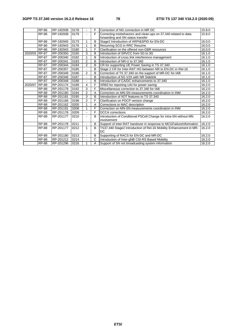#### **3GPP TS 37.340 version 16.2.0 Release 16 78 ETSI TS 137 340 V16.2.0 (2020-09)**

|               | <b>RP-86</b> | RP-192938 | 0178 |                | F | Correction of NG connection in MR DC                                             | 15.8.0 |
|---------------|--------------|-----------|------|----------------|---|----------------------------------------------------------------------------------|--------|
|               | <b>RP-86</b> | RP-192938 | 0179 |                | F | Correcting misbehaviors and clean-ups on 37.340 related to data                  | 15.8.0 |
|               |              |           |      |                |   | forwarding and SN status transfer                                                |        |
|               | <b>RP-86</b> | RP-192945 | 0173 | 1              | B | Stage2 Introduction of ARPI&SPID for EN-DC                                       | 16.0.0 |
|               | <b>RP-86</b> | RP-192943 | 0176 | 1              | B | Resuming SCG in RRC Resume                                                       | 16.0.0 |
|               | <b>RP-86</b> | RP-192943 | 0180 | 1              | F | Clarification on the offered non-GBR resources                                   | 16.0.0 |
| 2020/03 RP-87 |              | RP-200350 | 0165 | 3              | B | Introduction of SRVCC from 5G to 3G                                              | 16.1.0 |
|               | <b>RP-87</b> | RP-200340 | 0182 | 1              | B | Introduction of cross link interference management                               | 16.1.0 |
|               | <b>RP-87</b> | RP-200341 | 0183 | 2              | B | Introduction of NR-U to 37,340                                                   | 16.1.0 |
|               | <b>RP-87</b> | RP-200344 | 0184 | $\overline{2}$ | B | CR for supporting UE Power Saving in TS 37.340                                   | 16.1.0 |
|               | <b>RP-87</b> | RP-200357 | 0185 |                | B | Stage 2 CR for Inter-RAT HO between NR to EN-DC in Rel-16                        | 16.1.0 |
|               | <b>RP-87</b> | RP-200349 | 0186 | $\overline{2}$ | B | Correction of TS 37.340 on the support of MR-DC for IAB                          | 16.1.0 |
|               | <b>RP-87</b> | RP-200346 | 0187 |                | B | Introduction of 5G V2X with NR Sidelink                                          | 16.1.0 |
|               | <b>RP-87</b> | RP-200348 | 0188 |                | B | Introduction of CA/DC enhancements to 37.340                                     | 16.1.0 |
| 2020/07       | <b>RP-88</b> | RP-201174 | 0189 | 4              | F | SRB3 for reporting UAI for power saving                                          | 16.2.0 |
|               | <b>RP-88</b> | RP-201179 | 0192 | 3              | F | Miscellaneous correction to 37,340 for IAB                                       | 16.2.0 |
|               | <b>RP-88</b> | RP-201160 | 0194 | 2              | A | Correction on MN-SN measurements coordination in INM                             | 16.2.0 |
|               | <b>RP-88</b> | RP-201181 | 0195 | 3              | B | Introduction of IIOT features to TS 37.340                                       | 16.2.0 |
|               | <b>RP-88</b> | RP-201166 | 0198 | $\overline{2}$ | F | Clarification on PDCP version change                                             | 16.2.0 |
|               | <b>RP-88</b> | RP-201162 | 0205 | 1              | A | Corrections to MAC description                                                   | 16.2.0 |
|               | <b>RP-88</b> | RP-201191 | 0208 | 1              | F | Correction on MN-SN measurements coordination in INM                             | 16.2.0 |
|               | <b>RP-88</b> | RP-201178 | 0209 |                | F | <b>DCCA</b> corrections                                                          | 16.2.0 |
|               | RP-88        | RP-201177 | 0210 | $\blacksquare$ | B | Introduction of Conditional PSCell Change for intra-SN without MN<br>involvement | 16.2.0 |
|               | <b>RP-88</b> | RP-201178 | 0211 |                | В | Support of inter-RAT handover in response to MCGFailureInformation               | 16.2.0 |
|               | <b>RP-88</b> | RP-201177 | 0212 | $\mathbf{1}$   | B | TS37.340 Stage2 Introduction of Rel-16 Mobility Enhancement in MR-               | 16.2.0 |
|               |              |           |      |                |   | <b>DC</b>                                                                        |        |
|               | <b>RP-88</b> | RP-201180 | 0213 | $\blacksquare$ | B | Supporting of RACS for EN-DC and MR-DC                                           | 16.2.0 |
|               | <b>RP-88</b> | RP-201212 | 0214 |                | Ć | Introduction of Inter-gNB CSI-RS Based Mobility                                  | 16.2.0 |
|               | <b>RP-88</b> | RP-201296 | 0216 | 1              | A | Support of SN not broadcasting system information                                | 16.2.0 |